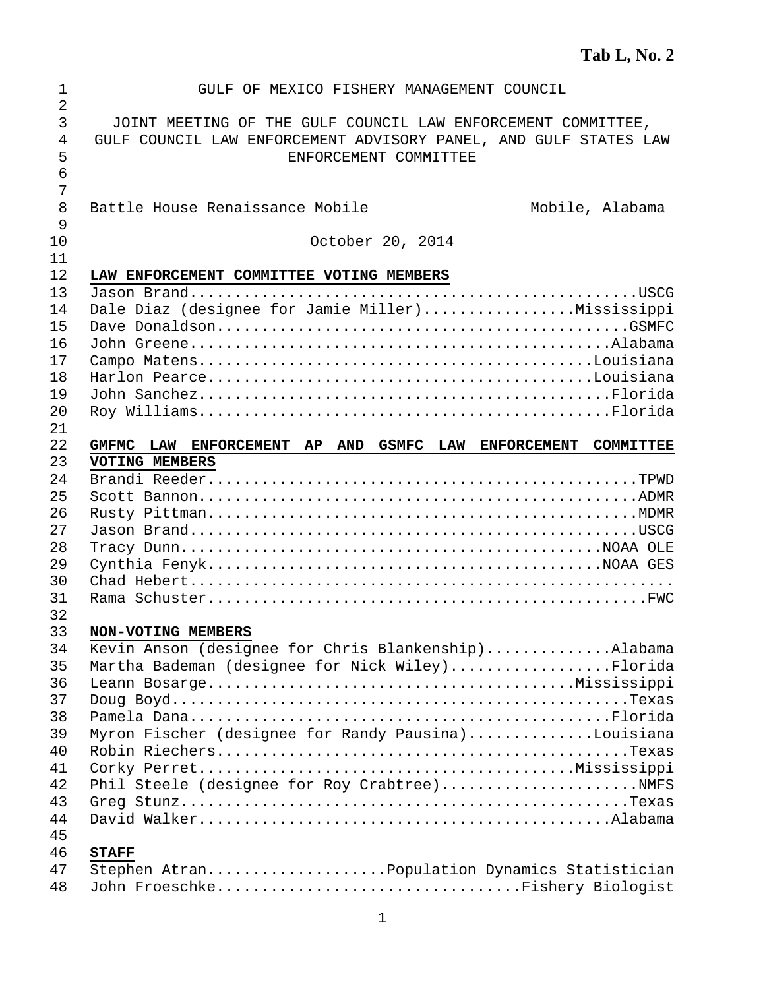| 1              | GULF OF MEXICO FISHERY MANAGEMENT COUNCIL                        |
|----------------|------------------------------------------------------------------|
| $\overline{2}$ |                                                                  |
| 3              | JOINT MEETING OF THE GULF COUNCIL LAW ENFORCEMENT COMMITTEE,     |
| 4              | GULF COUNCIL LAW ENFORCEMENT ADVISORY PANEL, AND GULF STATES LAW |
| 5              | ENFORCEMENT COMMITTEE                                            |
| 6              |                                                                  |
| 7              |                                                                  |
| 8              | Battle House Renaissance Mobile<br>Mobile, Alabama               |
| 9              |                                                                  |
| 10<br>11       | October 20, 2014                                                 |
| 12             | LAW ENFORCEMENT COMMITTEE VOTING MEMBERS                         |
| 13             |                                                                  |
| 14             | Dale Diaz (designee for Jamie Miller)Mississippi                 |
| 15             |                                                                  |
| 16             |                                                                  |
| 17             |                                                                  |
| 18             |                                                                  |
| 19             |                                                                  |
| 20             |                                                                  |
| 21             |                                                                  |
| 22             | GMFMC LAW ENFORCEMENT AP AND GSMFC LAW ENFORCEMENT COMMITTEE     |
| 23             | VOTING MEMBERS                                                   |
| 24             |                                                                  |
| 25             |                                                                  |
| 26             |                                                                  |
| 27             |                                                                  |
| 28             |                                                                  |
| 29             |                                                                  |
| 30             |                                                                  |
| 31<br>32       |                                                                  |
| 33             | NON-VOTING MEMBERS                                               |
| 34             | Kevin Anson (designee for Chris Blankenship)Alabama              |
| 35             | Martha Bademan (designee for Nick Wiley)Florida                  |
| 36             |                                                                  |
| 37             |                                                                  |
| 38             |                                                                  |
| 39             | Myron Fischer (designee for Randy Pausina)Louisiana              |
| 40             |                                                                  |
| 41             |                                                                  |
| 42             |                                                                  |
| 43             |                                                                  |
| 44             |                                                                  |
| 45             |                                                                  |
| 46             | <b>STAFF</b>                                                     |
| 47             | Stephen AtranPopulation Dynamics Statistician                    |
| 48             | John FroeschkeFishery Biologist                                  |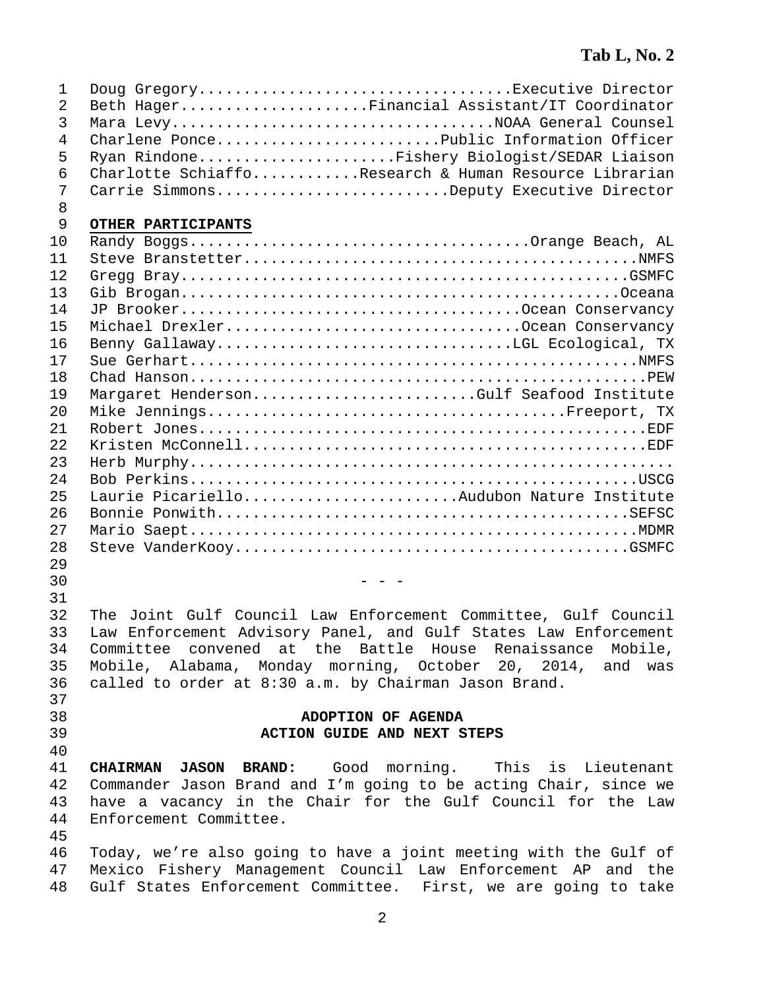| 1              | Doug GregoryExecutive Director                                   |
|----------------|------------------------------------------------------------------|
| 2              | Beth HagerFinancial Assistant/IT Coordinator                     |
| 3              | Mara LevyNOAA General Counsel                                    |
| 4              | Charlene PoncePublic Information Officer                         |
| 5              | Ryan RindoneFishery Biologist/SEDAR Liaison                      |
| 6              | Charlotte SchiaffoResearch & Human Resource Librarian            |
| 7              | Carrie SimmonsDeputy Executive Director                          |
| 8              |                                                                  |
| $\overline{9}$ | OTHER PARTICIPANTS                                               |
| 10             |                                                                  |
| 11             |                                                                  |
| 12             |                                                                  |
| 13             |                                                                  |
| 14             |                                                                  |
| 15             | Michael DrexlerOcean Conservancy                                 |
| 16             |                                                                  |
| 17             |                                                                  |
| 18             |                                                                  |
| 19             | Margaret HendersonGulf Seafood Institute                         |
| 20             |                                                                  |
| 21             |                                                                  |
| 22             |                                                                  |
| 23             |                                                                  |
| 24             |                                                                  |
| 25             | Laurie PicarielloAudubon Nature Institute                        |
| 26             |                                                                  |
| 27             |                                                                  |
| 28             |                                                                  |
| 29             |                                                                  |
| 30             |                                                                  |
| 31             |                                                                  |
| 32             | The Joint Gulf Council Law Enforcement Committee, Gulf Council   |
| 33             | Law Enforcement Advisory Panel, and Gulf States Law Enforcement  |
| 34             | Committee convened at the Battle House Renaissance Mobile,       |
| 35             | Mobile, Alabama, Monday morning, October 20, 2014, and was       |
| 36             | called to order at 8:30 a.m. by Chairman Jason Brand.            |
| 37             |                                                                  |
| 38             | ADOPTION OF AGENDA                                               |
| 39             | ACTION GUIDE AND NEXT STEPS                                      |
| 40             |                                                                  |
| 41             | <b>CHAIRMAN JASON BRAND:</b> Good morning. This is Lieutenant    |
| 42             | Commander Jason Brand and I'm going to be acting Chair, since we |
| 43             | have a vacancy in the Chair for the Gulf Council for the Law     |
| 44             | Enforcement Committee.                                           |
| 45             |                                                                  |
| 46             | Today, we're also going to have a joint meeting with the Gulf of |
| 47             | Mexico Fishery Management Council Law Enforcement AP and the     |
| 48             | Gulf States Enforcement Committee. First, we are going to take   |
|                |                                                                  |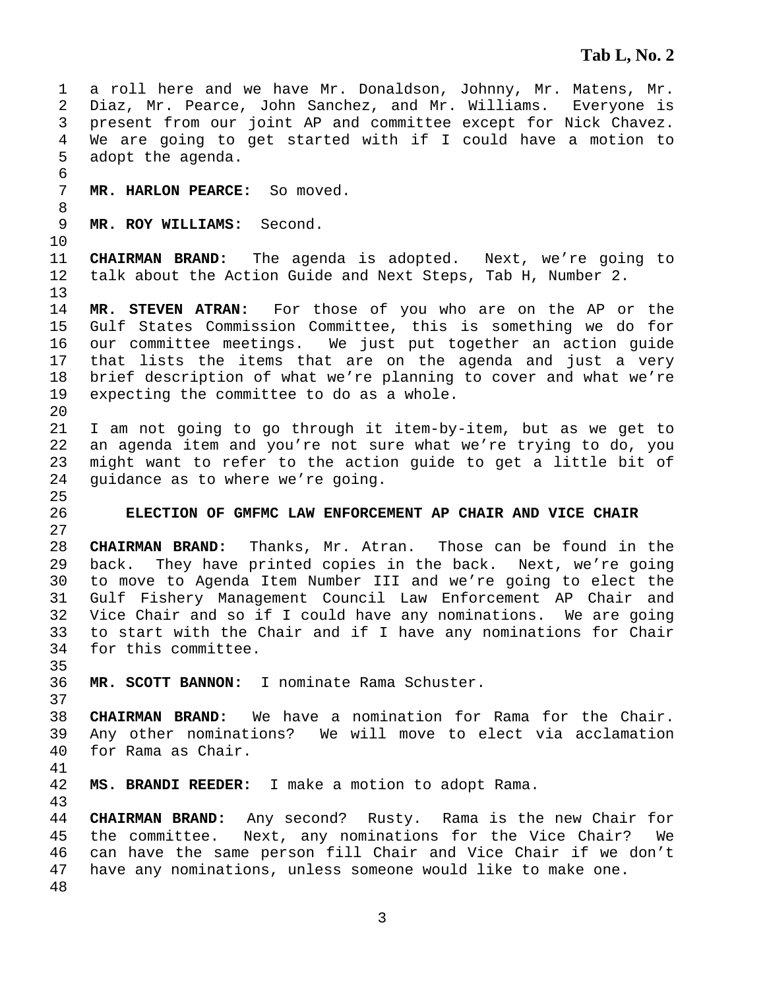```
3 
 1 a roll here and we have Mr. Donaldson, Johnny, Mr. Matens, Mr. 
 2 Diaz, Mr. Pearce, John Sanchez, and Mr. Williams. Everyone is 
 3 present from our joint AP and committee except for Nick Chavez. 
 4 We are going to get started with if I could have a motion to 
 5 adopt the agenda. 
 6 
 7 MR. HARLON PEARCE: So moved. 
 8 
 9 MR. ROY WILLIAMS: Second. 
10 
11 CHAIRMAN BRAND: The agenda is adopted. Next, we're going to 
12 talk about the Action Guide and Next Steps, Tab H, Number 2. 
13 
14 MR. STEVEN ATRAN: For those of you who are on the AP or the 
15 Gulf States Commission Committee, this is something we do for 
16 our committee meetings. We just put together an action guide 
17 that lists the items that are on the agenda and just a very 
18 brief description of what we're planning to cover and what we're 
19 expecting the committee to do as a whole. 
20 
21 I am not going to go through it item-by-item, but as we get to 
22 an agenda item and you're not sure what we're trying to do, you 
23 might want to refer to the action guide to get a little bit of 
24 guidance as to where we're going. 
25 
26 ELECTION OF GMFMC LAW ENFORCEMENT AP CHAIR AND VICE CHAIR 
27 
28 CHAIRMAN BRAND: Thanks, Mr. Atran. Those can be found in the 
29 back. They have printed copies in the back. Next, we're going 
30 to move to Agenda Item Number III and we're going to elect the 
31 Gulf Fishery Management Council Law Enforcement AP Chair and 
32 Vice Chair and so if I could have any nominations. We are going 
33 to start with the Chair and if I have any nominations for Chair 
34 for this committee. 
35 
36 MR. SCOTT BANNON: I nominate Rama Schuster. 
37 
38 CHAIRMAN BRAND: We have a nomination for Rama for the Chair. 
39 Any other nominations? We will move to elect via acclamation 
40 for Rama as Chair. 
41 
42 MS. BRANDI REEDER: I make a motion to adopt Rama. 
43 
44 CHAIRMAN BRAND: Any second? Rusty. Rama is the new Chair for 
45 the committee. Next, any nominations for the Vice Chair? We 
46 can have the same person fill Chair and Vice Chair if we don't 
47 have any nominations, unless someone would like to make one. 
48
```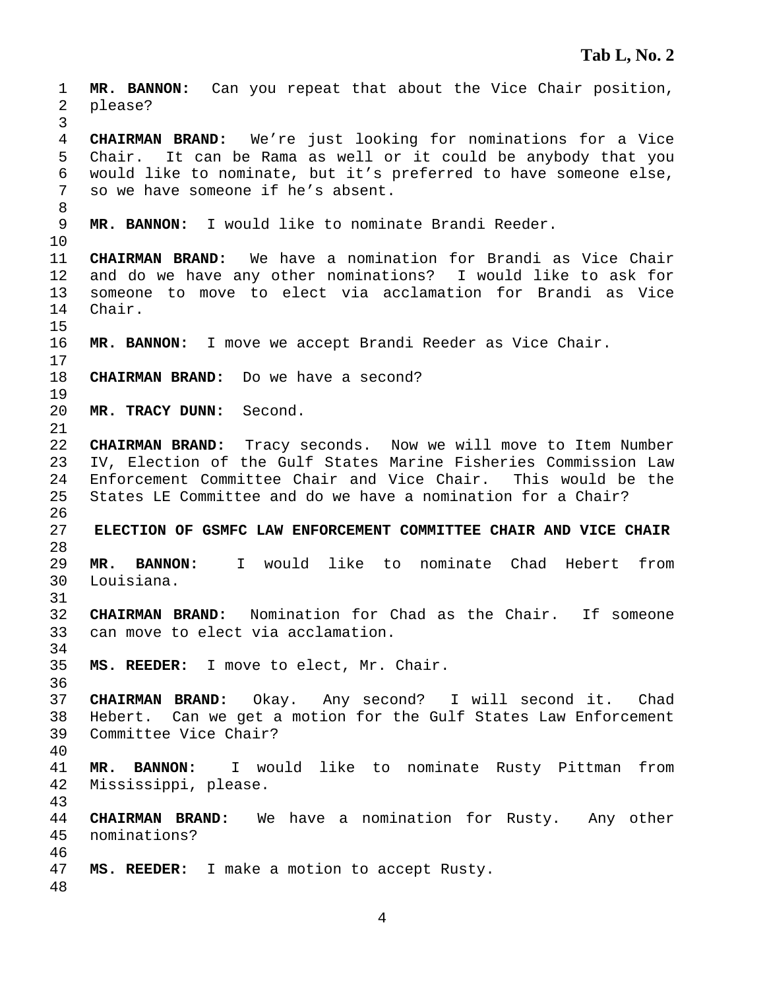**MR. BANNON:** Can you repeat that about the Vice Chair position, 2 please? **CHAIRMAN BRAND:** We're just looking for nominations for a Vice 5 Chair. It can be Rama as well or it could be anybody that you 6 would like to nominate, but it's preferred to have someone else, 7 so we have someone if he's absent. **MR. BANNON:** I would like to nominate Brandi Reeder. **CHAIRMAN BRAND:** We have a nomination for Brandi as Vice Chair 12 and do we have any other nominations? I would like to ask for 13 someone to move to elect via acclamation for Brandi as Vice 14 Chair. **MR. BANNON:** I move we accept Brandi Reeder as Vice Chair. **CHAIRMAN BRAND:** Do we have a second? **MR. TRACY DUNN:** Second. **CHAIRMAN BRAND:** Tracy seconds. Now we will move to Item Number 23 IV, Election of the Gulf States Marine Fisheries Commission Law 24 Enforcement Committee Chair and Vice Chair. This would be the 25 States LE Committee and do we have a nomination for a Chair? **ELECTION OF GSMFC LAW ENFORCEMENT COMMITTEE CHAIR AND VICE CHAIR MR. BANNON:** I would like to nominate Chad Hebert from 30 Louisiana. **CHAIRMAN BRAND:** Nomination for Chad as the Chair. If someone 33 can move to elect via acclamation. **MS. REEDER:** I move to elect, Mr. Chair. **CHAIRMAN BRAND:** Okay. Any second? I will second it. Chad 38 Hebert. Can we get a motion for the Gulf States Law Enforcement 39 Committee Vice Chair? **MR. BANNON:** I would like to nominate Rusty Pittman from 42 Mississippi, please. **CHAIRMAN BRAND:** We have a nomination for Rusty. Any other 45 nominations? **MS. REEDER:** I make a motion to accept Rusty.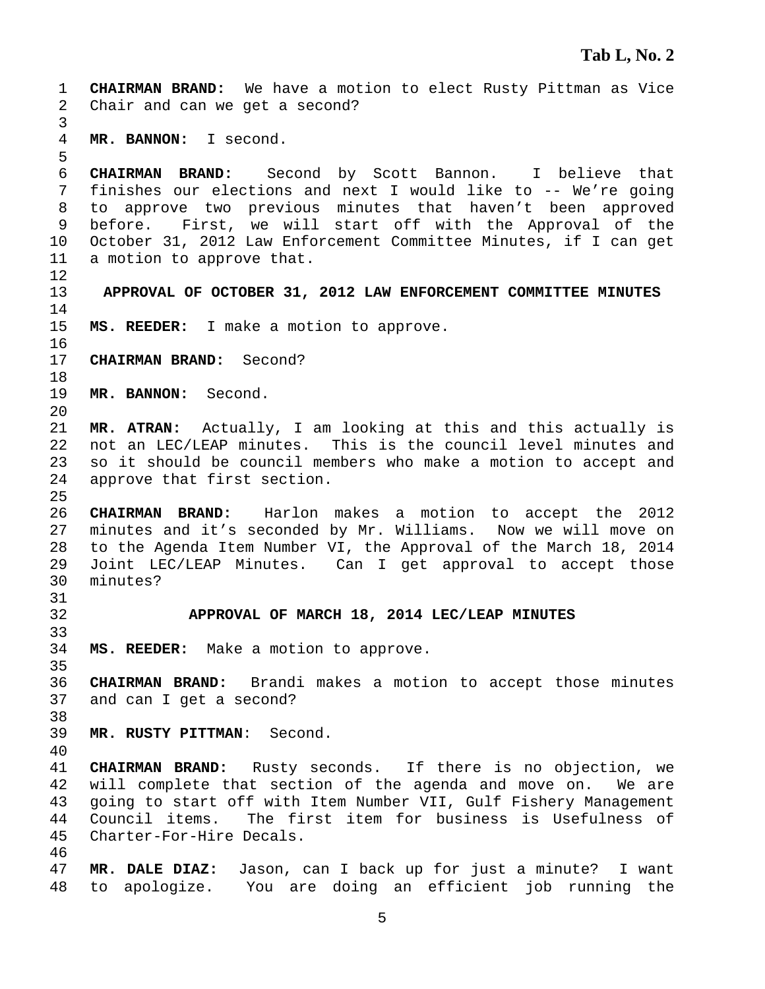1 **CHAIRMAN BRAND:** We have a motion to elect Rusty Pittman as Vice 2 Chair and can we get a second? 3 4 **MR. BANNON:** I second. 5 6 **CHAIRMAN BRAND:** Second by Scott Bannon. I believe that 7 finishes our elections and next I would like to -- We're going 8 to approve two previous minutes that haven't been approved 9 before. First, we will start off with the Approval of the 10 October 31, 2012 Law Enforcement Committee Minutes, if I can get 11 a motion to approve that. 12 13 **APPROVAL OF OCTOBER 31, 2012 LAW ENFORCEMENT COMMITTEE MINUTES**  14 15 **MS. REEDER:** I make a motion to approve. 16 17 **CHAIRMAN BRAND:** Second? 18 19 **MR. BANNON:** Second. 20 21 **MR. ATRAN:** Actually, I am looking at this and this actually is 22 not an LEC/LEAP minutes. This is the council level minutes and 23 so it should be council members who make a motion to accept and 24 approve that first section. 25 26 **CHAIRMAN BRAND:** Harlon makes a motion to accept the 2012 27 minutes and it's seconded by Mr. Williams. Now we will move on 28 to the Agenda Item Number VI, the Approval of the March 18, 2014 29 Joint LEC/LEAP Minutes. Can I get approval to accept those 30 minutes? 31 32 **APPROVAL OF MARCH 18, 2014 LEC/LEAP MINUTES**  33 34 **MS. REEDER:** Make a motion to approve. 35 36 **CHAIRMAN BRAND:** Brandi makes a motion to accept those minutes 37 and can I get a second? 38 39 **MR. RUSTY PITTMAN**: Second. 40 41 **CHAIRMAN BRAND:** Rusty seconds. If there is no objection, we 42 will complete that section of the agenda and move on. We are 43 going to start off with Item Number VII, Gulf Fishery Management 44 Council items. The first item for business is Usefulness of 45 Charter-For-Hire Decals. 46 47 **MR. DALE DIAZ:** Jason, can I back up for just a minute? I want 48 to apologize. You are doing an efficient job running the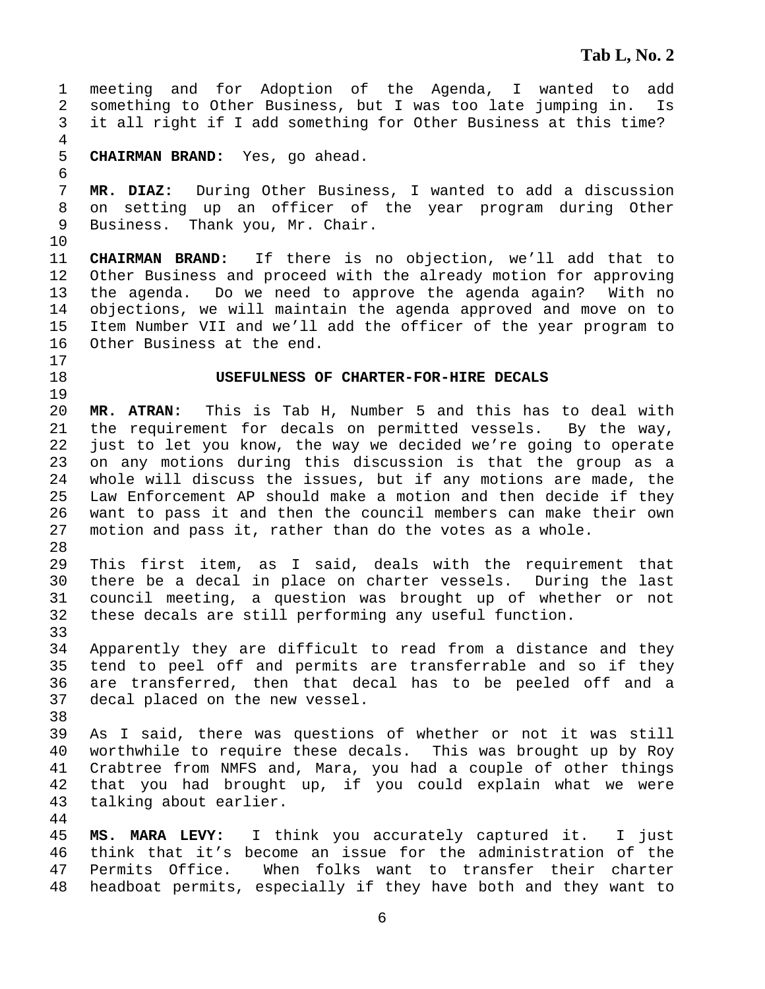1 meeting and for Adoption of the Agenda, I wanted to add 2 something to Other Business, but I was too late jumping in. Is 3 it all right if I add something for Other Business at this time? 4 5 **CHAIRMAN BRAND:** Yes, go ahead. 6 7 **MR. DIAZ:** During Other Business, I wanted to add a discussion 8 on setting up an officer of the year program during Other 9 Business. Thank you, Mr. Chair. 10 11 **CHAIRMAN BRAND:** If there is no objection, we'll add that to 12 Other Business and proceed with the already motion for approving 13 the agenda. Do we need to approve the agenda again? With no 14 objections, we will maintain the agenda approved and move on to 15 Item Number VII and we'll add the officer of the year program to 16 Other Business at the end. 17 18 **USEFULNESS OF CHARTER-FOR-HIRE DECALS**  19 20 **MR. ATRAN:** This is Tab H, Number 5 and this has to deal with 21 the requirement for decals on permitted vessels. By the way, 22 just to let you know, the way we decided we're going to operate 23 on any motions during this discussion is that the group as a 24 whole will discuss the issues, but if any motions are made, the 25 Law Enforcement AP should make a motion and then decide if they 26 want to pass it and then the council members can make their own 27 motion and pass it, rather than do the votes as a whole. 28 29 This first item, as I said, deals with the requirement that 30 there be a decal in place on charter vessels. During the last 31 council meeting, a question was brought up of whether or not 32 these decals are still performing any useful function. 33 34 Apparently they are difficult to read from a distance and they 35 tend to peel off and permits are transferrable and so if they 36 are transferred, then that decal has to be peeled off and a 37 decal placed on the new vessel. 38 39 As I said, there was questions of whether or not it was still 40 worthwhile to require these decals. This was brought up by Roy 41 Crabtree from NMFS and, Mara, you had a couple of other things 42 that you had brought up, if you could explain what we were 43 talking about earlier. 44 45 **MS. MARA LEVY:** I think you accurately captured it. I just 46 think that it's become an issue for the administration of the 47 Permits Office. When folks want to transfer their charter 48 headboat permits, especially if they have both and they want to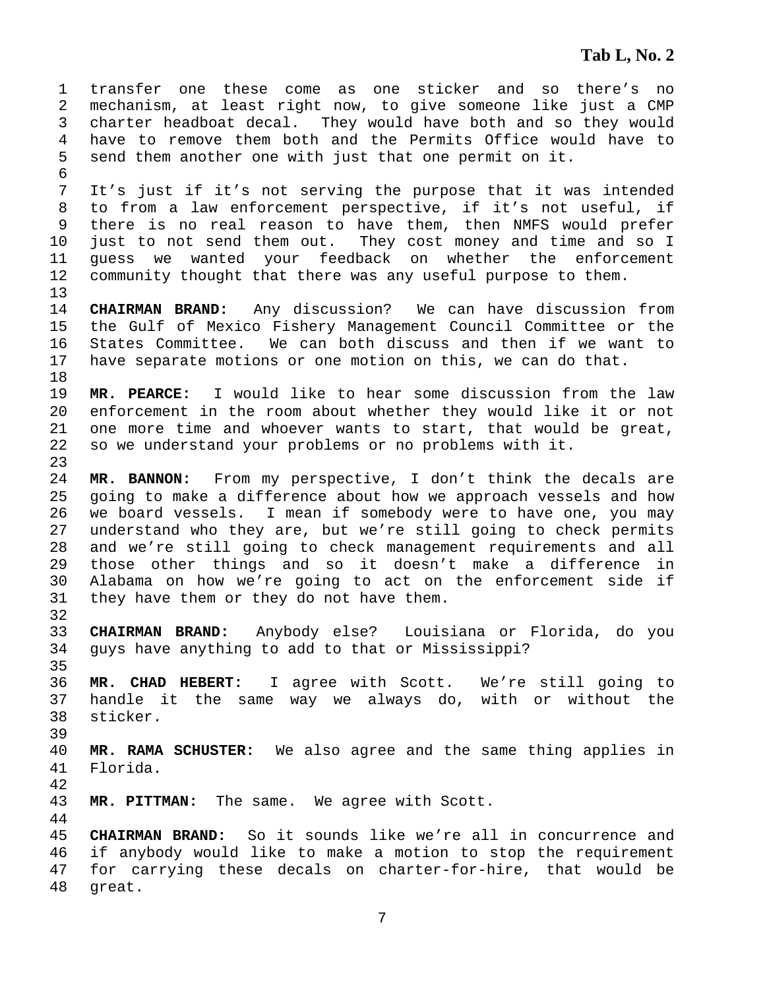1 transfer one these come as one sticker and so there's no 2 mechanism, at least right now, to give someone like just a CMP 3 charter headboat decal. They would have both and so they would 4 have to remove them both and the Permits Office would have to 5 send them another one with just that one permit on it. 6 7 It's just if it's not serving the purpose that it was intended 8 to from a law enforcement perspective, if it's not useful, if 9 there is no real reason to have them, then NMFS would prefer 10 just to not send them out. They cost money and time and so I 11 guess we wanted your feedback on whether the enforcement 12 community thought that there was any useful purpose to them. 13 14 **CHAIRMAN BRAND:** Any discussion? We can have discussion from 15 the Gulf of Mexico Fishery Management Council Committee or the 16 States Committee. We can both discuss and then if we want to 17 have separate motions or one motion on this, we can do that. 18 19 **MR. PEARCE:** I would like to hear some discussion from the law 20 enforcement in the room about whether they would like it or not 21 one more time and whoever wants to start, that would be great, 22 so we understand your problems or no problems with it. 23 24 **MR. BANNON:** From my perspective, I don't think the decals are 25 going to make a difference about how we approach vessels and how 26 we board vessels. I mean if somebody were to have one, you may 27 understand who they are, but we're still going to check permits 28 and we're still going to check management requirements and all 29 those other things and so it doesn't make a difference in 30 Alabama on how we're going to act on the enforcement side if 31 they have them or they do not have them. 32 33 **CHAIRMAN BRAND:** Anybody else? Louisiana or Florida, do you 34 guys have anything to add to that or Mississippi? 35 36 **MR. CHAD HEBERT:** I agree with Scott. We're still going to 37 handle it the same way we always do, with or without the 38 sticker. 39 40 **MR. RAMA SCHUSTER:** We also agree and the same thing applies in 41 Florida. 42 43 **MR. PITTMAN:** The same. We agree with Scott. 44 45 **CHAIRMAN BRAND:** So it sounds like we're all in concurrence and 46 if anybody would like to make a motion to stop the requirement 47 for carrying these decals on charter-for-hire, that would be 48 great.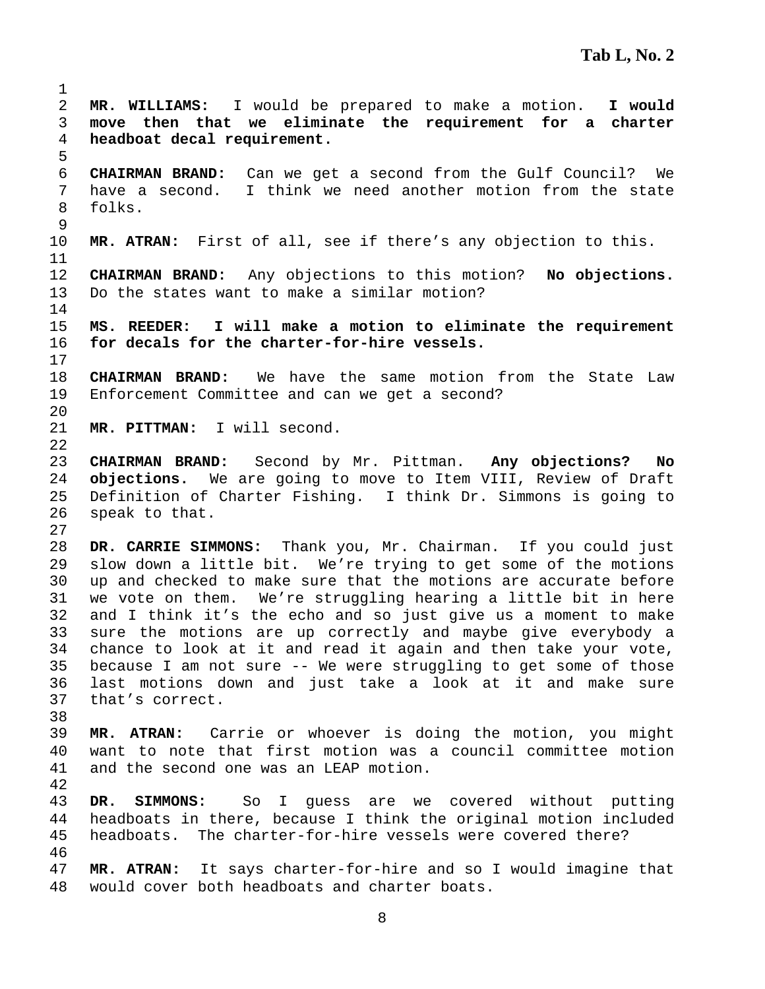2 **MR. WILLIAMS:** I would be prepared to make a motion. **I would**  3 **move then that we eliminate the requirement for a charter**  4 **headboat decal requirement.**  5 6 **CHAIRMAN BRAND:** Can we get a second from the Gulf Council? We 7 have a second. I think we need another motion from the state 8 folks. 9 10 **MR. ATRAN:** First of all, see if there's any objection to this. 11 12 **CHAIRMAN BRAND:** Any objections to this motion? **No objections.**  13 Do the states want to make a similar motion? 14 15 **MS. REEDER: I will make a motion to eliminate the requirement**  16 **for decals for the charter-for-hire vessels.**  17 18 **CHAIRMAN BRAND:** We have the same motion from the State Law 19 Enforcement Committee and can we get a second? 20 21 **MR. PITTMAN:** I will second. 22 23 **CHAIRMAN BRAND:** Second by Mr. Pittman. **Any objections? No**  24 **objections.** We are going to move to Item VIII, Review of Draft 25 Definition of Charter Fishing. I think Dr. Simmons is going to 26 speak to that. 27 28 **DR. CARRIE SIMMONS:** Thank you, Mr. Chairman. If you could just 29 slow down a little bit. We're trying to get some of the motions 30 up and checked to make sure that the motions are accurate before 31 we vote on them. We're struggling hearing a little bit in here 32 and I think it's the echo and so just give us a moment to make 33 sure the motions are up correctly and maybe give everybody a 34 chance to look at it and read it again and then take your vote, 35 because I am not sure -- We were struggling to get some of those 36 last motions down and just take a look at it and make sure 37 that's correct. 38 39 **MR. ATRAN:** Carrie or whoever is doing the motion, you might 40 want to note that first motion was a council committee motion 41 and the second one was an LEAP motion. 42 43 **DR. SIMMONS:** So I guess are we covered without putting 44 headboats in there, because I think the original motion included 45 headboats. The charter-for-hire vessels were covered there? 46 47 **MR. ATRAN:** It says charter-for-hire and so I would imagine that 48 would cover both headboats and charter boats.

1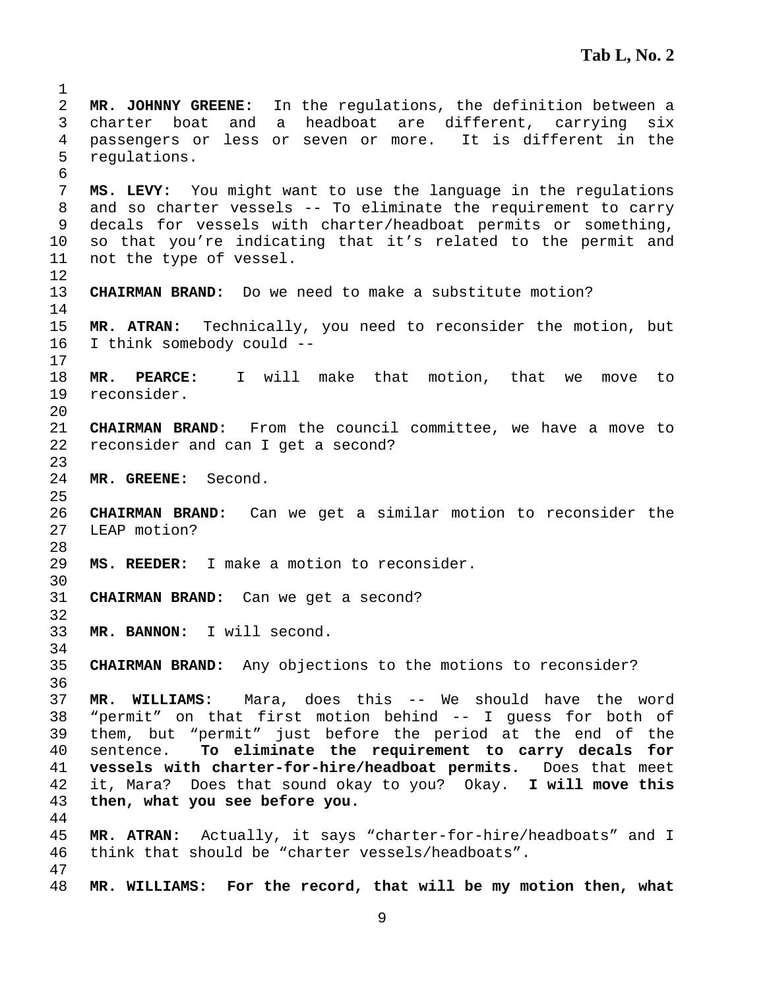**MR. JOHNNY GREENE:** In the regulations, the definition between a 3 charter boat and a headboat are different, carrying six 4 passengers or less or seven or more. It is different in the 5 regulations. **MS. LEVY:** You might want to use the language in the regulations 8 and so charter vessels -- To eliminate the requirement to carry 9 decals for vessels with charter/headboat permits or something, 10 so that you're indicating that it's related to the permit and 11 not the type of vessel. **CHAIRMAN BRAND:** Do we need to make a substitute motion? **MR. ATRAN:** Technically, you need to reconsider the motion, but 16 I think somebody could -- **MR. PEARCE:** I will make that motion, that we move to 19 reconsider. **CHAIRMAN BRAND:** From the council committee, we have a move to 22 reconsider and can I get a second? **MR. GREENE:** Second. **CHAIRMAN BRAND:** Can we get a similar motion to reconsider the 27 LEAP motion? **MS. REEDER:** I make a motion to reconsider. **CHAIRMAN BRAND:** Can we get a second? **MR. BANNON:** I will second. **CHAIRMAN BRAND:** Any objections to the motions to reconsider? **MR. WILLIAMS:** Mara, does this -- We should have the word 38 "permit" on that first motion behind -- I guess for both of 39 them, but "permit" just before the period at the end of the 40 sentence. **To eliminate the requirement to carry decals for vessels with charter-for-hire/headboat permits.** Does that meet 42 it, Mara? Does that sound okay to you? Okay. **I will move this then, what you see before you. MR. ATRAN:** Actually, it says "charter-for-hire/headboats" and I 46 think that should be "charter vessels/headboats". **MR. WILLIAMS: For the record, that will be my motion then, what**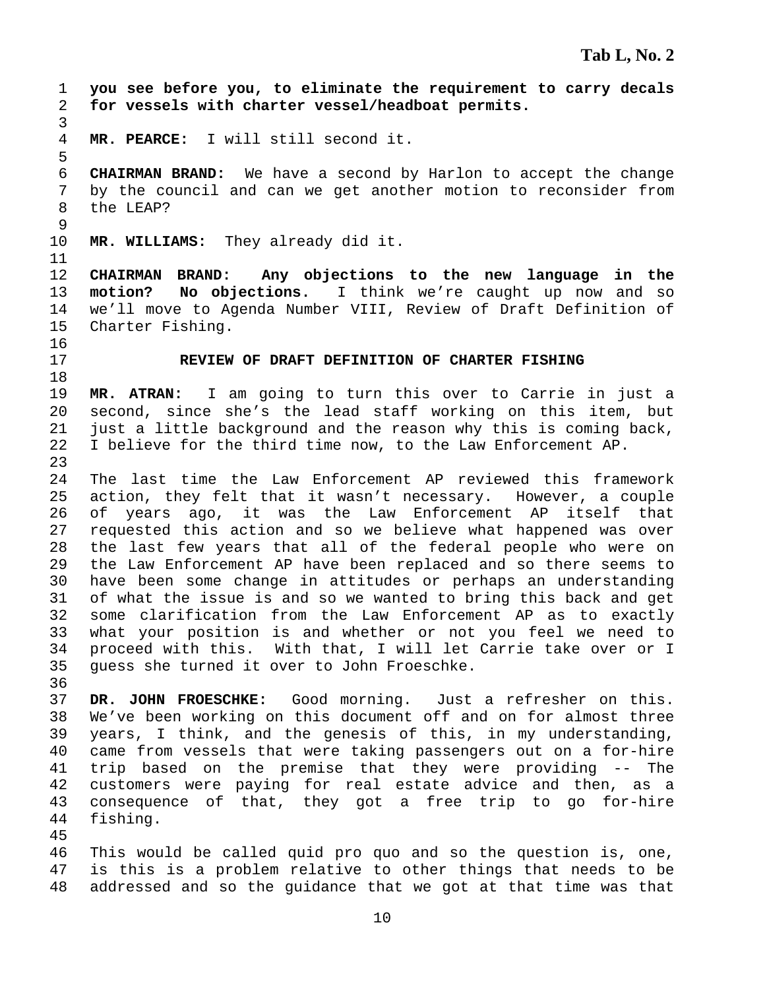1 **you see before you, to eliminate the requirement to carry decals**  2 **for vessels with charter vessel/headboat permits.**  3 4 **MR. PEARCE:** I will still second it. 5 6 **CHAIRMAN BRAND:** We have a second by Harlon to accept the change 7 by the council and can we get another motion to reconsider from 8 the LEAP? 9 10 **MR. WILLIAMS:** They already did it. 11 12 **CHAIRMAN BRAND: Any objections to the new language in the**  13 **motion? No objections.** I think we're caught up now and so 14 we'll move to Agenda Number VIII, Review of Draft Definition of 15 Charter Fishing. 16 17 **REVIEW OF DRAFT DEFINITION OF CHARTER FISHING**  18 19 **MR. ATRAN:** I am going to turn this over to Carrie in just a 20 second, since she's the lead staff working on this item, but 21 just a little background and the reason why this is coming back, 22 I believe for the third time now, to the Law Enforcement AP. 23 24 The last time the Law Enforcement AP reviewed this framework 25 action, they felt that it wasn't necessary. However, a couple 26 of years ago, it was the Law Enforcement AP itself that 27 requested this action and so we believe what happened was over 28 the last few years that all of the federal people who were on 29 the Law Enforcement AP have been replaced and so there seems to 30 have been some change in attitudes or perhaps an understanding 31 of what the issue is and so we wanted to bring this back and get 32 some clarification from the Law Enforcement AP as to exactly 33 what your position is and whether or not you feel we need to 34 proceed with this. With that, I will let Carrie take over or I 35 guess she turned it over to John Froeschke. 36 37 **DR. JOHN FROESCHKE:** Good morning. Just a refresher on this. 38 We've been working on this document off and on for almost three 39 years, I think, and the genesis of this, in my understanding, 40 came from vessels that were taking passengers out on a for-hire 41 trip based on the premise that they were providing -- The 42 customers were paying for real estate advice and then, as a 43 consequence of that, they got a free trip to go for-hire 44 fishing. 45 46 This would be called quid pro quo and so the question is, one, 47 is this is a problem relative to other things that needs to be 48 addressed and so the guidance that we got at that time was that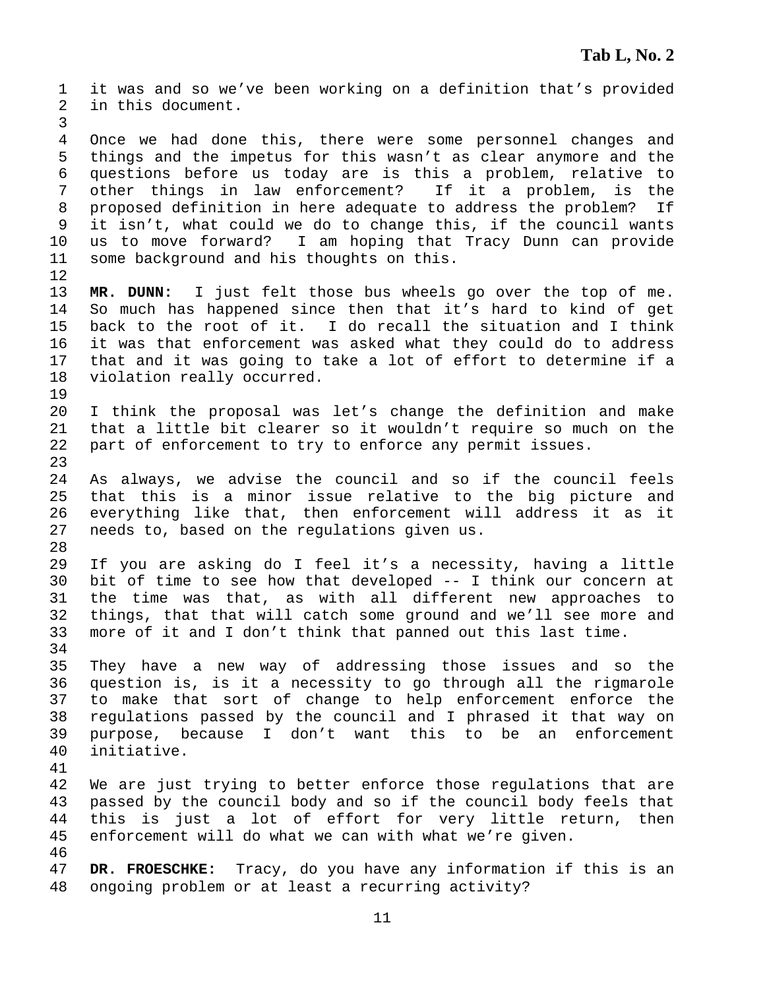1 it was and so we've been working on a definition that's provided 2 in this document. 3 4 Once we had done this, there were some personnel changes and 5 things and the impetus for this wasn't as clear anymore and the 6 questions before us today are is this a problem, relative to 7 other things in law enforcement? If it a problem, is the 8 proposed definition in here adequate to address the problem? If 9 it isn't, what could we do to change this, if the council wants 10 us to move forward? I am hoping that Tracy Dunn can provide 11 some background and his thoughts on this. 12 13 **MR. DUNN:** I just felt those bus wheels go over the top of me. 14 So much has happened since then that it's hard to kind of get 15 back to the root of it. I do recall the situation and I think 16 it was that enforcement was asked what they could do to address 17 that and it was going to take a lot of effort to determine if a 18 violation really occurred. 19 20 I think the proposal was let's change the definition and make 21 that a little bit clearer so it wouldn't require so much on the 22 part of enforcement to try to enforce any permit issues. 23 24 As always, we advise the council and so if the council feels 25 that this is a minor issue relative to the big picture and 26 everything like that, then enforcement will address it as it 27 needs to, based on the regulations given us. 28 29 If you are asking do I feel it's a necessity, having a little 30 bit of time to see how that developed -- I think our concern at 31 the time was that, as with all different new approaches to 32 things, that that will catch some ground and we'll see more and 33 more of it and I don't think that panned out this last time. 34 35 They have a new way of addressing those issues and so the 36 question is, is it a necessity to go through all the rigmarole 37 to make that sort of change to help enforcement enforce the 38 regulations passed by the council and I phrased it that way on 39 purpose, because I don't want this to be an enforcement 40 initiative. 41 42 We are just trying to better enforce those regulations that are 43 passed by the council body and so if the council body feels that 44 this is just a lot of effort for very little return, then 45 enforcement will do what we can with what we're given. 46 47 **DR. FROESCHKE:** Tracy, do you have any information if this is an 48 ongoing problem or at least a recurring activity?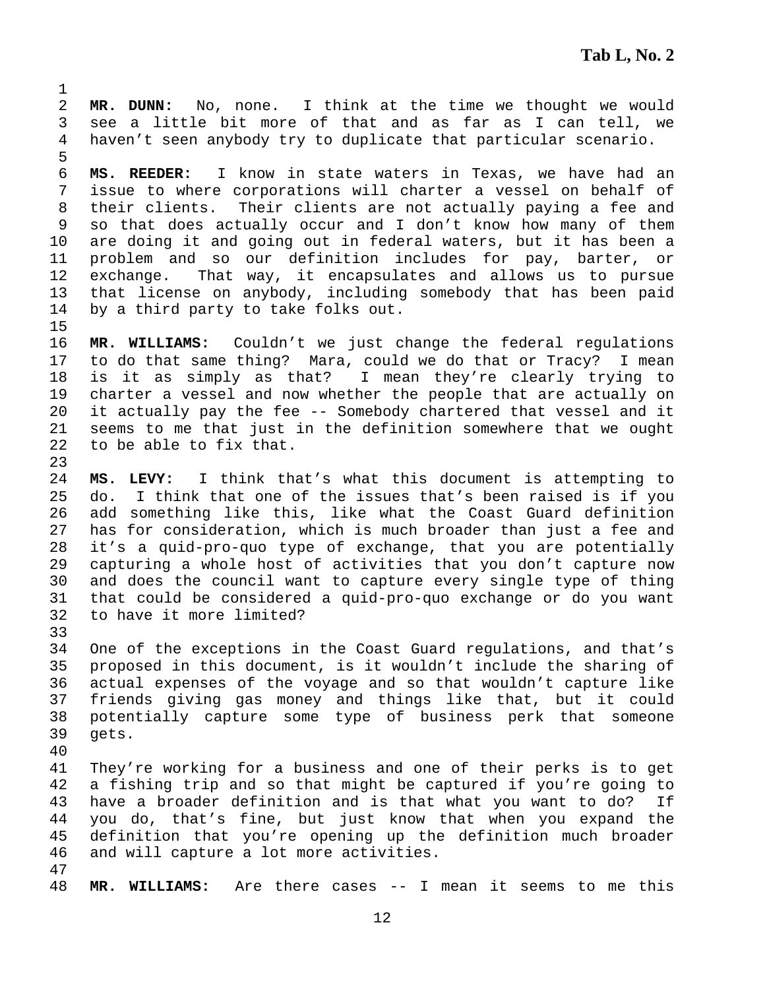2 **MR. DUNN:** No, none. I think at the time we thought we would 3 see a little bit more of that and as far as I can tell, we 4 haven't seen anybody try to duplicate that particular scenario.

6 **MS. REEDER:** I know in state waters in Texas, we have had an 7 issue to where corporations will charter a vessel on behalf of 8 their clients. Their clients are not actually paying a fee and 9 so that does actually occur and I don't know how many of them 10 are doing it and going out in federal waters, but it has been a 11 problem and so our definition includes for pay, barter, or 12 exchange. That way, it encapsulates and allows us to pursue 13 that license on anybody, including somebody that has been paid 14 by a third party to take folks out.

16 **MR. WILLIAMS:** Couldn't we just change the federal regulations 17 to do that same thing? Mara, could we do that or Tracy? I mean 18 is it as simply as that? I mean they're clearly trying to 19 charter a vessel and now whether the people that are actually on 20 it actually pay the fee -- Somebody chartered that vessel and it 21 seems to me that just in the definition somewhere that we ought 22 to be able to fix that.

24 **MS. LEVY:** I think that's what this document is attempting to 25 do. I think that one of the issues that's been raised is if you 26 add something like this, like what the Coast Guard definition 27 has for consideration, which is much broader than just a fee and 28 it's a quid-pro-quo type of exchange, that you are potentially 29 capturing a whole host of activities that you don't capture now 30 and does the council want to capture every single type of thing 31 that could be considered a quid-pro-quo exchange or do you want 32 to have it more limited?

34 One of the exceptions in the Coast Guard regulations, and that's 35 proposed in this document, is it wouldn't include the sharing of 36 actual expenses of the voyage and so that wouldn't capture like 37 friends giving gas money and things like that, but it could 38 potentially capture some type of business perk that someone 39 gets.

40

33

1

5

15

23

41 They're working for a business and one of their perks is to get 42 a fishing trip and so that might be captured if you're going to 43 have a broader definition and is that what you want to do? If 44 you do, that's fine, but just know that when you expand the 45 definition that you're opening up the definition much broader 46 and will capture a lot more activities.

47

48 **MR. WILLIAMS:** Are there cases -- I mean it seems to me this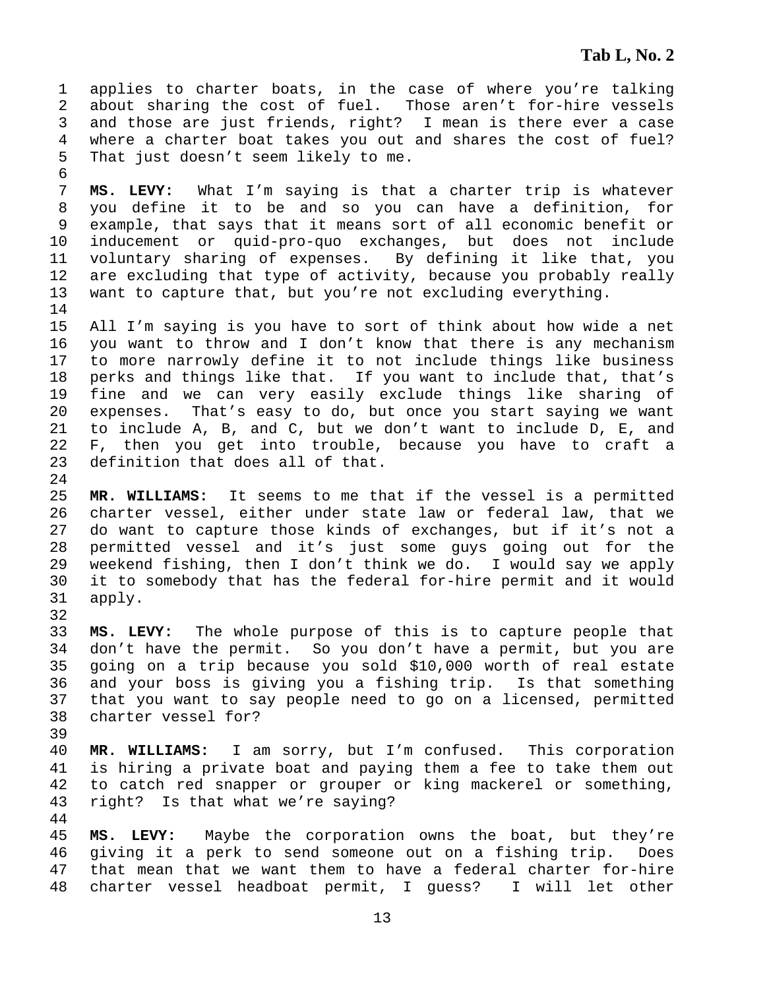1 applies to charter boats, in the case of where you're talking 2 about sharing the cost of fuel. Those aren't for-hire vessels 3 and those are just friends, right? I mean is there ever a case 4 where a charter boat takes you out and shares the cost of fuel? 5 That just doesn't seem likely to me.

6

24

32

44

7 **MS. LEVY:** What I'm saying is that a charter trip is whatever 8 you define it to be and so you can have a definition, for 9 example, that says that it means sort of all economic benefit or 10 inducement or quid-pro-quo exchanges, but does not include 11 voluntary sharing of expenses. By defining it like that, you 12 are excluding that type of activity, because you probably really 13 want to capture that, but you're not excluding everything. 14

15 All I'm saying is you have to sort of think about how wide a net 16 you want to throw and I don't know that there is any mechanism 17 to more narrowly define it to not include things like business 18 perks and things like that. If you want to include that, that's 19 fine and we can very easily exclude things like sharing of 20 expenses. That's easy to do, but once you start saying we want 21 to include A, B, and C, but we don't want to include D, E, and 22 F, then you get into trouble, because you have to craft a 23 definition that does all of that.

25 **MR. WILLIAMS:** It seems to me that if the vessel is a permitted 26 charter vessel, either under state law or federal law, that we 27 do want to capture those kinds of exchanges, but if it's not a 28 permitted vessel and it's just some guys going out for the 29 weekend fishing, then I don't think we do. I would say we apply 30 it to somebody that has the federal for-hire permit and it would 31 apply.

33 **MS. LEVY:** The whole purpose of this is to capture people that 34 don't have the permit. So you don't have a permit, but you are 35 going on a trip because you sold \$10,000 worth of real estate 36 and your boss is giving you a fishing trip. Is that something 37 that you want to say people need to go on a licensed, permitted 38 charter vessel for? 39

40 **MR. WILLIAMS:** I am sorry, but I'm confused. This corporation 41 is hiring a private boat and paying them a fee to take them out 42 to catch red snapper or grouper or king mackerel or something, 43 right? Is that what we're saying?

45 **MS. LEVY:** Maybe the corporation owns the boat, but they're 46 giving it a perk to send someone out on a fishing trip. Does 47 that mean that we want them to have a federal charter for-hire 48 charter vessel headboat permit, I guess? I will let other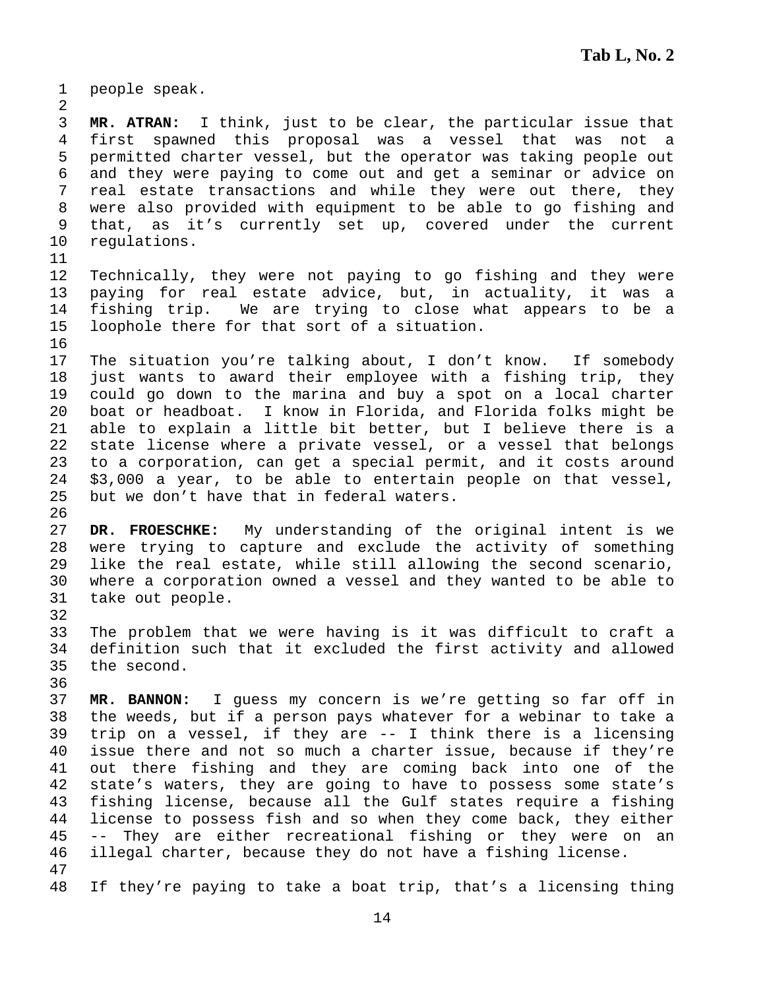1 people speak. 2 3 **MR. ATRAN:** I think, just to be clear, the particular issue that 4 first spawned this proposal was a vessel that was not a 5 permitted charter vessel, but the operator was taking people out 6 and they were paying to come out and get a seminar or advice on 7 real estate transactions and while they were out there, they 8 were also provided with equipment to be able to go fishing and 9 that, as it's currently set up, covered under the current 10 regulations. 11 12 Technically, they were not paying to go fishing and they were 13 paying for real estate advice, but, in actuality, it was a 14 fishing trip. We are trying to close what appears to be a 15 loophole there for that sort of a situation. 16 17 The situation you're talking about, I don't know. If somebody 18 just wants to award their employee with a fishing trip, they 19 could go down to the marina and buy a spot on a local charter 20 boat or headboat. I know in Florida, and Florida folks might be 21 able to explain a little bit better, but I believe there is a 22 state license where a private vessel, or a vessel that belongs 23 to a corporation, can get a special permit, and it costs around 24 \$3,000 a year, to be able to entertain people on that vessel, 25 but we don't have that in federal waters. 26 27 **DR. FROESCHKE:** My understanding of the original intent is we 28 were trying to capture and exclude the activity of something 29 like the real estate, while still allowing the second scenario, 30 where a corporation owned a vessel and they wanted to be able to 31 take out people. 32 33 The problem that we were having is it was difficult to craft a 34 definition such that it excluded the first activity and allowed 35 the second. 36 37 **MR. BANNON:** I guess my concern is we're getting so far off in 38 the weeds, but if a person pays whatever for a webinar to take a 39 trip on a vessel, if they are -- I think there is a licensing 40 issue there and not so much a charter issue, because if they're 41 out there fishing and they are coming back into one of the 42 state's waters, they are going to have to possess some state's 43 fishing license, because all the Gulf states require a fishing 44 license to possess fish and so when they come back, they either 45 -- They are either recreational fishing or they were on an 46 illegal charter, because they do not have a fishing license. 47 48 If they're paying to take a boat trip, that's a licensing thing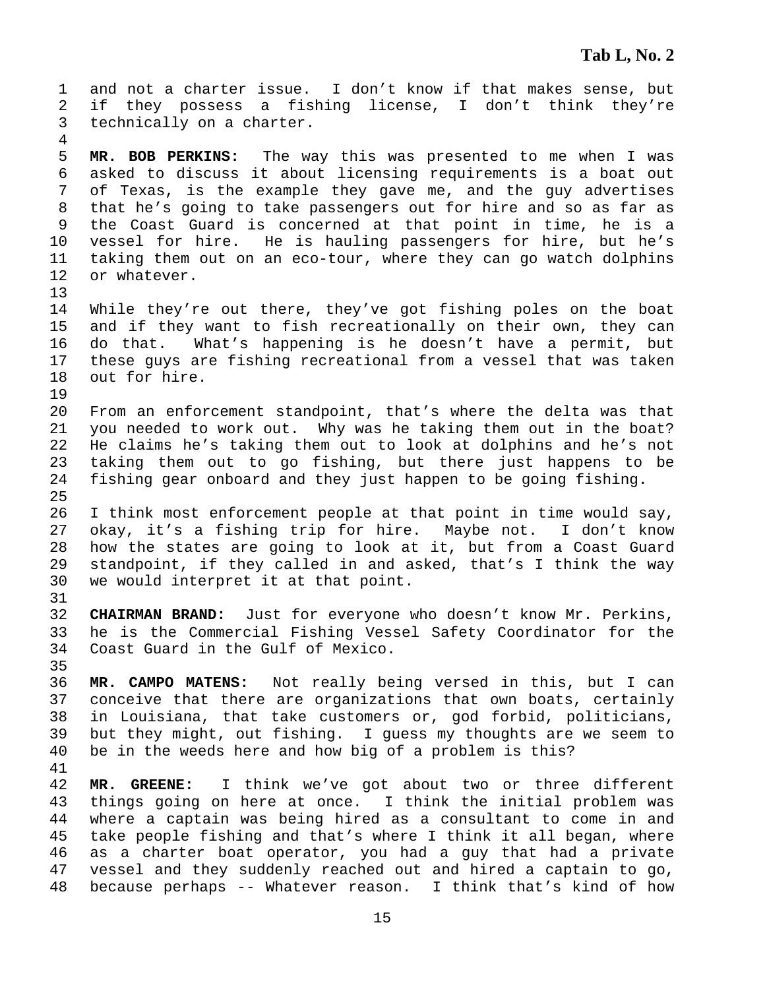1 and not a charter issue. I don't know if that makes sense, but 2 if they possess a fishing license, I don't think they're 3 technically on a charter. 4 5 **MR. BOB PERKINS:** The way this was presented to me when I was 6 asked to discuss it about licensing requirements is a boat out 7 of Texas, is the example they gave me, and the guy advertises 8 that he's going to take passengers out for hire and so as far as 9 the Coast Guard is concerned at that point in time, he is a 10 vessel for hire. He is hauling passengers for hire, but he's 11 taking them out on an eco-tour, where they can go watch dolphins 12 or whatever. 13 14 While they're out there, they've got fishing poles on the boat 15 and if they want to fish recreationally on their own, they can 16 do that. What's happening is he doesn't have a permit, but 17 these guys are fishing recreational from a vessel that was taken 18 out for hire. 19 20 From an enforcement standpoint, that's where the delta was that 21 you needed to work out. Why was he taking them out in the boat? 22 He claims he's taking them out to look at dolphins and he's not 23 taking them out to go fishing, but there just happens to be 24 fishing gear onboard and they just happen to be going fishing. 25 26 I think most enforcement people at that point in time would say, 27 okay, it's a fishing trip for hire. Maybe not. I don't know 28 how the states are going to look at it, but from a Coast Guard 29 standpoint, if they called in and asked, that's I think the way 30 we would interpret it at that point. 31 32 **CHAIRMAN BRAND:** Just for everyone who doesn't know Mr. Perkins, 33 he is the Commercial Fishing Vessel Safety Coordinator for the 34 Coast Guard in the Gulf of Mexico. 35 36 **MR. CAMPO MATENS:** Not really being versed in this, but I can 37 conceive that there are organizations that own boats, certainly 38 in Louisiana, that take customers or, god forbid, politicians, 39 but they might, out fishing. I guess my thoughts are we seem to 40 be in the weeds here and how big of a problem is this? 41 42 **MR. GREENE:** I think we've got about two or three different 43 things going on here at once. I think the initial problem was 44 where a captain was being hired as a consultant to come in and 45 take people fishing and that's where I think it all began, where 46 as a charter boat operator, you had a guy that had a private 47 vessel and they suddenly reached out and hired a captain to go, 48 because perhaps -- Whatever reason. I think that's kind of how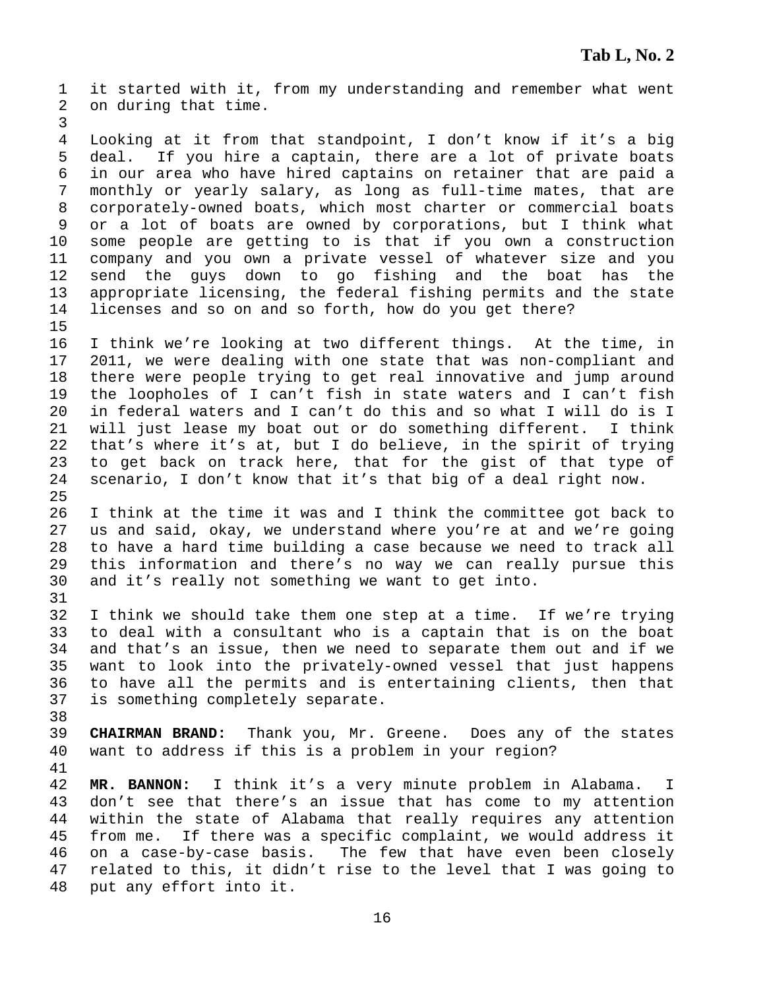1 it started with it, from my understanding and remember what went 2 on during that time.

4 Looking at it from that standpoint, I don't know if it's a big 5 deal. If you hire a captain, there are a lot of private boats 6 in our area who have hired captains on retainer that are paid a 7 monthly or yearly salary, as long as full-time mates, that are 8 corporately-owned boats, which most charter or commercial boats 9 or a lot of boats are owned by corporations, but I think what 10 some people are getting to is that if you own a construction 11 company and you own a private vessel of whatever size and you 12 send the guys down to go fishing and the boat has the 13 appropriate licensing, the federal fishing permits and the state 14 licenses and so on and so forth, how do you get there? 15

16 I think we're looking at two different things. At the time, in 17 2011, we were dealing with one state that was non-compliant and 18 there were people trying to get real innovative and jump around 19 the loopholes of I can't fish in state waters and I can't fish 20 in federal waters and I can't do this and so what I will do is I 21 will just lease my boat out or do something different. I think 22 that's where it's at, but I do believe, in the spirit of trying 23 to get back on track here, that for the gist of that type of 24 scenario, I don't know that it's that big of a deal right now. 25

26 I think at the time it was and I think the committee got back to 27 us and said, okay, we understand where you're at and we're going 28 to have a hard time building a case because we need to track all 29 this information and there's no way we can really pursue this 30 and it's really not something we want to get into.

32 I think we should take them one step at a time. If we're trying 33 to deal with a consultant who is a captain that is on the boat 34 and that's an issue, then we need to separate them out and if we 35 want to look into the privately-owned vessel that just happens 36 to have all the permits and is entertaining clients, then that 37 is something completely separate.

39 **CHAIRMAN BRAND:** Thank you, Mr. Greene. Does any of the states 40 want to address if this is a problem in your region?

41

38

31

3

42 **MR. BANNON:** I think it's a very minute problem in Alabama. I 43 don't see that there's an issue that has come to my attention 44 within the state of Alabama that really requires any attention 45 from me. If there was a specific complaint, we would address it 46 on a case-by-case basis. The few that have even been closely 47 related to this, it didn't rise to the level that I was going to 48 put any effort into it.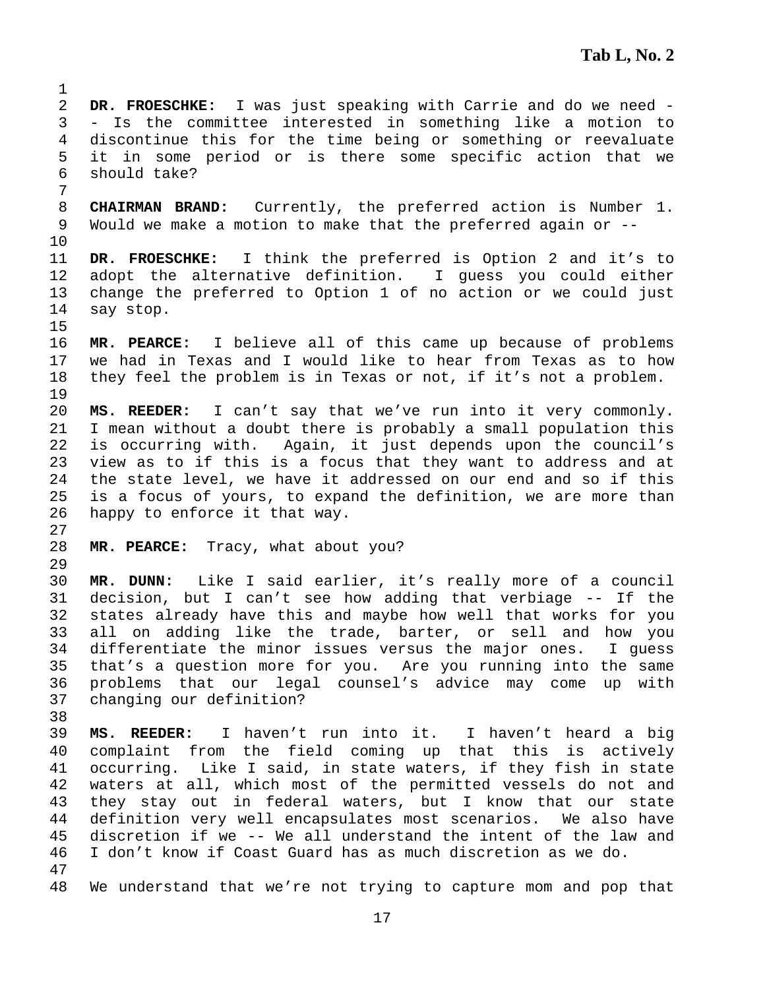2 **DR. FROESCHKE:** I was just speaking with Carrie and do we need - 3 - Is the committee interested in something like a motion to 4 discontinue this for the time being or something or reevaluate 5 it in some period or is there some specific action that we 6 should take? 7 8 **CHAIRMAN BRAND:** Currently, the preferred action is Number 1. 9 Would we make a motion to make that the preferred again or -- 10 11 **DR. FROESCHKE:** I think the preferred is Option 2 and it's to 12 adopt the alternative definition. I guess you could either 13 change the preferred to Option 1 of no action or we could just 14 say stop. 15 16 **MR. PEARCE:** I believe all of this came up because of problems 17 we had in Texas and I would like to hear from Texas as to how 18 they feel the problem is in Texas or not, if it's not a problem. 19 20 **MS. REEDER:** I can't say that we've run into it very commonly. 21 I mean without a doubt there is probably a small population this 22 is occurring with. Again, it just depends upon the council's 23 view as to if this is a focus that they want to address and at 24 the state level, we have it addressed on our end and so if this 25 is a focus of yours, to expand the definition, we are more than 26 happy to enforce it that way. 27 28 **MR. PEARCE:** Tracy, what about you? 29 30 **MR. DUNN:** Like I said earlier, it's really more of a council 31 decision, but I can't see how adding that verbiage -- If the 32 states already have this and maybe how well that works for you 33 all on adding like the trade, barter, or sell and how you 34 differentiate the minor issues versus the major ones. I guess 35 that's a question more for you. Are you running into the same 36 problems that our legal counsel's advice may come up with 37 changing our definition? 38 39 **MS. REEDER:** I haven't run into it. I haven't heard a big 40 complaint from the field coming up that this is actively 41 occurring. Like I said, in state waters, if they fish in state 42 waters at all, which most of the permitted vessels do not and 43 they stay out in federal waters, but I know that our state 44 definition very well encapsulates most scenarios. We also have 45 discretion if we -- We all understand the intent of the law and 46 I don't know if Coast Guard has as much discretion as we do. 47 48 We understand that we're not trying to capture mom and pop that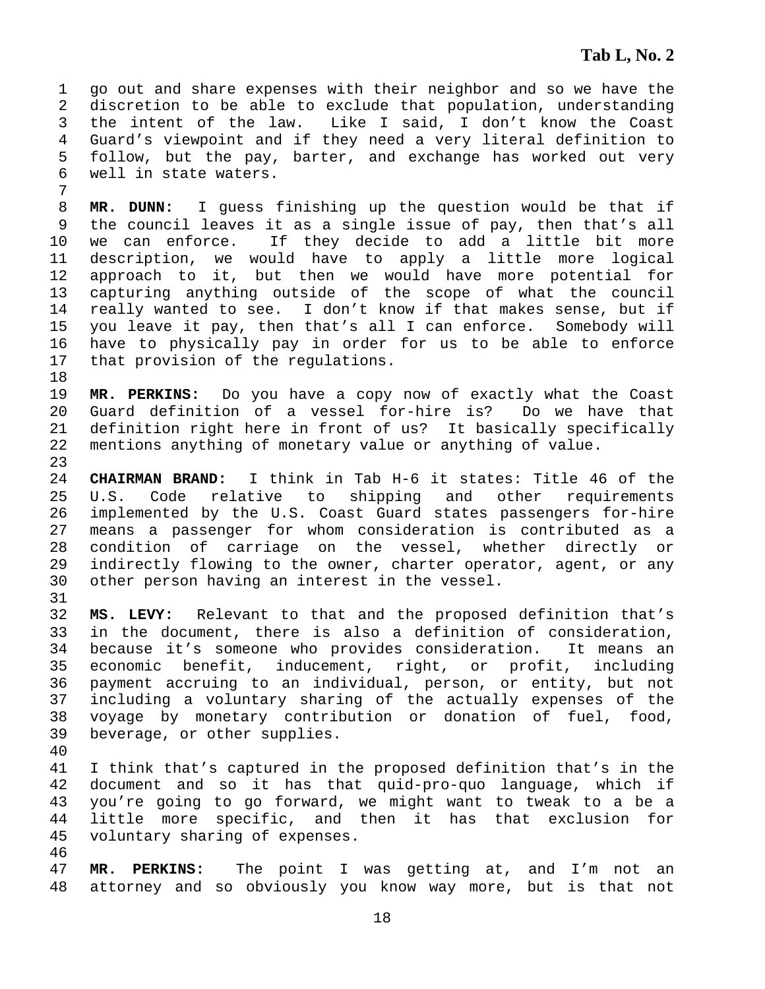1 go out and share expenses with their neighbor and so we have the 2 discretion to be able to exclude that population, understanding 3 the intent of the law. Like I said, I don't know the Coast 4 Guard's viewpoint and if they need a very literal definition to 5 follow, but the pay, barter, and exchange has worked out very 6 well in state waters.

8 **MR. DUNN:** I guess finishing up the question would be that if 9 the council leaves it as a single issue of pay, then that's all 10 we can enforce. If they decide to add a little bit more 11 description, we would have to apply a little more logical 12 approach to it, but then we would have more potential for 13 capturing anything outside of the scope of what the council 14 really wanted to see. I don't know if that makes sense, but if 15 you leave it pay, then that's all I can enforce. Somebody will 16 have to physically pay in order for us to be able to enforce 17 that provision of the regulations.

19 **MR. PERKINS:** Do you have a copy now of exactly what the Coast 20 Guard definition of a vessel for-hire is? Do we have that 21 definition right here in front of us? It basically specifically 22 mentions anything of monetary value or anything of value.

24 **CHAIRMAN BRAND:** I think in Tab H-6 it states: Title 46 of the 25 U.S. Code relative to shipping and other requirements 26 implemented by the U.S. Coast Guard states passengers for-hire 27 means a passenger for whom consideration is contributed as a 28 condition of carriage on the vessel, whether directly or 29 indirectly flowing to the owner, charter operator, agent, or any 30 other person having an interest in the vessel.

32 **MS. LEVY:** Relevant to that and the proposed definition that's 33 in the document, there is also a definition of consideration, 34 because it's someone who provides consideration. It means an 35 economic benefit, inducement, right, or profit, including 36 payment accruing to an individual, person, or entity, but not 37 including a voluntary sharing of the actually expenses of the 38 voyage by monetary contribution or donation of fuel, food, 39 beverage, or other supplies.

40

7

18

23

31

41 I think that's captured in the proposed definition that's in the 42 document and so it has that quid-pro-quo language, which if 43 you're going to go forward, we might want to tweak to a be a 44 little more specific, and then it has that exclusion for 45 voluntary sharing of expenses.

46

47 **MR. PERKINS:** The point I was getting at, and I'm not an 48 attorney and so obviously you know way more, but is that not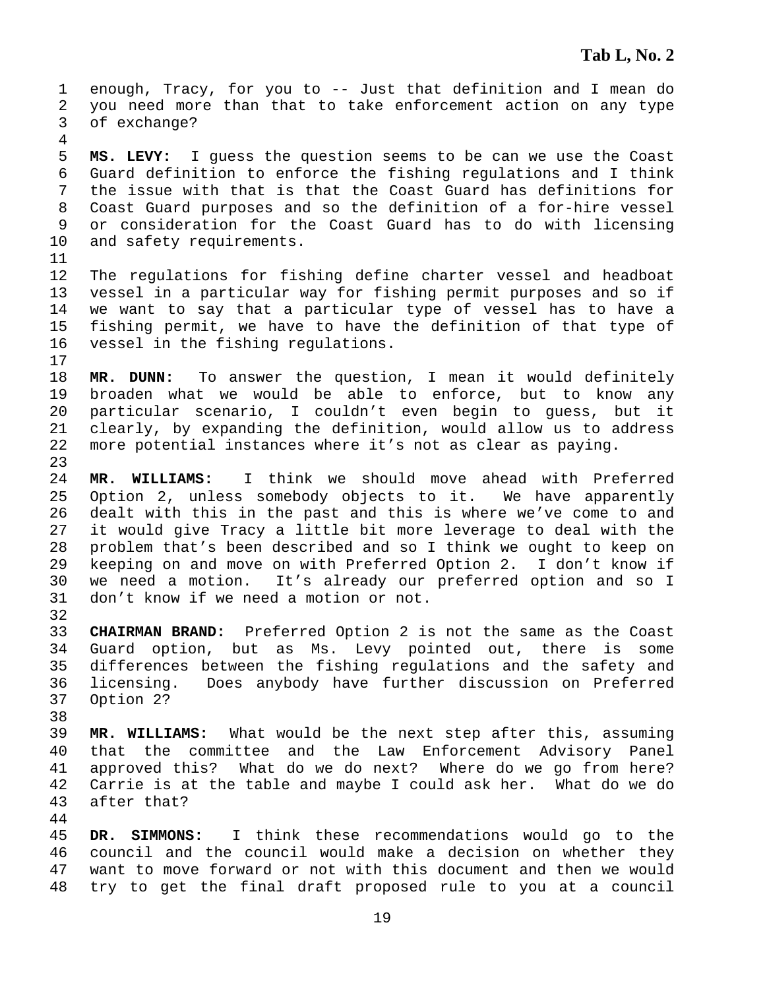1 enough, Tracy, for you to -- Just that definition and I mean do 2 you need more than that to take enforcement action on any type 3 of exchange? 4 5 **MS. LEVY:** I guess the question seems to be can we use the Coast 6 Guard definition to enforce the fishing regulations and I think 7 the issue with that is that the Coast Guard has definitions for 8 Coast Guard purposes and so the definition of a for-hire vessel 9 or consideration for the Coast Guard has to do with licensing 10 and safety requirements. 11 12 The regulations for fishing define charter vessel and headboat 13 vessel in a particular way for fishing permit purposes and so if 14 we want to say that a particular type of vessel has to have a 15 fishing permit, we have to have the definition of that type of 16 vessel in the fishing regulations. 17 18 **MR. DUNN:** To answer the question, I mean it would definitely 19 broaden what we would be able to enforce, but to know any 20 particular scenario, I couldn't even begin to guess, but it 21 clearly, by expanding the definition, would allow us to address 22 more potential instances where it's not as clear as paying. 23 24 **MR. WILLIAMS:** I think we should move ahead with Preferred 25 Option 2, unless somebody objects to it. We have apparently 26 dealt with this in the past and this is where we've come to and 27 it would give Tracy a little bit more leverage to deal with the 28 problem that's been described and so I think we ought to keep on 29 keeping on and move on with Preferred Option 2. I don't know if 30 we need a motion. It's already our preferred option and so I 31 don't know if we need a motion or not. 32 33 **CHAIRMAN BRAND:** Preferred Option 2 is not the same as the Coast 34 Guard option, but as Ms. Levy pointed out, there is some 35 differences between the fishing regulations and the safety and 36 licensing. Does anybody have further discussion on Preferred 37 Option 2? 38 39 **MR. WILLIAMS:** What would be the next step after this, assuming 40 that the committee and the Law Enforcement Advisory Panel 41 approved this? What do we do next? Where do we go from here? 42 Carrie is at the table and maybe I could ask her. What do we do 43 after that? 44 45 **DR. SIMMONS:** I think these recommendations would go to the 46 council and the council would make a decision on whether they 47 want to move forward or not with this document and then we would

48 try to get the final draft proposed rule to you at a council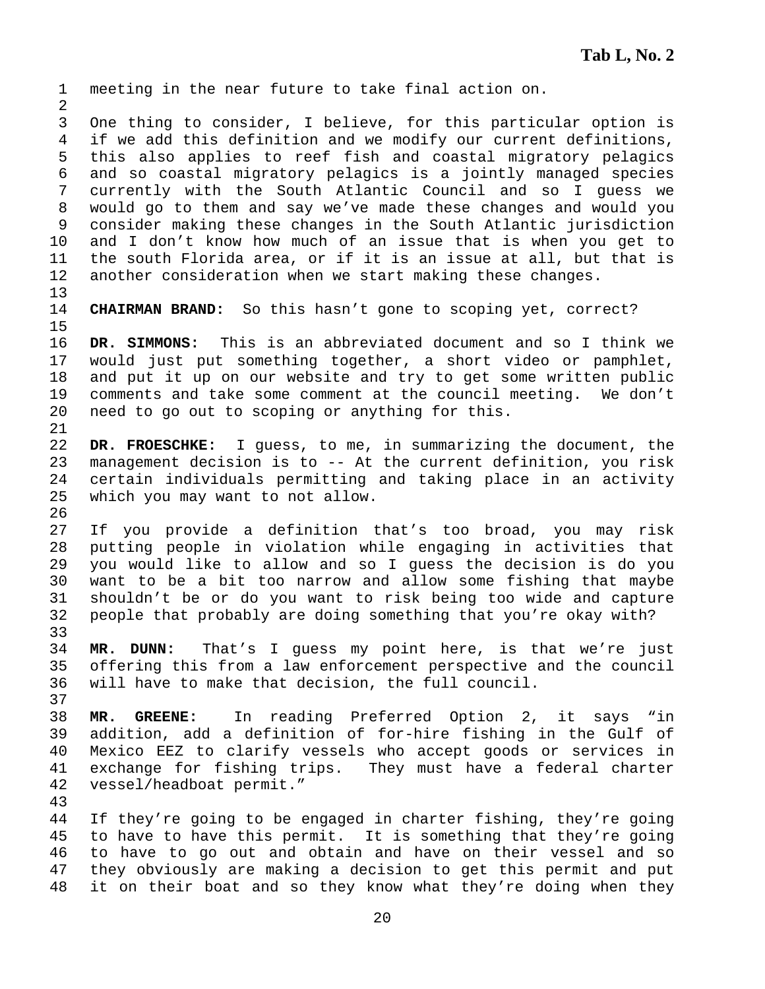1 meeting in the near future to take final action on. 2 3 One thing to consider, I believe, for this particular option is 4 if we add this definition and we modify our current definitions, 5 this also applies to reef fish and coastal migratory pelagics 6 and so coastal migratory pelagics is a jointly managed species 7 currently with the South Atlantic Council and so I guess we 8 would go to them and say we've made these changes and would you 9 consider making these changes in the South Atlantic jurisdiction 10 and I don't know how much of an issue that is when you get to 11 the south Florida area, or if it is an issue at all, but that is 12 another consideration when we start making these changes. 13 14 **CHAIRMAN BRAND:** So this hasn't gone to scoping yet, correct? 15 16 **DR. SIMMONS:** This is an abbreviated document and so I think we 17 would just put something together, a short video or pamphlet, 18 and put it up on our website and try to get some written public 19 comments and take some comment at the council meeting. We don't 20 need to go out to scoping or anything for this. 21 22 **DR. FROESCHKE:** I guess, to me, in summarizing the document, the 23 management decision is to -- At the current definition, you risk 24 certain individuals permitting and taking place in an activity 25 which you may want to not allow. 26 27 If you provide a definition that's too broad, you may risk 28 putting people in violation while engaging in activities that 29 you would like to allow and so I guess the decision is do you 30 want to be a bit too narrow and allow some fishing that maybe 31 shouldn't be or do you want to risk being too wide and capture 32 people that probably are doing something that you're okay with? 33 34 **MR. DUNN:** That's I guess my point here, is that we're just 35 offering this from a law enforcement perspective and the council 36 will have to make that decision, the full council. 37 38 **MR. GREENE:** In reading Preferred Option 2, it says "in 39 addition, add a definition of for-hire fishing in the Gulf of 40 Mexico EEZ to clarify vessels who accept goods or services in 41 exchange for fishing trips. They must have a federal charter 42 vessel/headboat permit." 43 44 If they're going to be engaged in charter fishing, they're going 45 to have to have this permit. It is something that they're going 46 to have to go out and obtain and have on their vessel and so 47 they obviously are making a decision to get this permit and put

48 it on their boat and so they know what they're doing when they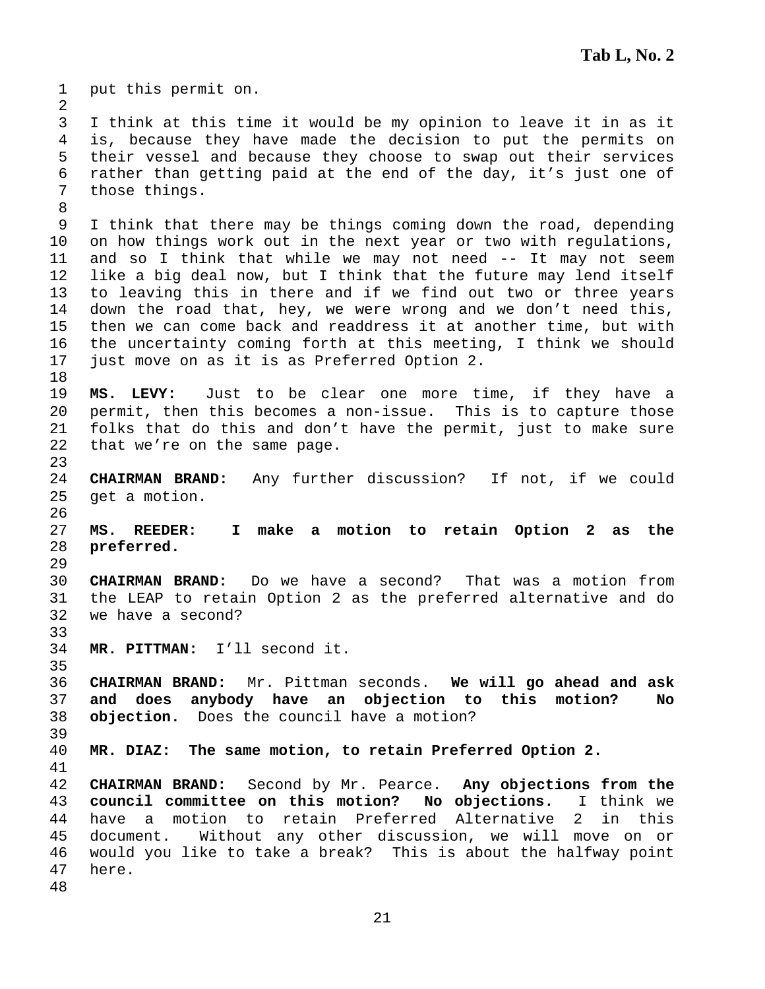1 put this permit on. 2 3 I think at this time it would be my opinion to leave it in as it 4 is, because they have made the decision to put the permits on 5 their vessel and because they choose to swap out their services 6 rather than getting paid at the end of the day, it's just one of 7 those things. 8 9 I think that there may be things coming down the road, depending 10 on how things work out in the next year or two with regulations, 11 and so I think that while we may not need -- It may not seem 12 like a big deal now, but I think that the future may lend itself 13 to leaving this in there and if we find out two or three years 14 down the road that, hey, we were wrong and we don't need this, 15 then we can come back and readdress it at another time, but with 16 the uncertainty coming forth at this meeting, I think we should 17 just move on as it is as Preferred Option 2. 18 19 **MS. LEVY:** Just to be clear one more time, if they have a 20 permit, then this becomes a non-issue. This is to capture those 21 folks that do this and don't have the permit, just to make sure 22 that we're on the same page. 23 24 **CHAIRMAN BRAND:** Any further discussion? If not, if we could 25 get a motion. 26 27 **MS. REEDER: I make a motion to retain Option 2 as the**  28 **preferred.**  29 30 **CHAIRMAN BRAND:** Do we have a second? That was a motion from 31 the LEAP to retain Option 2 as the preferred alternative and do 32 we have a second? 33 34 **MR. PITTMAN:** I'll second it. 35 36 **CHAIRMAN BRAND:** Mr. Pittman seconds. **We will go ahead and ask**  37 **and does anybody have an objection to this motion? No**  38 **objection.** Does the council have a motion? 39 40 **MR. DIAZ: The same motion, to retain Preferred Option 2.**  41 42 **CHAIRMAN BRAND:** Second by Mr. Pearce. **Any objections from the**  43 **council committee on this motion? No objections.** I think we 44 have a motion to retain Preferred Alternative 2 in this 45 document. Without any other discussion, we will move on or 46 would you like to take a break? This is about the halfway point 47 here. 48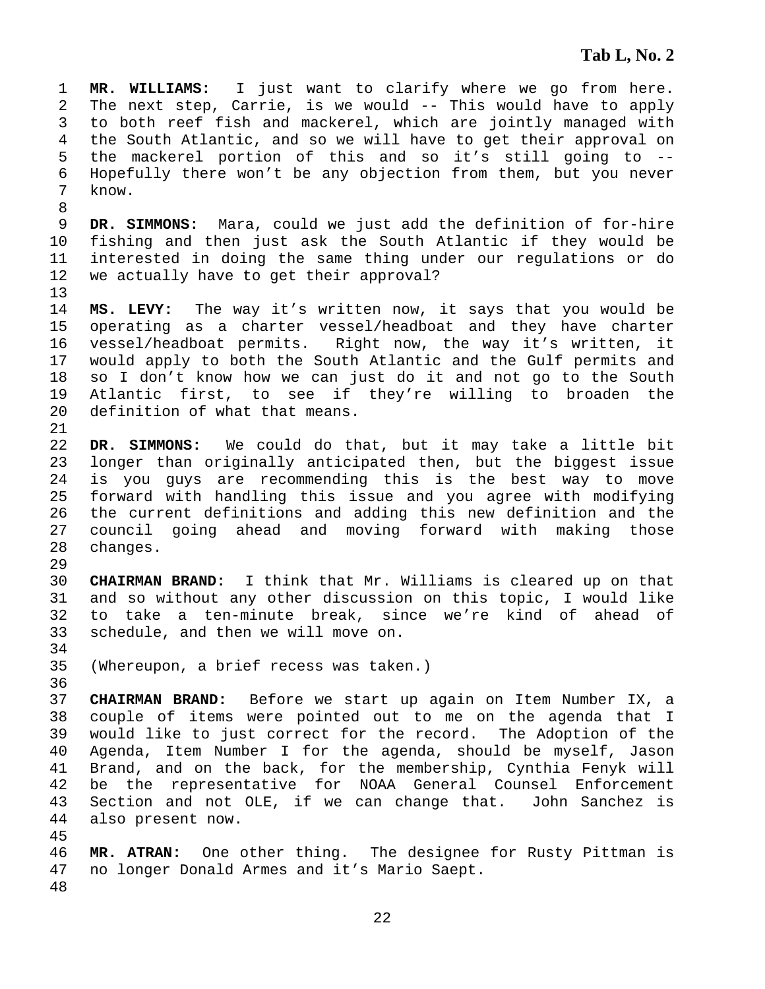1 **MR. WILLIAMS:** I just want to clarify where we go from here. 2 The next step, Carrie, is we would -- This would have to apply 3 to both reef fish and mackerel, which are jointly managed with 4 the South Atlantic, and so we will have to get their approval on 5 the mackerel portion of this and so it's still going to -- 6 Hopefully there won't be any objection from them, but you never 7 know. 8 9 **DR. SIMMONS:** Mara, could we just add the definition of for-hire 10 fishing and then just ask the South Atlantic if they would be 11 interested in doing the same thing under our regulations or do 12 we actually have to get their approval? 13 14 **MS. LEVY:** The way it's written now, it says that you would be 15 operating as a charter vessel/headboat and they have charter 16 vessel/headboat permits. Right now, the way it's written, it 17 would apply to both the South Atlantic and the Gulf permits and 18 so I don't know how we can just do it and not go to the South 19 Atlantic first, to see if they're willing to broaden the 20 definition of what that means. 21 22 **DR. SIMMONS:** We could do that, but it may take a little bit 23 longer than originally anticipated then, but the biggest issue 24 is you guys are recommending this is the best way to move 25 forward with handling this issue and you agree with modifying 26 the current definitions and adding this new definition and the 27 council going ahead and moving forward with making those 28 changes. 29 30 **CHAIRMAN BRAND:** I think that Mr. Williams is cleared up on that 31 and so without any other discussion on this topic, I would like 32 to take a ten-minute break, since we're kind of ahead of 33 schedule, and then we will move on. 34 35 (Whereupon, a brief recess was taken.) 36 37 **CHAIRMAN BRAND:** Before we start up again on Item Number IX, a 38 couple of items were pointed out to me on the agenda that I 39 would like to just correct for the record. The Adoption of the 40 Agenda, Item Number I for the agenda, should be myself, Jason 41 Brand, and on the back, for the membership, Cynthia Fenyk will

- 44 also present now.
- 45

46 **MR. ATRAN:** One other thing. The designee for Rusty Pittman is 47 no longer Donald Armes and it's Mario Saept.

42 be the representative for NOAA General Counsel Enforcement 43 Section and not OLE, if we can change that. John Sanchez is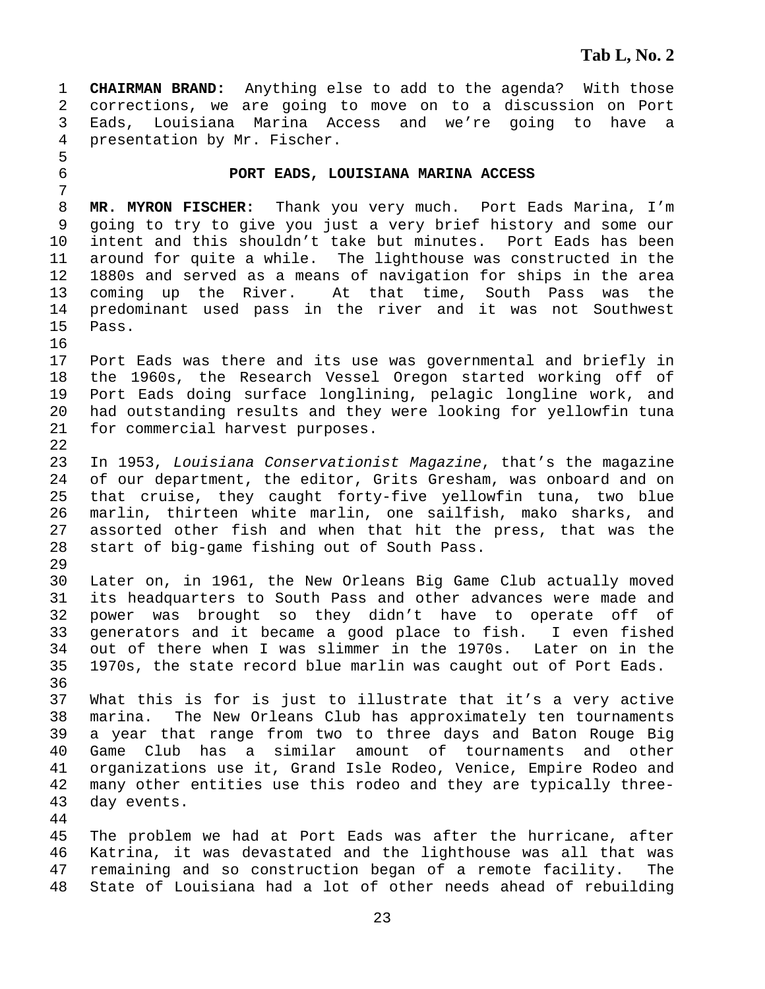1 **CHAIRMAN BRAND:** Anything else to add to the agenda? With those 2 corrections, we are going to move on to a discussion on Port 3 Eads, Louisiana Marina Access and we're going to have a 4 presentation by Mr. Fischer.

#### 6 **PORT EADS, LOUISIANA MARINA ACCESS**

8 **MR. MYRON FISCHER:** Thank you very much. Port Eads Marina, I'm 9 going to try to give you just a very brief history and some our 10 intent and this shouldn't take but minutes. Port Eads has been 11 around for quite a while. The lighthouse was constructed in the 12 1880s and served as a means of navigation for ships in the area 13 coming up the River. At that time, South Pass was the 14 predominant used pass in the river and it was not Southwest 15 Pass.

- 17 Port Eads was there and its use was governmental and briefly in 18 the 1960s, the Research Vessel Oregon started working off of 19 Port Eads doing surface longlining, pelagic longline work, and 20 had outstanding results and they were looking for yellowfin tuna 21 for commercial harvest purposes.
- 23 In 1953, *Louisiana Conservationist Magazine*, that's the magazine 24 of our department, the editor, Grits Gresham, was onboard and on 25 that cruise, they caught forty-five yellowfin tuna, two blue 26 marlin, thirteen white marlin, one sailfish, mako sharks, and 27 assorted other fish and when that hit the press, that was the 28 start of big-game fishing out of South Pass.

29

5

7

16

22

30 Later on, in 1961, the New Orleans Big Game Club actually moved 31 its headquarters to South Pass and other advances were made and 32 power was brought so they didn't have to operate off of 33 generators and it became a good place to fish. I even fished 34 out of there when I was slimmer in the 1970s. Later on in the 35 1970s, the state record blue marlin was caught out of Port Eads. 36

37 What this is for is just to illustrate that it's a very active 38 marina. The New Orleans Club has approximately ten tournaments 39 a year that range from two to three days and Baton Rouge Big 40 Game Club has a similar amount of tournaments and other 41 organizations use it, Grand Isle Rodeo, Venice, Empire Rodeo and 42 many other entities use this rodeo and they are typically three-43 day events.

44

45 The problem we had at Port Eads was after the hurricane, after 46 Katrina, it was devastated and the lighthouse was all that was 47 remaining and so construction began of a remote facility. The 48 State of Louisiana had a lot of other needs ahead of rebuilding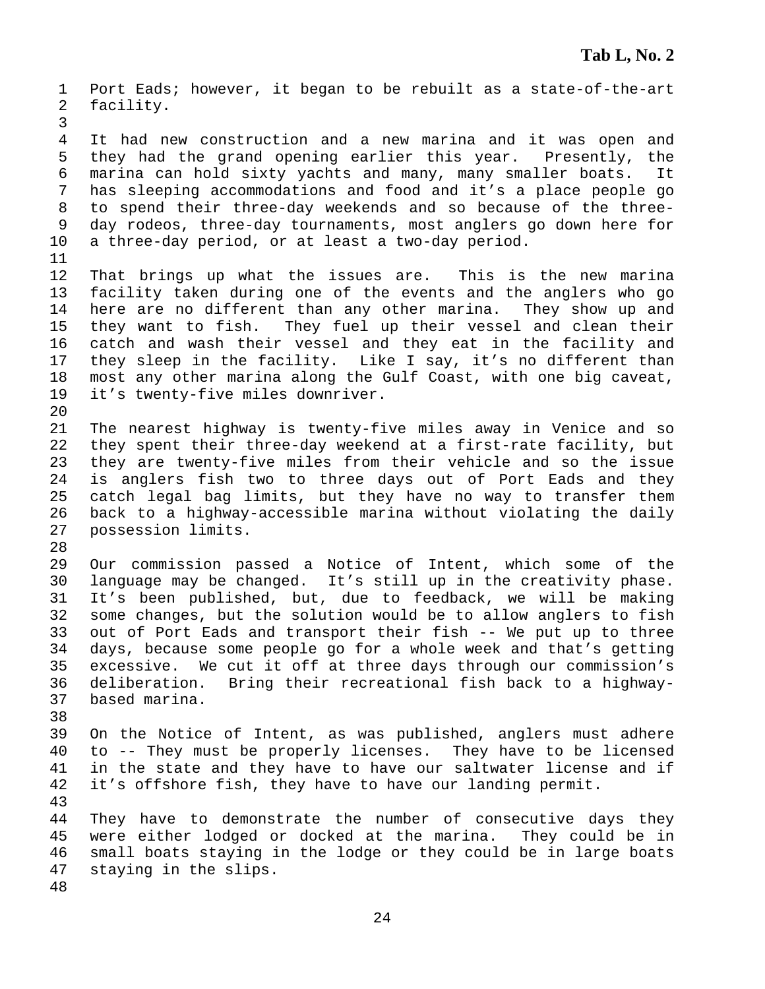1 Port Eads; however, it began to be rebuilt as a state-of-the-art 2 facility. 3 4 It had new construction and a new marina and it was open and 5 they had the grand opening earlier this year. Presently, the 6 marina can hold sixty yachts and many, many smaller boats. It 7 has sleeping accommodations and food and it's a place people go 8 to spend their three-day weekends and so because of the three-9 day rodeos, three-day tournaments, most anglers go down here for 10 a three-day period, or at least a two-day period. 11 12 That brings up what the issues are. This is the new marina 13 facility taken during one of the events and the anglers who go 14 here are no different than any other marina. They show up and 15 they want to fish. They fuel up their vessel and clean their 16 catch and wash their vessel and they eat in the facility and 17 they sleep in the facility. Like I say, it's no different than 18 most any other marina along the Gulf Coast, with one big caveat, 19 it's twenty-five miles downriver. 20 21 The nearest highway is twenty-five miles away in Venice and so 22 they spent their three-day weekend at a first-rate facility, but 23 they are twenty-five miles from their vehicle and so the issue 24 is anglers fish two to three days out of Port Eads and they 25 catch legal bag limits, but they have no way to transfer them 26 back to a highway-accessible marina without violating the daily 27 possession limits. 28 29 Our commission passed a Notice of Intent, which some of the 30 language may be changed. It's still up in the creativity phase. 31 It's been published, but, due to feedback, we will be making 32 some changes, but the solution would be to allow anglers to fish 33 out of Port Eads and transport their fish -- We put up to three 34 days, because some people go for a whole week and that's getting 35 excessive. We cut it off at three days through our commission's 36 deliberation. Bring their recreational fish back to a highway-37 based marina. 38 39 On the Notice of Intent, as was published, anglers must adhere 40 to -- They must be properly licenses. They have to be licensed 41 in the state and they have to have our saltwater license and if 42 it's offshore fish, they have to have our landing permit. 43 44 They have to demonstrate the number of consecutive days they 45 were either lodged or docked at the marina. They could be in 46 small boats staying in the lodge or they could be in large boats 47 staying in the slips. 48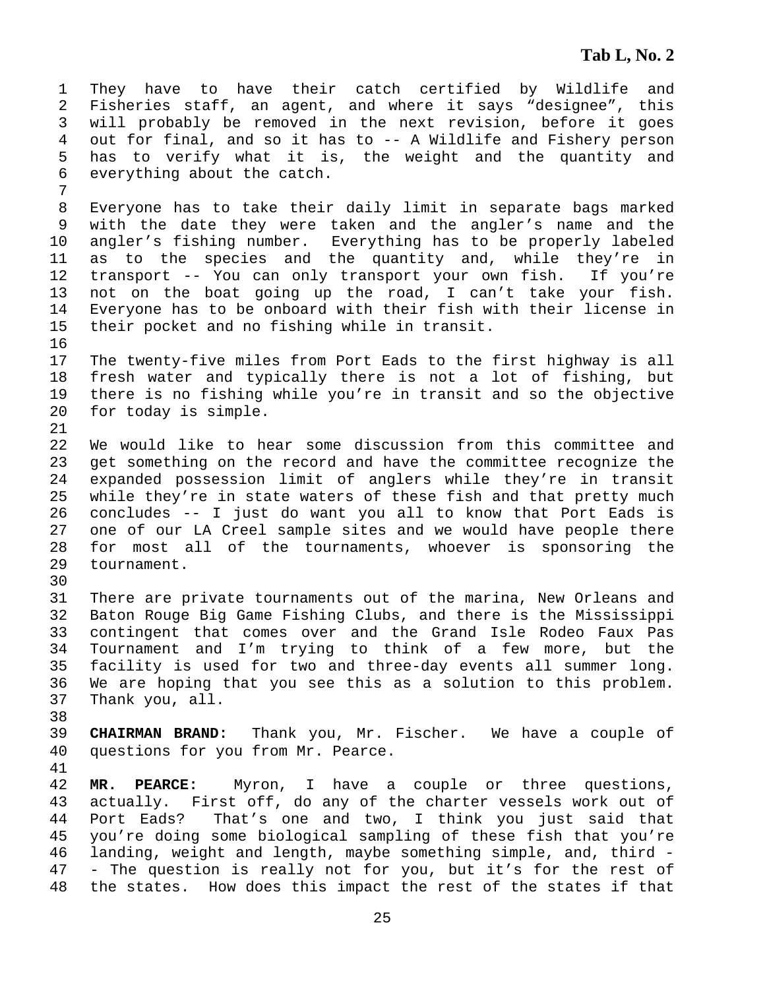1 They have to have their catch certified by Wildlife and 2 Fisheries staff, an agent, and where it says "designee", this 3 will probably be removed in the next revision, before it goes 4 out for final, and so it has to -- A Wildlife and Fishery person 5 has to verify what it is, the weight and the quantity and 6 everything about the catch. 7

8 Everyone has to take their daily limit in separate bags marked 9 with the date they were taken and the angler's name and the 10 angler's fishing number. Everything has to be properly labeled 11 as to the species and the quantity and, while they're in 12 transport -- You can only transport your own fish. If you're 13 not on the boat going up the road, I can't take your fish. 14 Everyone has to be onboard with their fish with their license in 15 their pocket and no fishing while in transit.

17 The twenty-five miles from Port Eads to the first highway is all 18 fresh water and typically there is not a lot of fishing, but 19 there is no fishing while you're in transit and so the objective 20 for today is simple.

22 We would like to hear some discussion from this committee and 23 get something on the record and have the committee recognize the 24 expanded possession limit of anglers while they're in transit 25 while they're in state waters of these fish and that pretty much 26 concludes -- I just do want you all to know that Port Eads is 27 one of our LA Creel sample sites and we would have people there 28 for most all of the tournaments, whoever is sponsoring the 29 tournament.

30

16

21

31 There are private tournaments out of the marina, New Orleans and 32 Baton Rouge Big Game Fishing Clubs, and there is the Mississippi 33 contingent that comes over and the Grand Isle Rodeo Faux Pas 34 Tournament and I'm trying to think of a few more, but the 35 facility is used for two and three-day events all summer long. 36 We are hoping that you see this as a solution to this problem. 37 Thank you, all.

38

39 **CHAIRMAN BRAND:** Thank you, Mr. Fischer. We have a couple of 40 questions for you from Mr. Pearce.

41

42 **MR. PEARCE:** Myron, I have a couple or three questions, 43 actually. First off, do any of the charter vessels work out of 44 Port Eads? That's one and two, I think you just said that 45 you're doing some biological sampling of these fish that you're 46 landing, weight and length, maybe something simple, and, third - 47 - The question is really not for you, but it's for the rest of 48 the states. How does this impact the rest of the states if that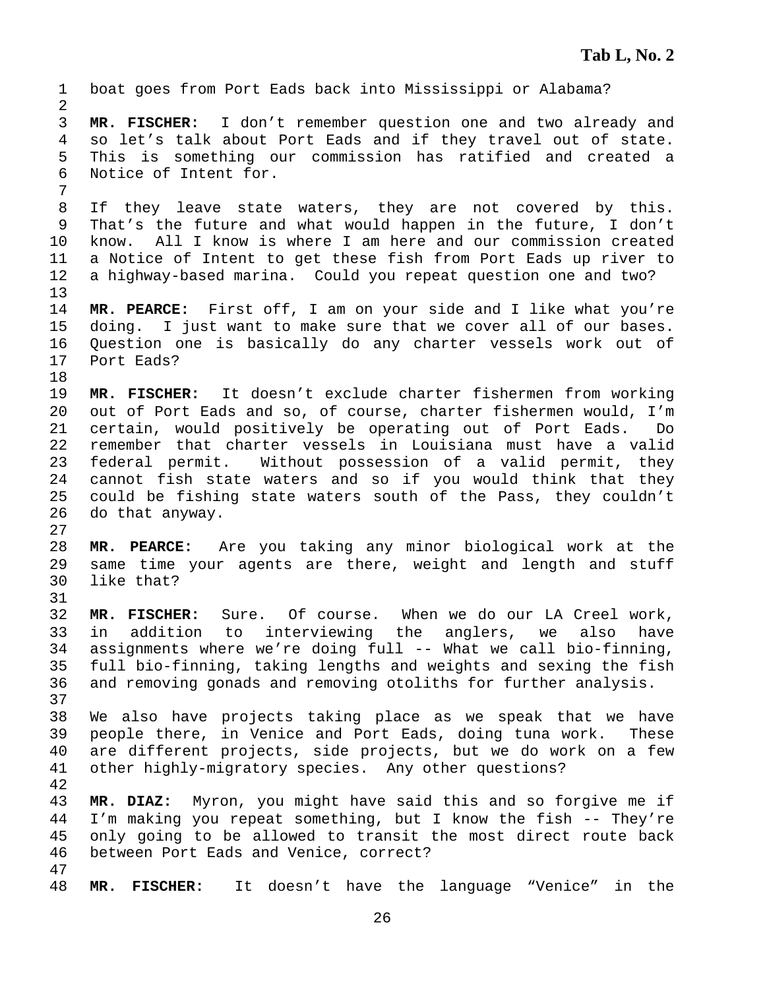| $\mathbf 1$<br>2                                   | boat goes from Port Eads back into Mississippi or Alabama?                                                                                                                                                                                                                                                                                                                                                                                                                              |
|----------------------------------------------------|-----------------------------------------------------------------------------------------------------------------------------------------------------------------------------------------------------------------------------------------------------------------------------------------------------------------------------------------------------------------------------------------------------------------------------------------------------------------------------------------|
| 3<br>4<br>5<br>6<br>7                              | MR. FISCHER: I don't remember question one and two already and<br>so let's talk about Port Eads and if they travel out of state.<br>This is something our commission has ratified and created a<br>Notice of Intent for.                                                                                                                                                                                                                                                                |
| 8<br>$\mathsf 9$<br>10<br>11<br>12<br>13           | If they leave state waters, they are not covered by this.<br>That's the future and what would happen in the future, I don't<br>know. All I know is where I am here and our commission created<br>a Notice of Intent to get these fish from Port Eads up river to<br>a highway-based marina. Could you repeat question one and two?                                                                                                                                                      |
| 14<br>15<br>16<br>17<br>18                         | MR. PEARCE: First off, I am on your side and I like what you're<br>doing. I just want to make sure that we cover all of our bases.<br>Question one is basically do any charter vessels work out of<br>Port Eads?                                                                                                                                                                                                                                                                        |
| 19<br>20<br>21<br>22<br>23<br>24<br>25<br>26<br>27 | MR. FISCHER: It doesn't exclude charter fishermen from working<br>out of Port Eads and so, of course, charter fishermen would, I'm<br>certain, would positively be operating out of Port Eads.<br>Do<br>remember that charter vessels in Louisiana must have a valid<br>federal permit. Without possession of a valid permit, they<br>cannot fish state waters and so if you would think that they<br>could be fishing state waters south of the Pass, they couldn't<br>do that anyway. |
| 28<br>29<br>30<br>31                               | MR. PEARCE: Are you taking any minor biological work at the<br>same time your agents are there, weight and length and stuff<br>like that?                                                                                                                                                                                                                                                                                                                                               |
| 32<br>33<br>34<br>35<br>36<br>37                   | MR. FISCHER: Sure. Of course. When we do our LA Creel work,<br>in addition to interviewing the anglers, we also have<br>assignments where we're doing full -- What we call bio-finning,<br>full bio-finning, taking lengths and weights and sexing the fish<br>and removing gonads and removing otoliths for further analysis.                                                                                                                                                          |
| 38<br>39<br>40<br>41<br>42                         | We also have projects taking place as we speak that we have<br>people there, in Venice and Port Eads, doing tuna work. These<br>are different projects, side projects, but we do work on a few<br>other highly-migratory species. Any other questions?                                                                                                                                                                                                                                  |
| 43<br>44<br>45<br>46                               | Myron, you might have said this and so forgive me if<br>MR. DIAZ:<br>I'm making you repeat something, but I know the fish -- They're<br>only going to be allowed to transit the most direct route back<br>between Port Eads and Venice, correct?                                                                                                                                                                                                                                        |
| 47<br>48                                           | It doesn't have the language "Venice"<br><b>FISCHER:</b><br>MR.<br>in the                                                                                                                                                                                                                                                                                                                                                                                                               |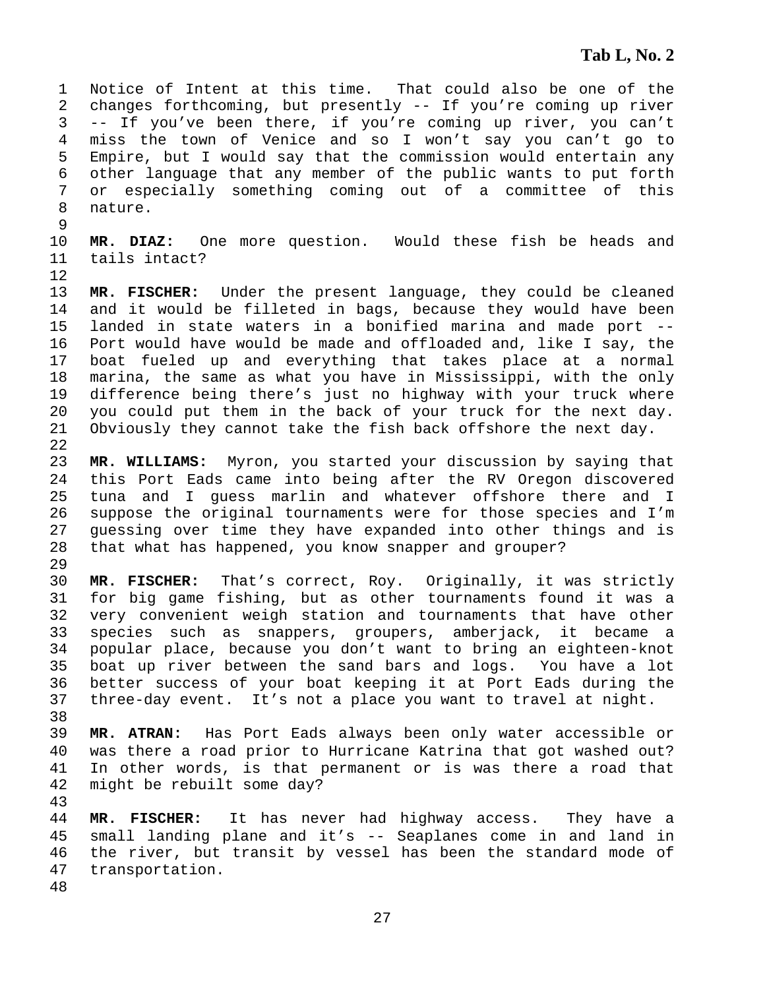1 Notice of Intent at this time. That could also be one of the 2 changes forthcoming, but presently -- If you're coming up river 3 -- If you've been there, if you're coming up river, you can't 4 miss the town of Venice and so I won't say you can't go to 5 Empire, but I would say that the commission would entertain any 6 other language that any member of the public wants to put forth 7 or especially something coming out of a committee of this 8 nature.

10 **MR. DIAZ:** One more question. Would these fish be heads and 11 tails intact?

12

29

38

43

9

13 **MR. FISCHER:** Under the present language, they could be cleaned 14 and it would be filleted in bags, because they would have been 15 landed in state waters in a bonified marina and made port -- 16 Port would have would be made and offloaded and, like I say, the 17 boat fueled up and everything that takes place at a normal 18 marina, the same as what you have in Mississippi, with the only 19 difference being there's just no highway with your truck where 20 you could put them in the back of your truck for the next day. 21 Obviously they cannot take the fish back offshore the next day. 22

23 **MR. WILLIAMS:** Myron, you started your discussion by saying that 24 this Port Eads came into being after the RV Oregon discovered 25 tuna and I guess marlin and whatever offshore there and I 26 suppose the original tournaments were for those species and I'm 27 guessing over time they have expanded into other things and is 28 that what has happened, you know snapper and grouper?

30 **MR. FISCHER:** That's correct, Roy. Originally, it was strictly 31 for big game fishing, but as other tournaments found it was a 32 very convenient weigh station and tournaments that have other 33 species such as snappers, groupers, amberjack, it became a 34 popular place, because you don't want to bring an eighteen-knot 35 boat up river between the sand bars and logs. You have a lot 36 better success of your boat keeping it at Port Eads during the 37 three-day event. It's not a place you want to travel at night.

39 **MR. ATRAN:** Has Port Eads always been only water accessible or 40 was there a road prior to Hurricane Katrina that got washed out? 41 In other words, is that permanent or is was there a road that 42 might be rebuilt some day?

44 **MR. FISCHER:** It has never had highway access. They have a 45 small landing plane and it's -- Seaplanes come in and land in 46 the river, but transit by vessel has been the standard mode of 47 transportation. 48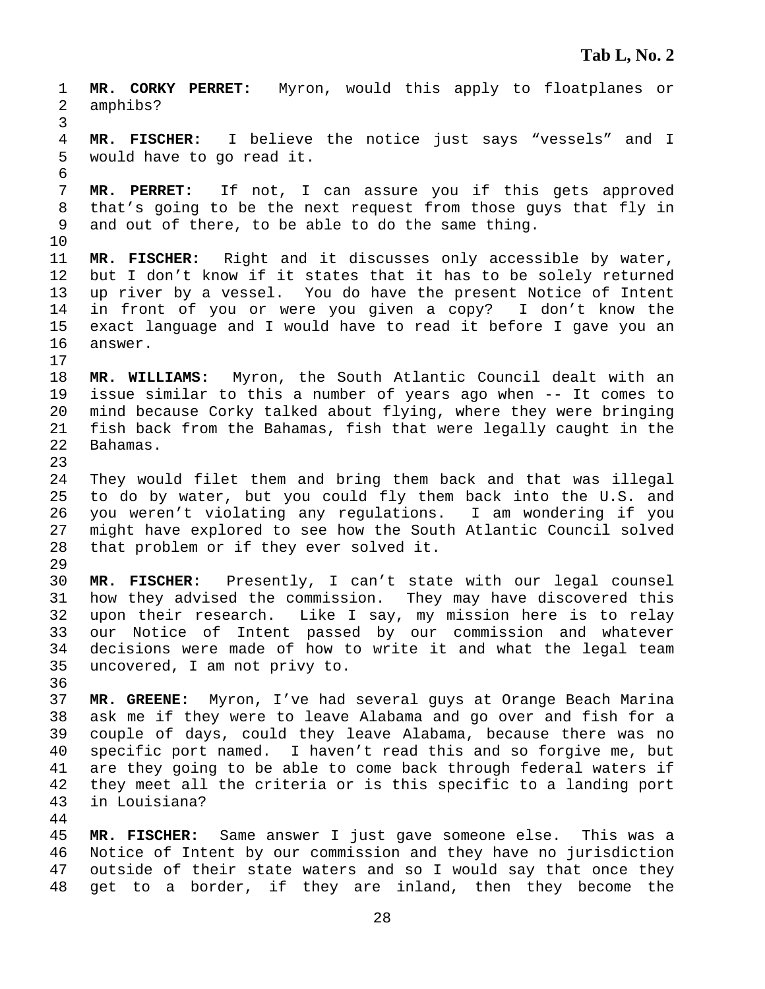1 **MR. CORKY PERRET:** Myron, would this apply to floatplanes or 2 amphibs? 3 4 **MR. FISCHER:** I believe the notice just says "vessels" and I 5 would have to go read it. 6 7 **MR. PERRET:** If not, I can assure you if this gets approved 8 that's going to be the next request from those guys that fly in 9 and out of there, to be able to do the same thing. 10 11 **MR. FISCHER:** Right and it discusses only accessible by water, 12 but I don't know if it states that it has to be solely returned 13 up river by a vessel. You do have the present Notice of Intent 14 in front of you or were you given a copy? I don't know the 15 exact language and I would have to read it before I gave you an 16 answer. 17 18 **MR. WILLIAMS:** Myron, the South Atlantic Council dealt with an 19 issue similar to this a number of years ago when -- It comes to 20 mind because Corky talked about flying, where they were bringing 21 fish back from the Bahamas, fish that were legally caught in the 22 Bahamas. 23 24 They would filet them and bring them back and that was illegal 25 to do by water, but you could fly them back into the U.S. and 26 you weren't violating any regulations. I am wondering if you 27 might have explored to see how the South Atlantic Council solved 28 that problem or if they ever solved it. 29 30 **MR. FISCHER:** Presently, I can't state with our legal counsel 31 how they advised the commission. They may have discovered this 32 upon their research. Like I say, my mission here is to relay 33 our Notice of Intent passed by our commission and whatever 34 decisions were made of how to write it and what the legal team 35 uncovered, I am not privy to. 36 37 **MR. GREENE:** Myron, I've had several guys at Orange Beach Marina 38 ask me if they were to leave Alabama and go over and fish for a 39 couple of days, could they leave Alabama, because there was no 40 specific port named. I haven't read this and so forgive me, but 41 are they going to be able to come back through federal waters if 42 they meet all the criteria or is this specific to a landing port 43 in Louisiana? 44 45 **MR. FISCHER:** Same answer I just gave someone else. This was a 46 Notice of Intent by our commission and they have no jurisdiction 47 outside of their state waters and so I would say that once they

28

48 get to a border, if they are inland, then they become the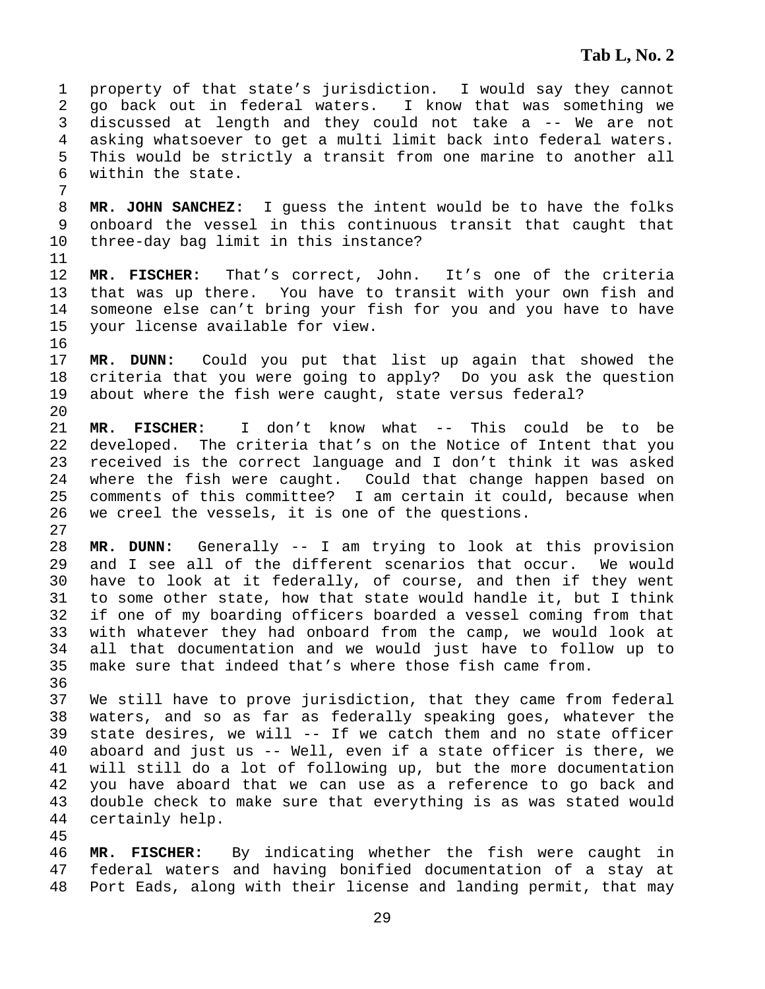1 property of that state's jurisdiction. I would say they cannot 2 go back out in federal waters. I know that was something we 3 discussed at length and they could not take a -- We are not 4 asking whatsoever to get a multi limit back into federal waters. 5 This would be strictly a transit from one marine to another all 6 within the state. 7

8 **MR. JOHN SANCHEZ:** I guess the intent would be to have the folks 9 onboard the vessel in this continuous transit that caught that 10 three-day bag limit in this instance?

11

27

12 **MR. FISCHER:** That's correct, John. It's one of the criteria 13 that was up there. You have to transit with your own fish and 14 someone else can't bring your fish for you and you have to have 15 your license available for view. 16

17 **MR. DUNN:** Could you put that list up again that showed the 18 criteria that you were going to apply? Do you ask the question 19 about where the fish were caught, state versus federal? 20

21 **MR. FISCHER:** I don't know what -- This could be to be 22 developed. The criteria that's on the Notice of Intent that you 23 received is the correct language and I don't think it was asked 24 where the fish were caught. Could that change happen based on 25 comments of this committee? I am certain it could, because when 26 we creel the vessels, it is one of the questions.

28 **MR. DUNN:** Generally -- I am trying to look at this provision 29 and I see all of the different scenarios that occur. We would 30 have to look at it federally, of course, and then if they went 31 to some other state, how that state would handle it, but I think 32 if one of my boarding officers boarded a vessel coming from that 33 with whatever they had onboard from the camp, we would look at 34 all that documentation and we would just have to follow up to 35 make sure that indeed that's where those fish came from. 36

37 We still have to prove jurisdiction, that they came from federal 38 waters, and so as far as federally speaking goes, whatever the 39 state desires, we will -- If we catch them and no state officer 40 aboard and just us -- Well, even if a state officer is there, we 41 will still do a lot of following up, but the more documentation 42 you have aboard that we can use as a reference to go back and 43 double check to make sure that everything is as was stated would 44 certainly help.

45

46 **MR. FISCHER:** By indicating whether the fish were caught in 47 federal waters and having bonified documentation of a stay at 48 Port Eads, along with their license and landing permit, that may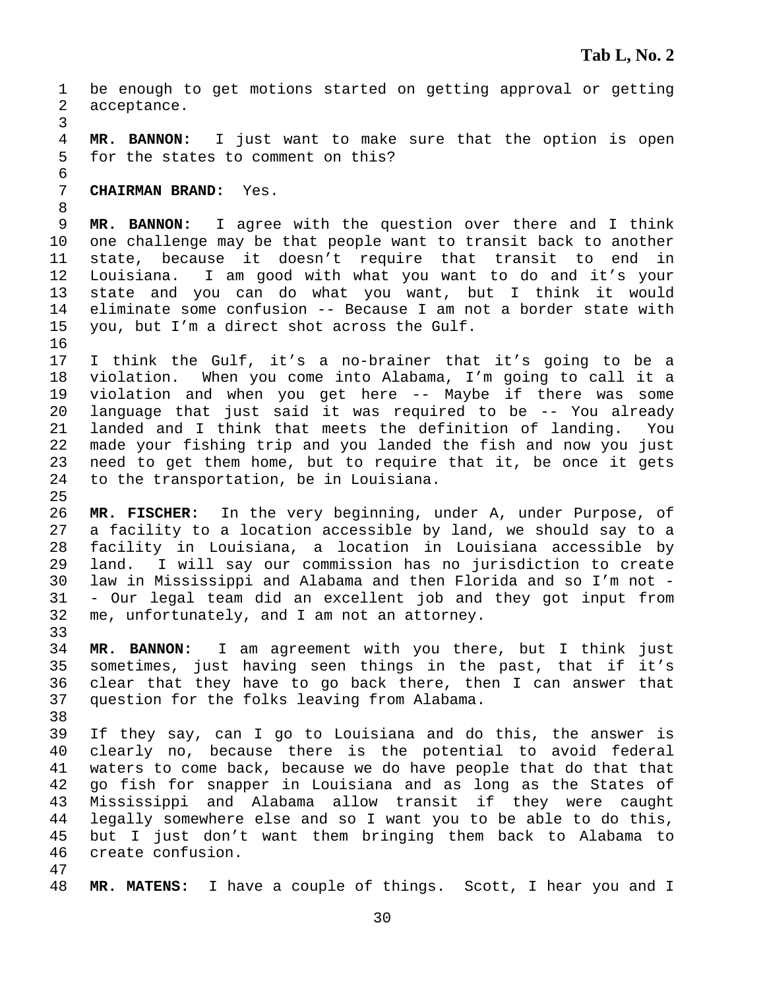1 be enough to get motions started on getting approval or getting 2 acceptance. 3 4 **MR. BANNON:** I just want to make sure that the option is open 5 for the states to comment on this? 6 7 **CHAIRMAN BRAND:** Yes. 8 9 **MR. BANNON:** I agree with the question over there and I think 10 one challenge may be that people want to transit back to another 11 state, because it doesn't require that transit to end in 12 Louisiana. I am good with what you want to do and it's your 13 state and you can do what you want, but I think it would 14 eliminate some confusion -- Because I am not a border state with 15 you, but I'm a direct shot across the Gulf. 16 17 I think the Gulf, it's a no-brainer that it's going to be a 18 violation. When you come into Alabama, I'm going to call it a 19 violation and when you get here -- Maybe if there was some 20 language that just said it was required to be -- You already 21 landed and I think that meets the definition of landing. You 22 made your fishing trip and you landed the fish and now you just 23 need to get them home, but to require that it, be once it gets 24 to the transportation, be in Louisiana. 25 26 **MR. FISCHER:** In the very beginning, under A, under Purpose, of 27 a facility to a location accessible by land, we should say to a 28 facility in Louisiana, a location in Louisiana accessible by 29 land. I will say our commission has no jurisdiction to create 30 law in Mississippi and Alabama and then Florida and so I'm not - 31 - Our legal team did an excellent job and they got input from 32 me, unfortunately, and I am not an attorney. 33 34 **MR. BANNON:** I am agreement with you there, but I think just 35 sometimes, just having seen things in the past, that if it's 36 clear that they have to go back there, then I can answer that 37 question for the folks leaving from Alabama. 38 39 If they say, can I go to Louisiana and do this, the answer is 40 clearly no, because there is the potential to avoid federal 41 waters to come back, because we do have people that do that that 42 go fish for snapper in Louisiana and as long as the States of 43 Mississippi and Alabama allow transit if they were caught 44 legally somewhere else and so I want you to be able to do this, 45 but I just don't want them bringing them back to Alabama to 46 create confusion. 47 48 **MR. MATENS:** I have a couple of things. Scott, I hear you and I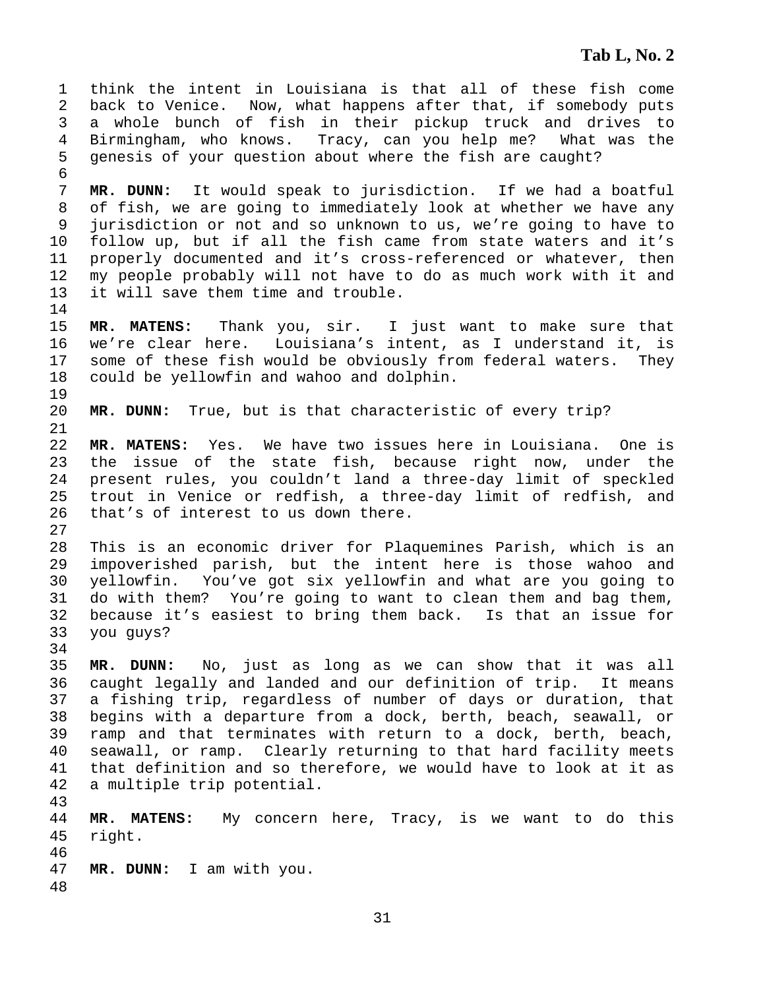1 think the intent in Louisiana is that all of these fish come 2 back to Venice. Now, what happens after that, if somebody puts 3 a whole bunch of fish in their pickup truck and drives to 4 Birmingham, who knows. Tracy, can you help me? What was the 5 genesis of your question about where the fish are caught? 6 7 **MR. DUNN:** It would speak to jurisdiction. If we had a boatful 8 of fish, we are going to immediately look at whether we have any 9 jurisdiction or not and so unknown to us, we're going to have to 10 follow up, but if all the fish came from state waters and it's 11 properly documented and it's cross-referenced or whatever, then 12 my people probably will not have to do as much work with it and 13 it will save them time and trouble. 14 15 **MR. MATENS:** Thank you, sir. I just want to make sure that 16 we're clear here. Louisiana's intent, as I understand it, is 17 some of these fish would be obviously from federal waters. They 18 could be yellowfin and wahoo and dolphin. 19 20 **MR. DUNN:** True, but is that characteristic of every trip? 21 22 **MR. MATENS:** Yes. We have two issues here in Louisiana. One is 23 the issue of the state fish, because right now, under the 24 present rules, you couldn't land a three-day limit of speckled 25 trout in Venice or redfish, a three-day limit of redfish, and 26 that's of interest to us down there. 27 28 This is an economic driver for Plaquemines Parish, which is an 29 impoverished parish, but the intent here is those wahoo and 30 yellowfin. You've got six yellowfin and what are you going to 31 do with them? You're going to want to clean them and bag them, 32 because it's easiest to bring them back. Is that an issue for 33 you guys? 34 35 **MR. DUNN:** No, just as long as we can show that it was all 36 caught legally and landed and our definition of trip. It means 37 a fishing trip, regardless of number of days or duration, that 38 begins with a departure from a dock, berth, beach, seawall, or 39 ramp and that terminates with return to a dock, berth, beach, 40 seawall, or ramp. Clearly returning to that hard facility meets 41 that definition and so therefore, we would have to look at it as 42 a multiple trip potential. 43 44 **MR. MATENS:** My concern here, Tracy, is we want to do this 45 right. 46 47 **MR. DUNN:** I am with you. 48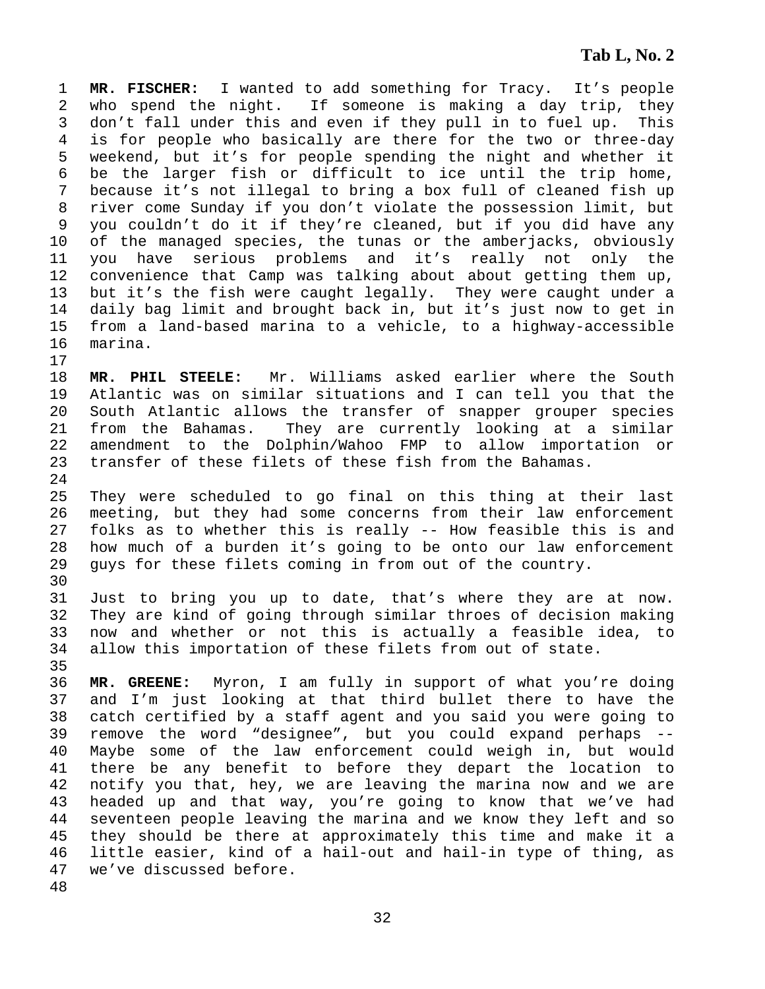1 **MR. FISCHER:** I wanted to add something for Tracy. It's people 2 who spend the night. If someone is making a day trip, they 3 don't fall under this and even if they pull in to fuel up. This 4 is for people who basically are there for the two or three-day 5 weekend, but it's for people spending the night and whether it 6 be the larger fish or difficult to ice until the trip home, 7 because it's not illegal to bring a box full of cleaned fish up 8 river come Sunday if you don't violate the possession limit, but 9 you couldn't do it if they're cleaned, but if you did have any 10 of the managed species, the tunas or the amberjacks, obviously 11 you have serious problems and it's really not only the 12 convenience that Camp was talking about about getting them up, 13 but it's the fish were caught legally. They were caught under a 14 daily bag limit and brought back in, but it's just now to get in 15 from a land-based marina to a vehicle, to a highway-accessible 16 marina. 17

18 **MR. PHIL STEELE:** Mr. Williams asked earlier where the South 19 Atlantic was on similar situations and I can tell you that the 20 South Atlantic allows the transfer of snapper grouper species 21 from the Bahamas. They are currently looking at a similar 22 amendment to the Dolphin/Wahoo FMP to allow importation or 23 transfer of these filets of these fish from the Bahamas. 24

25 They were scheduled to go final on this thing at their last 26 meeting, but they had some concerns from their law enforcement 27 folks as to whether this is really -- How feasible this is and 28 how much of a burden it's going to be onto our law enforcement 29 guys for these filets coming in from out of the country.

31 Just to bring you up to date, that's where they are at now. 32 They are kind of going through similar throes of decision making 33 now and whether or not this is actually a feasible idea, to 34 allow this importation of these filets from out of state.

30

35

36 **MR. GREENE:** Myron, I am fully in support of what you're doing 37 and I'm just looking at that third bullet there to have the 38 catch certified by a staff agent and you said you were going to 39 remove the word "designee", but you could expand perhaps -- 40 Maybe some of the law enforcement could weigh in, but would 41 there be any benefit to before they depart the location to 42 notify you that, hey, we are leaving the marina now and we are 43 headed up and that way, you're going to know that we've had 44 seventeen people leaving the marina and we know they left and so 45 they should be there at approximately this time and make it a 46 little easier, kind of a hail-out and hail-in type of thing, as 47 we've discussed before. 48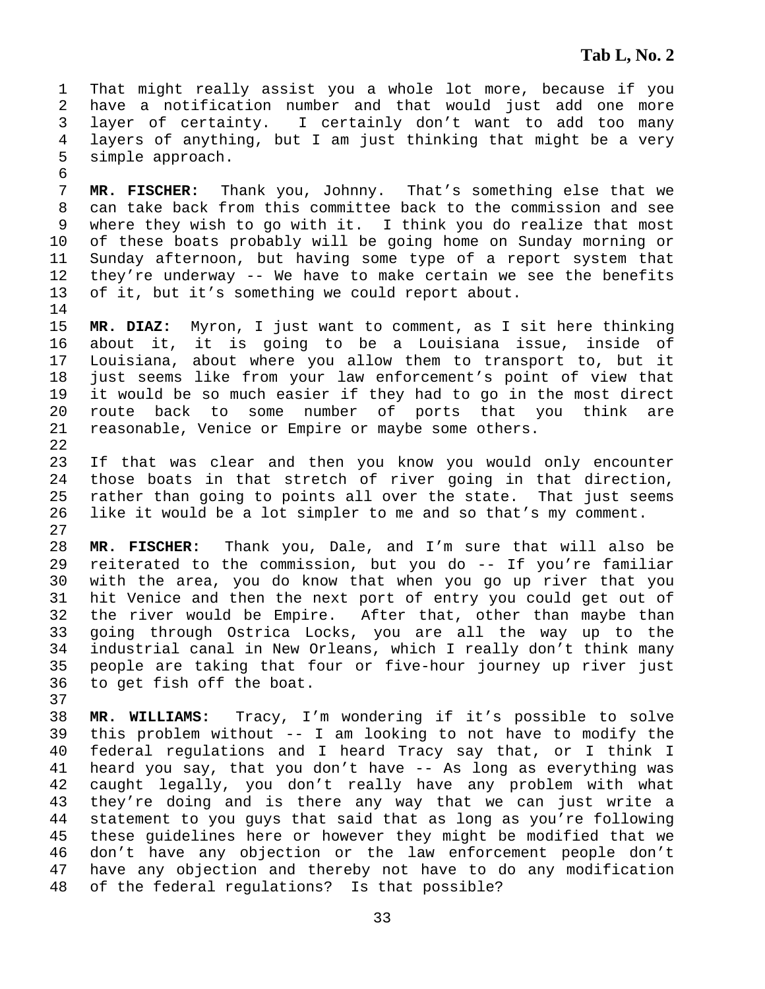1 That might really assist you a whole lot more, because if you 2 have a notification number and that would just add one more 3 layer of certainty. I certainly don't want to add too many 4 layers of anything, but I am just thinking that might be a very 5 simple approach.

7 **MR. FISCHER:** Thank you, Johnny. That's something else that we 8 can take back from this committee back to the commission and see 9 where they wish to go with it. I think you do realize that most 10 of these boats probably will be going home on Sunday morning or 11 Sunday afternoon, but having some type of a report system that 12 they're underway -- We have to make certain we see the benefits 13 of it, but it's something we could report about.

14

6

15 **MR. DIAZ:** Myron, I just want to comment, as I sit here thinking 16 about it, it is going to be a Louisiana issue, inside of 17 Louisiana, about where you allow them to transport to, but it 18 just seems like from your law enforcement's point of view that 19 it would be so much easier if they had to go in the most direct 20 route back to some number of ports that you think are 21 reasonable, Venice or Empire or maybe some others. 22

23 If that was clear and then you know you would only encounter 24 those boats in that stretch of river going in that direction, 25 rather than going to points all over the state. That just seems 26 like it would be a lot simpler to me and so that's my comment. 27

28 **MR. FISCHER:** Thank you, Dale, and I'm sure that will also be 29 reiterated to the commission, but you do -- If you're familiar 30 with the area, you do know that when you go up river that you 31 hit Venice and then the next port of entry you could get out of 32 the river would be Empire. After that, other than maybe than 33 going through Ostrica Locks, you are all the way up to the 34 industrial canal in New Orleans, which I really don't think many 35 people are taking that four or five-hour journey up river just 36 to get fish off the boat.

37

38 **MR. WILLIAMS:** Tracy, I'm wondering if it's possible to solve 39 this problem without -- I am looking to not have to modify the 40 federal regulations and I heard Tracy say that, or I think I 41 heard you say, that you don't have -- As long as everything was 42 caught legally, you don't really have any problem with what 43 they're doing and is there any way that we can just write a 44 statement to you guys that said that as long as you're following 45 these guidelines here or however they might be modified that we 46 don't have any objection or the law enforcement people don't 47 have any objection and thereby not have to do any modification 48 of the federal regulations? Is that possible?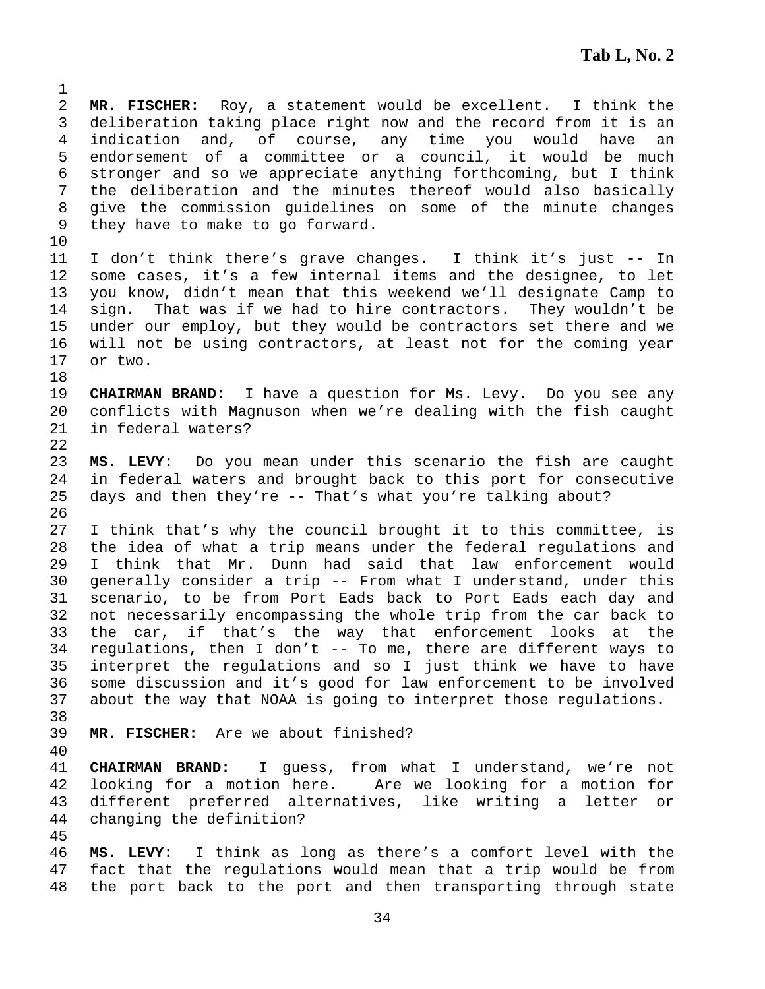2 **MR. FISCHER:** Roy, a statement would be excellent. I think the 3 deliberation taking place right now and the record from it is an 4 indication and, of course, any time you would have an 5 endorsement of a committee or a council, it would be much 6 stronger and so we appreciate anything forthcoming, but I think 7 the deliberation and the minutes thereof would also basically 8 give the commission guidelines on some of the minute changes 9 they have to make to go forward.

10

18

22

1

11 I don't think there's grave changes. I think it's just -- In 12 some cases, it's a few internal items and the designee, to let 13 you know, didn't mean that this weekend we'll designate Camp to 14 sign. That was if we had to hire contractors. They wouldn't be 15 under our employ, but they would be contractors set there and we 16 will not be using contractors, at least not for the coming year 17 or two.

19 **CHAIRMAN BRAND:** I have a question for Ms. Levy. Do you see any 20 conflicts with Magnuson when we're dealing with the fish caught 21 in federal waters?

23 **MS. LEVY:** Do you mean under this scenario the fish are caught 24 in federal waters and brought back to this port for consecutive 25 days and then they're -- That's what you're talking about? 26

27 I think that's why the council brought it to this committee, is 28 the idea of what a trip means under the federal regulations and 29 I think that Mr. Dunn had said that law enforcement would 30 generally consider a trip -- From what I understand, under this 31 scenario, to be from Port Eads back to Port Eads each day and 32 not necessarily encompassing the whole trip from the car back to 33 the car, if that's the way that enforcement looks at the 34 regulations, then I don't -- To me, there are different ways to 35 interpret the regulations and so I just think we have to have 36 some discussion and it's good for law enforcement to be involved 37 about the way that NOAA is going to interpret those regulations.

38

39 **MR. FISCHER:** Are we about finished?

40

41 **CHAIRMAN BRAND:** I guess, from what I understand, we're not 42 looking for a motion here. Are we looking for a motion for 43 different preferred alternatives, like writing a letter or 44 changing the definition?

45

46 **MS. LEVY:** I think as long as there's a comfort level with the 47 fact that the regulations would mean that a trip would be from 48 the port back to the port and then transporting through state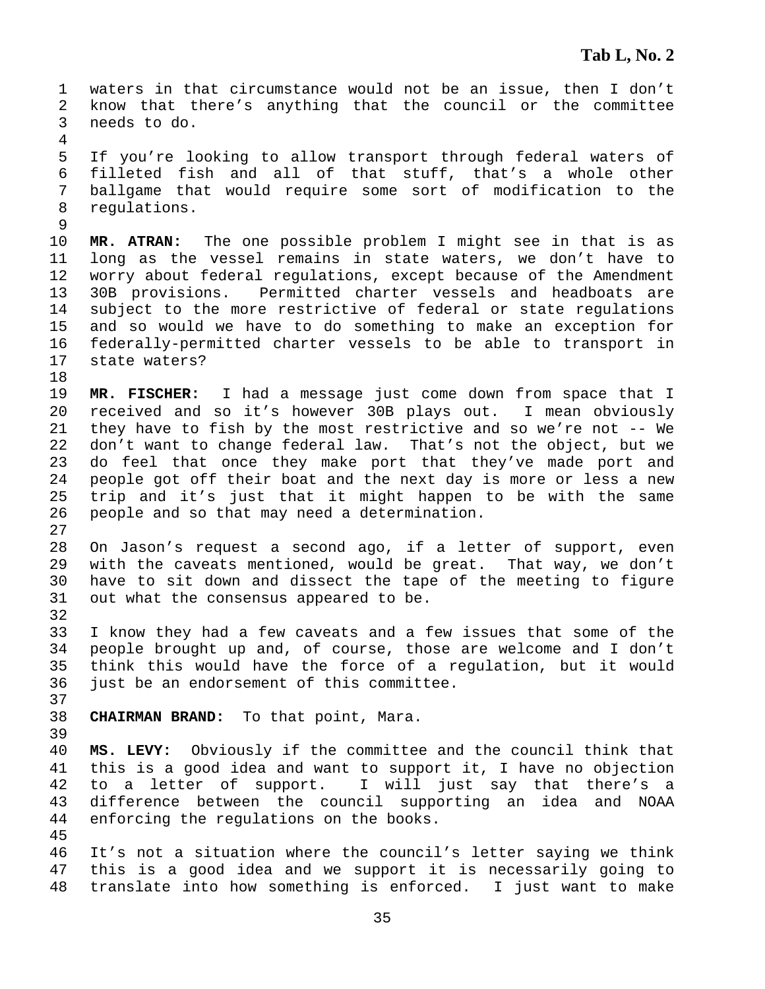1 waters in that circumstance would not be an issue, then I don't 2 know that there's anything that the council or the committee 3 needs to do. 4 5 If you're looking to allow transport through federal waters of 6 filleted fish and all of that stuff, that's a whole other 7 ballgame that would require some sort of modification to the 8 regulations. 9 10 **MR. ATRAN:** The one possible problem I might see in that is as 11 long as the vessel remains in state waters, we don't have to 12 worry about federal regulations, except because of the Amendment 13 30B provisions. Permitted charter vessels and headboats are 14 subject to the more restrictive of federal or state regulations 15 and so would we have to do something to make an exception for 16 federally-permitted charter vessels to be able to transport in 17 state waters? 18 19 **MR. FISCHER:** I had a message just come down from space that I 20 received and so it's however 30B plays out. I mean obviously 21 they have to fish by the most restrictive and so we're not -- We 22 don't want to change federal law. That's not the object, but we 23 do feel that once they make port that they've made port and 24 people got off their boat and the next day is more or less a new 25 trip and it's just that it might happen to be with the same 26 people and so that may need a determination. 27 28 On Jason's request a second ago, if a letter of support, even 29 with the caveats mentioned, would be great. That way, we don't 30 have to sit down and dissect the tape of the meeting to figure 31 out what the consensus appeared to be. 32 33 I know they had a few caveats and a few issues that some of the 34 people brought up and, of course, those are welcome and I don't 35 think this would have the force of a regulation, but it would 36 just be an endorsement of this committee. 37 38 **CHAIRMAN BRAND:** To that point, Mara. 39 40 **MS. LEVY:** Obviously if the committee and the council think that 41 this is a good idea and want to support it, I have no objection 42 to a letter of support. I will just say that there's a 43 difference between the council supporting an idea and NOAA 44 enforcing the regulations on the books. 45 46 It's not a situation where the council's letter saying we think 47 this is a good idea and we support it is necessarily going to 48 translate into how something is enforced. I just want to make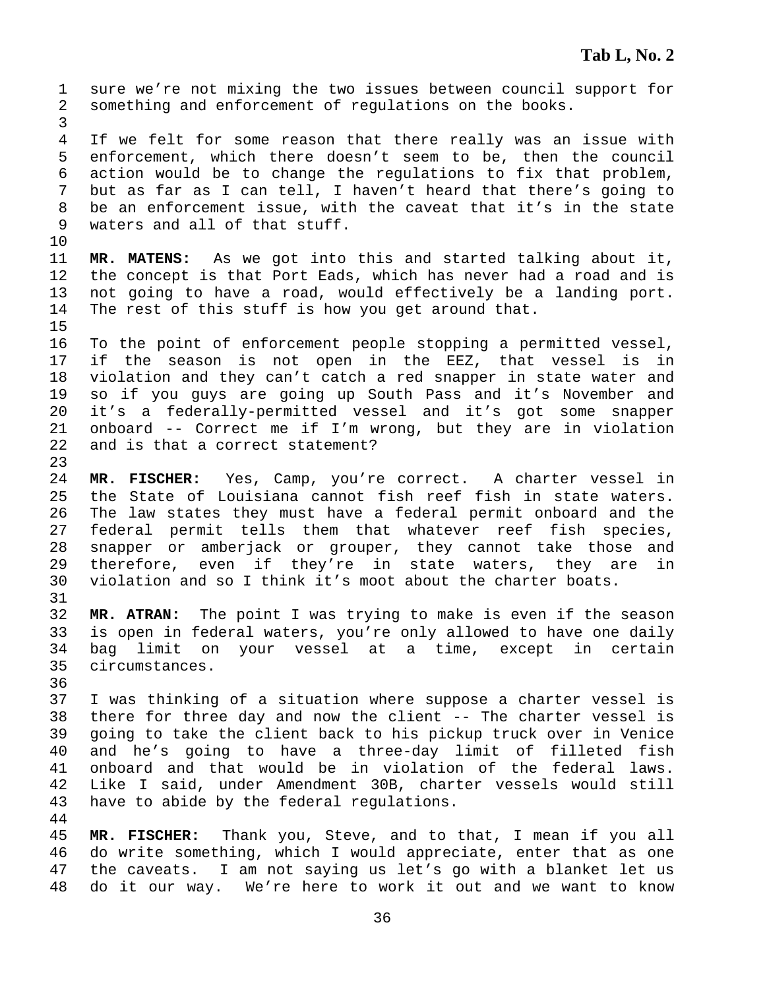1 sure we're not mixing the two issues between council support for 2 something and enforcement of regulations on the books. 3 4 If we felt for some reason that there really was an issue with 5 enforcement, which there doesn't seem to be, then the council 6 action would be to change the regulations to fix that problem, 7 but as far as I can tell, I haven't heard that there's going to 8 be an enforcement issue, with the caveat that it's in the state 9 waters and all of that stuff. 10 11 **MR. MATENS:** As we got into this and started talking about it, 12 the concept is that Port Eads, which has never had a road and is 13 not going to have a road, would effectively be a landing port. 14 The rest of this stuff is how you get around that. 15 16 To the point of enforcement people stopping a permitted vessel, 17 if the season is not open in the EEZ, that vessel is in 18 violation and they can't catch a red snapper in state water and 19 so if you guys are going up South Pass and it's November and 20 it's a federally-permitted vessel and it's got some snapper 21 onboard -- Correct me if I'm wrong, but they are in violation 22 and is that a correct statement? 23 24 **MR. FISCHER:** Yes, Camp, you're correct. A charter vessel in 25 the State of Louisiana cannot fish reef fish in state waters. 26 The law states they must have a federal permit onboard and the 27 federal permit tells them that whatever reef fish species, 28 snapper or amberjack or grouper, they cannot take those and 29 therefore, even if they're in state waters, they are in 30 violation and so I think it's moot about the charter boats. 31 32 **MR. ATRAN:** The point I was trying to make is even if the season 33 is open in federal waters, you're only allowed to have one daily 34 bag limit on your vessel at a time, except in certain 35 circumstances. 36 37 I was thinking of a situation where suppose a charter vessel is 38 there for three day and now the client -- The charter vessel is 39 going to take the client back to his pickup truck over in Venice 40 and he's going to have a three-day limit of filleted fish 41 onboard and that would be in violation of the federal laws. 42 Like I said, under Amendment 30B, charter vessels would still 43 have to abide by the federal regulations. 44 45 **MR. FISCHER:** Thank you, Steve, and to that, I mean if you all 46 do write something, which I would appreciate, enter that as one 47 the caveats. I am not saying us let's go with a blanket let us 48 do it our way. We're here to work it out and we want to know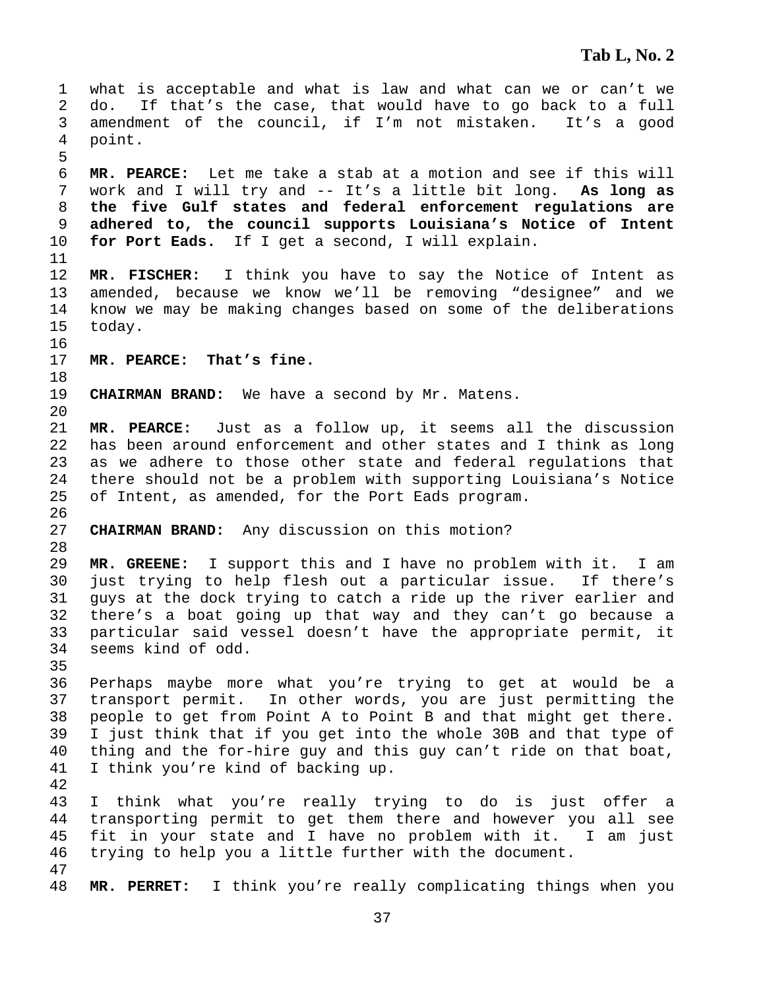1 what is acceptable and what is law and what can we or can't we 2 do. If that's the case, that would have to go back to a full 3 amendment of the council, if I'm not mistaken. It's a good 4 point. 5 6 **MR. PEARCE:** Let me take a stab at a motion and see if this will 7 work and I will try and -- It's a little bit long. **As long as**  8 **the five Gulf states and federal enforcement regulations are**  9 **adhered to, the council supports Louisiana's Notice of Intent**  10 **for Port Eads.** If I get a second, I will explain. 11 12 **MR. FISCHER:** I think you have to say the Notice of Intent as 13 amended, because we know we'll be removing "designee" and we 14 know we may be making changes based on some of the deliberations 15 today. 16 17 **MR. PEARCE: That's fine.**  18 19 **CHAIRMAN BRAND:** We have a second by Mr. Matens. 20 21 **MR. PEARCE:** Just as a follow up, it seems all the discussion 22 has been around enforcement and other states and I think as long 23 as we adhere to those other state and federal regulations that 24 there should not be a problem with supporting Louisiana's Notice 25 of Intent, as amended, for the Port Eads program. 26 27 **CHAIRMAN BRAND:** Any discussion on this motion? 28 29 **MR. GREENE:** I support this and I have no problem with it. I am 30 just trying to help flesh out a particular issue. If there's 31 guys at the dock trying to catch a ride up the river earlier and 32 there's a boat going up that way and they can't go because a 33 particular said vessel doesn't have the appropriate permit, it 34 seems kind of odd. 35 36 Perhaps maybe more what you're trying to get at would be a 37 transport permit. In other words, you are just permitting the 38 people to get from Point A to Point B and that might get there. 39 I just think that if you get into the whole 30B and that type of 40 thing and the for-hire guy and this guy can't ride on that boat, 41 I think you're kind of backing up. 42 43 I think what you're really trying to do is just offer a 44 transporting permit to get them there and however you all see 45 fit in your state and I have no problem with it. I am just 46 trying to help you a little further with the document. 47 48 **MR. PERRET:** I think you're really complicating things when you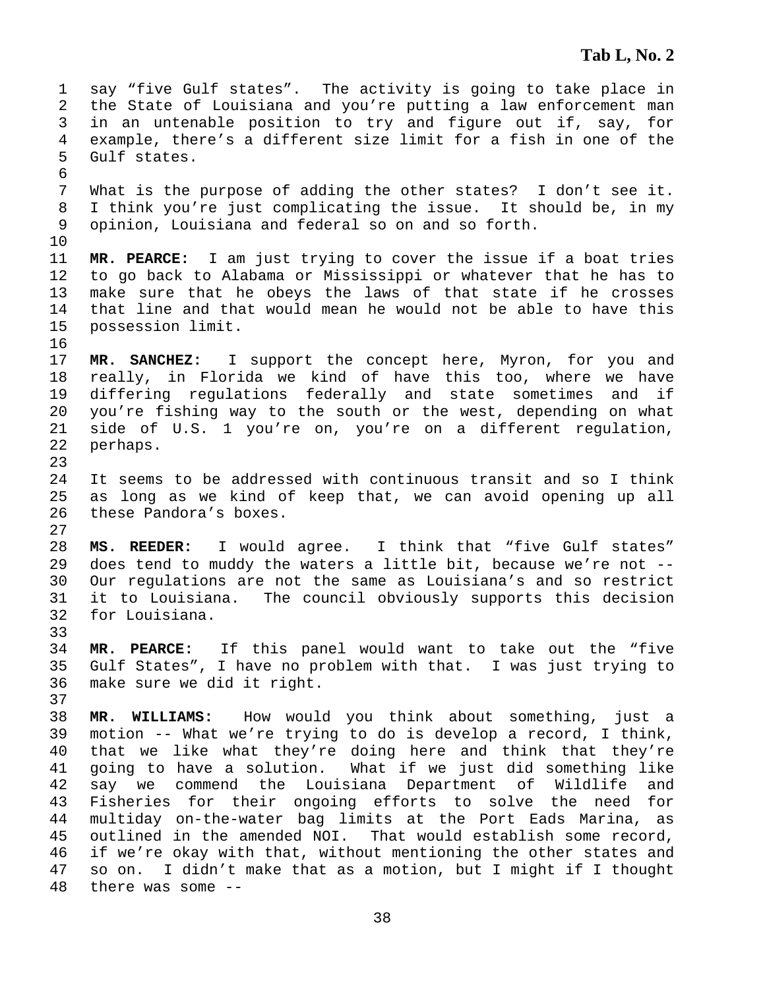1 say "five Gulf states". The activity is going to take place in 2 the State of Louisiana and you're putting a law enforcement man 3 in an untenable position to try and figure out if, say, for 4 example, there's a different size limit for a fish in one of the 5 Gulf states. 6 7 What is the purpose of adding the other states? I don't see it. 8 I think you're just complicating the issue. It should be, in my 9 opinion, Louisiana and federal so on and so forth. 10 11 **MR. PEARCE:** I am just trying to cover the issue if a boat tries 12 to go back to Alabama or Mississippi or whatever that he has to 13 make sure that he obeys the laws of that state if he crosses 14 that line and that would mean he would not be able to have this 15 possession limit. 16 17 **MR. SANCHEZ:** I support the concept here, Myron, for you and 18 really, in Florida we kind of have this too, where we have 19 differing regulations federally and state sometimes and if 20 you're fishing way to the south or the west, depending on what 21 side of U.S. 1 you're on, you're on a different regulation, 22 perhaps. 23 24 It seems to be addressed with continuous transit and so I think 25 as long as we kind of keep that, we can avoid opening up all 26 these Pandora's boxes. 27 28 **MS. REEDER:** I would agree. I think that "five Gulf states" 29 does tend to muddy the waters a little bit, because we're not -- 30 Our regulations are not the same as Louisiana's and so restrict 31 it to Louisiana. The council obviously supports this decision 32 for Louisiana. 33 34 **MR. PEARCE:** If this panel would want to take out the "five 35 Gulf States", I have no problem with that. I was just trying to 36 make sure we did it right. 37 38 **MR. WILLIAMS:** How would you think about something, just a 39 motion -- What we're trying to do is develop a record, I think, 40 that we like what they're doing here and think that they're 41 going to have a solution. What if we just did something like 42 say we commend the Louisiana Department of Wildlife and 43 Fisheries for their ongoing efforts to solve the need for 44 multiday on-the-water bag limits at the Port Eads Marina, as 45 outlined in the amended NOI. That would establish some record, 46 if we're okay with that, without mentioning the other states and 47 so on. I didn't make that as a motion, but I might if I thought 48 there was some --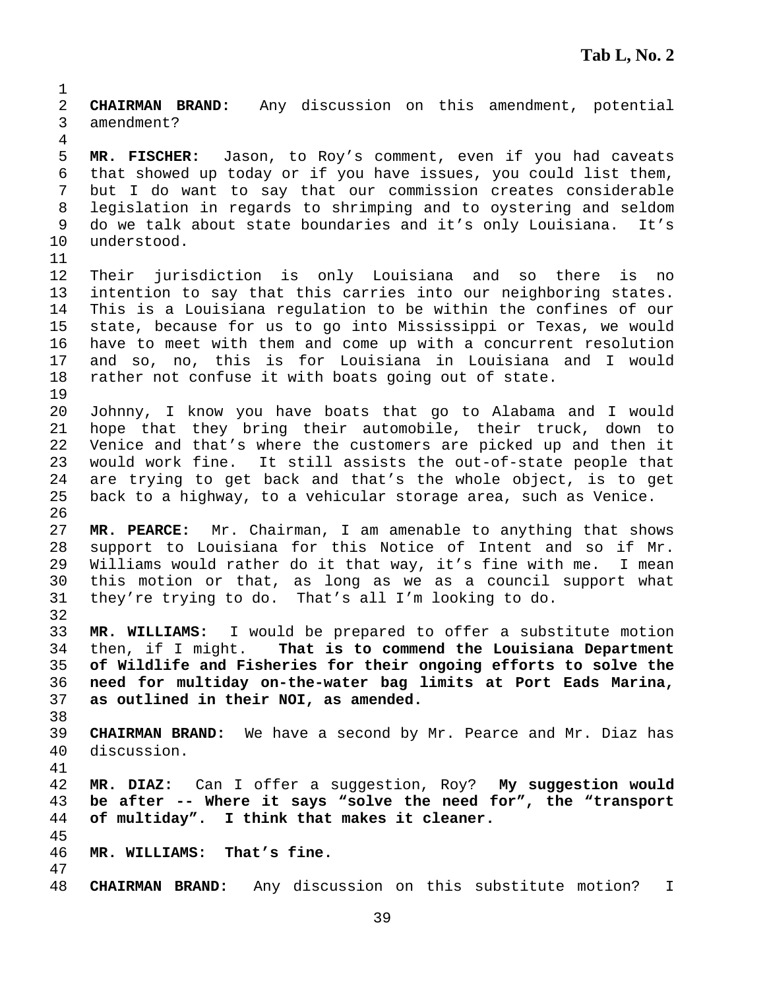1 2 **CHAIRMAN BRAND:** Any discussion on this amendment, potential 3 amendment? 4 5 **MR. FISCHER:** Jason, to Roy's comment, even if you had caveats 6 that showed up today or if you have issues, you could list them, 7 but I do want to say that our commission creates considerable 8 legislation in regards to shrimping and to oystering and seldom 9 do we talk about state boundaries and it's only Louisiana. It's 10 understood. 11 12 Their jurisdiction is only Louisiana and so there is no 13 intention to say that this carries into our neighboring states. 14 This is a Louisiana regulation to be within the confines of our 15 state, because for us to go into Mississippi or Texas, we would 16 have to meet with them and come up with a concurrent resolution 17 and so, no, this is for Louisiana in Louisiana and I would 18 rather not confuse it with boats going out of state. 19 20 Johnny, I know you have boats that go to Alabama and I would 21 hope that they bring their automobile, their truck, down to 22 Venice and that's where the customers are picked up and then it 23 would work fine. It still assists the out-of-state people that 24 are trying to get back and that's the whole object, is to get 25 back to a highway, to a vehicular storage area, such as Venice. 26 27 **MR. PEARCE:** Mr. Chairman, I am amenable to anything that shows 28 support to Louisiana for this Notice of Intent and so if Mr. 29 Williams would rather do it that way, it's fine with me. I mean 30 this motion or that, as long as we as a council support what 31 they're trying to do. That's all I'm looking to do. 32 33 **MR. WILLIAMS:** I would be prepared to offer a substitute motion 34 then, if I might. **That is to commend the Louisiana Department**  35 **of Wildlife and Fisheries for their ongoing efforts to solve the**  36 **need for multiday on-the-water bag limits at Port Eads Marina,**  37 **as outlined in their NOI, as amended.** 38 39 **CHAIRMAN BRAND:** We have a second by Mr. Pearce and Mr. Diaz has 40 discussion. 41 42 **MR. DIAZ:** Can I offer a suggestion, Roy? **My suggestion would**  43 **be after -- Where it says "solve the need for", the "transport**  44 **of multiday". I think that makes it cleaner.** 45 46 **MR. WILLIAMS: That's fine.**  47 48 **CHAIRMAN BRAND:** Any discussion on this substitute motion? I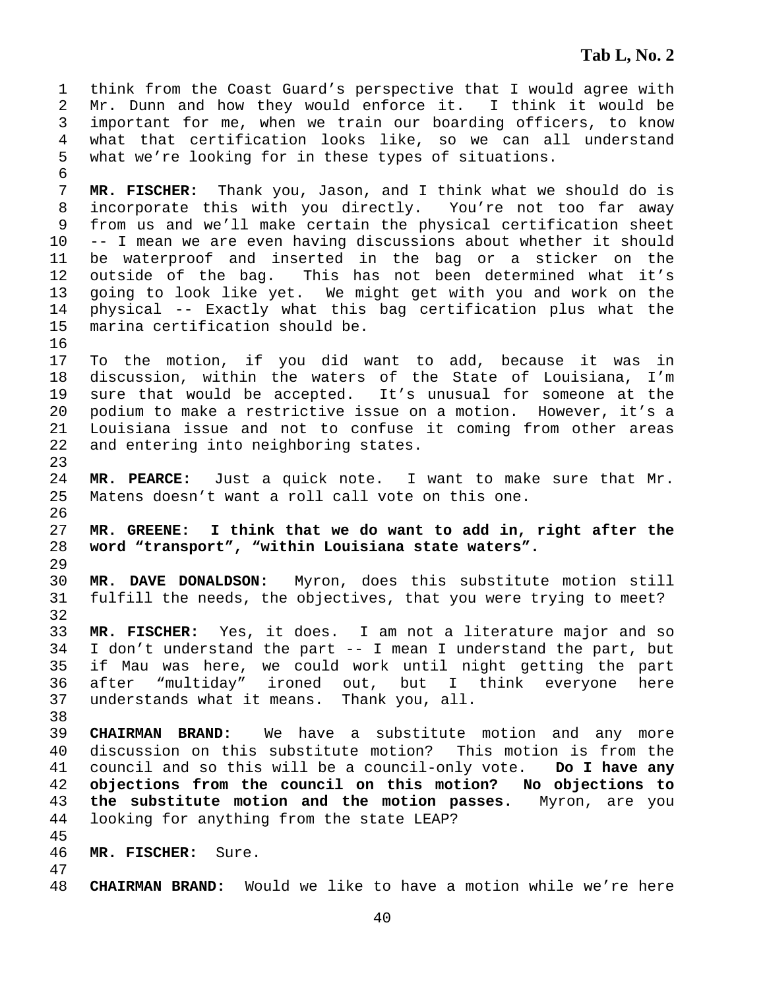1 think from the Coast Guard's perspective that I would agree with 2 Mr. Dunn and how they would enforce it. I think it would be 3 important for me, when we train our boarding officers, to know 4 what that certification looks like, so we can all understand 5 what we're looking for in these types of situations. 6 7 **MR. FISCHER:** Thank you, Jason, and I think what we should do is 8 incorporate this with you directly. You're not too far away 9 from us and we'll make certain the physical certification sheet 10 -- I mean we are even having discussions about whether it should 11 be waterproof and inserted in the bag or a sticker on the<br>12 outside of the bag. This has not been determined what it's outside of the bag. This has not been determined what it's 13 going to look like yet. We might get with you and work on the 14 physical -- Exactly what this bag certification plus what the 15 marina certification should be. 16 17 To the motion, if you did want to add, because it was in 18 discussion, within the waters of the State of Louisiana, I'm 19 sure that would be accepted. It's unusual for someone at the 20 podium to make a restrictive issue on a motion. However, it's a 21 Louisiana issue and not to confuse it coming from other areas 22 and entering into neighboring states. 23 24 **MR. PEARCE:** Just a quick note. I want to make sure that Mr. 25 Matens doesn't want a roll call vote on this one. 26 27 **MR. GREENE: I think that we do want to add in, right after the**  28 **word "transport", "within Louisiana state waters".** 29 30 **MR. DAVE DONALDSON:** Myron, does this substitute motion still 31 fulfill the needs, the objectives, that you were trying to meet? 32 33 **MR. FISCHER:** Yes, it does. I am not a literature major and so 34 I don't understand the part -- I mean I understand the part, but 35 if Mau was here, we could work until night getting the part 36 after "multiday" ironed out, but I think everyone here 37 understands what it means. Thank you, all. 38 39 **CHAIRMAN BRAND:** We have a substitute motion and any more 40 discussion on this substitute motion? This motion is from the 41 council and so this will be a council-only vote. **Do I have any**  42 **objections from the council on this motion? No objections to**  43 **the substitute motion and the motion passes.** Myron, are you 44 looking for anything from the state LEAP? 45 46 **MR. FISCHER:** Sure. 47 48 **CHAIRMAN BRAND:** Would we like to have a motion while we're here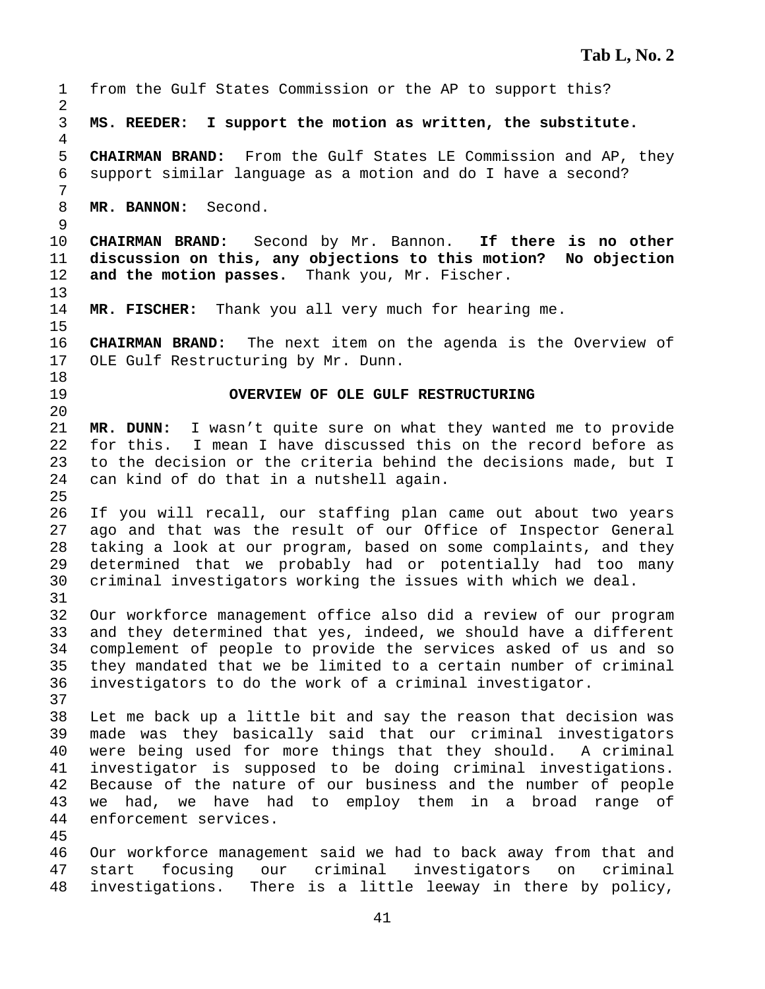1 from the Gulf States Commission or the AP to support this? 2 3 **MS. REEDER: I support the motion as written, the substitute.**  4 5 **CHAIRMAN BRAND:** From the Gulf States LE Commission and AP, they 6 support similar language as a motion and do I have a second? 7 8 **MR. BANNON:** Second. 9 10 **CHAIRMAN BRAND:** Second by Mr. Bannon. **If there is no other**  11 **discussion on this, any objections to this motion? No objection**  12 **and the motion passes.** Thank you, Mr. Fischer. 13 14 **MR. FISCHER:** Thank you all very much for hearing me. 15 16 **CHAIRMAN BRAND:** The next item on the agenda is the Overview of 17 OLE Gulf Restructuring by Mr. Dunn. 18 19 **OVERVIEW OF OLE GULF RESTRUCTURING**  20 21 **MR. DUNN:** I wasn't quite sure on what they wanted me to provide 22 for this. I mean I have discussed this on the record before as 23 to the decision or the criteria behind the decisions made, but I 24 can kind of do that in a nutshell again. 25 26 If you will recall, our staffing plan came out about two years 27 ago and that was the result of our Office of Inspector General 28 taking a look at our program, based on some complaints, and they 29 determined that we probably had or potentially had too many 30 criminal investigators working the issues with which we deal. 31 32 Our workforce management office also did a review of our program 33 and they determined that yes, indeed, we should have a different 34 complement of people to provide the services asked of us and so 35 they mandated that we be limited to a certain number of criminal 36 investigators to do the work of a criminal investigator. 37 38 Let me back up a little bit and say the reason that decision was 39 made was they basically said that our criminal investigators 40 were being used for more things that they should. A criminal 41 investigator is supposed to be doing criminal investigations. 42 Because of the nature of our business and the number of people 43 we had, we have had to employ them in a broad range of 44 enforcement services. 45 46 Our workforce management said we had to back away from that and 47 start focusing our criminal investigators on criminal 48 investigations. There is a little leeway in there by policy,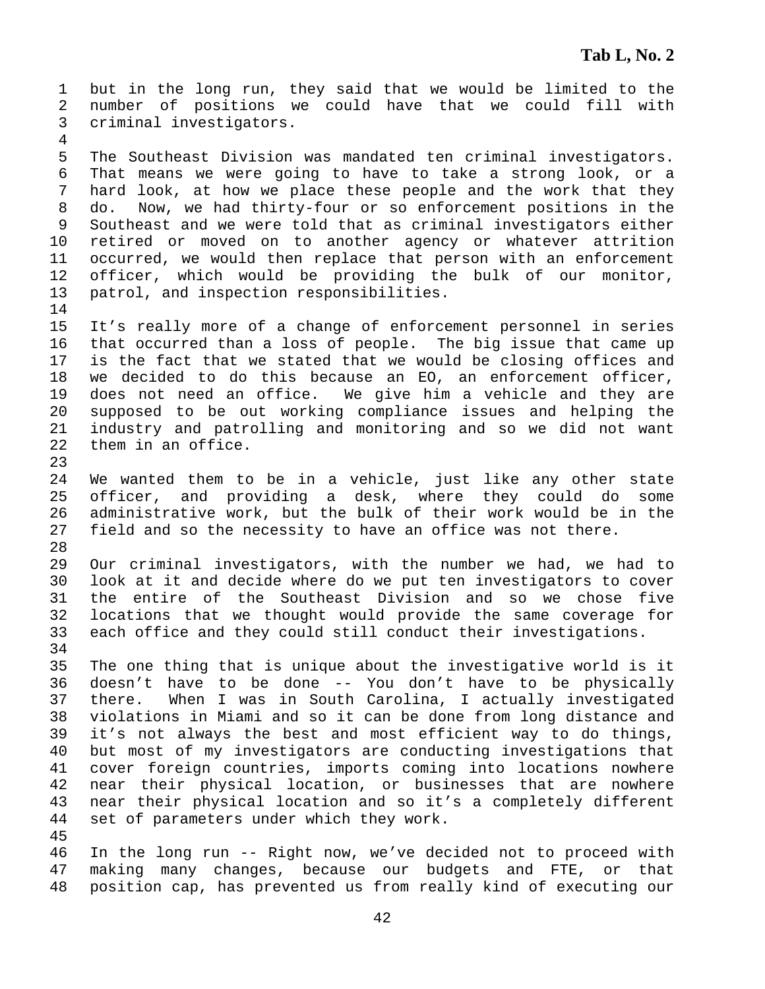1 but in the long run, they said that we would be limited to the 2 number of positions we could have that we could fill with 3 criminal investigators.

5 The Southeast Division was mandated ten criminal investigators. 6 That means we were going to have to take a strong look, or a 7 hard look, at how we place these people and the work that they 8 do. Now, we had thirty-four or so enforcement positions in the 9 Southeast and we were told that as criminal investigators either 10 retired or moved on to another agency or whatever attrition 11 occurred, we would then replace that person with an enforcement 12 officer, which would be providing the bulk of our monitor, 13 patrol, and inspection responsibilities.

15 It's really more of a change of enforcement personnel in series 16 that occurred than a loss of people. The big issue that came up 17 is the fact that we stated that we would be closing offices and 18 we decided to do this because an EO, an enforcement officer, 19 does not need an office. We give him a vehicle and they are 20 supposed to be out working compliance issues and helping the 21 industry and patrolling and monitoring and so we did not want 22 them in an office.

24 We wanted them to be in a vehicle, just like any other state 25 officer, and providing a desk, where they could do some 26 administrative work, but the bulk of their work would be in the 27 field and so the necessity to have an office was not there. 28

29 Our criminal investigators, with the number we had, we had to 30 look at it and decide where do we put ten investigators to cover 31 the entire of the Southeast Division and so we chose five 32 locations that we thought would provide the same coverage for 33 each office and they could still conduct their investigations. 34

35 The one thing that is unique about the investigative world is it 36 doesn't have to be done -- You don't have to be physically 37 there. When I was in South Carolina, I actually investigated 38 violations in Miami and so it can be done from long distance and 39 it's not always the best and most efficient way to do things, 40 but most of my investigators are conducting investigations that 41 cover foreign countries, imports coming into locations nowhere 42 near their physical location, or businesses that are nowhere 43 near their physical location and so it's a completely different 44 set of parameters under which they work.

45

4

14

23

46 In the long run -- Right now, we've decided not to proceed with 47 making many changes, because our budgets and FTE, or that 48 position cap, has prevented us from really kind of executing our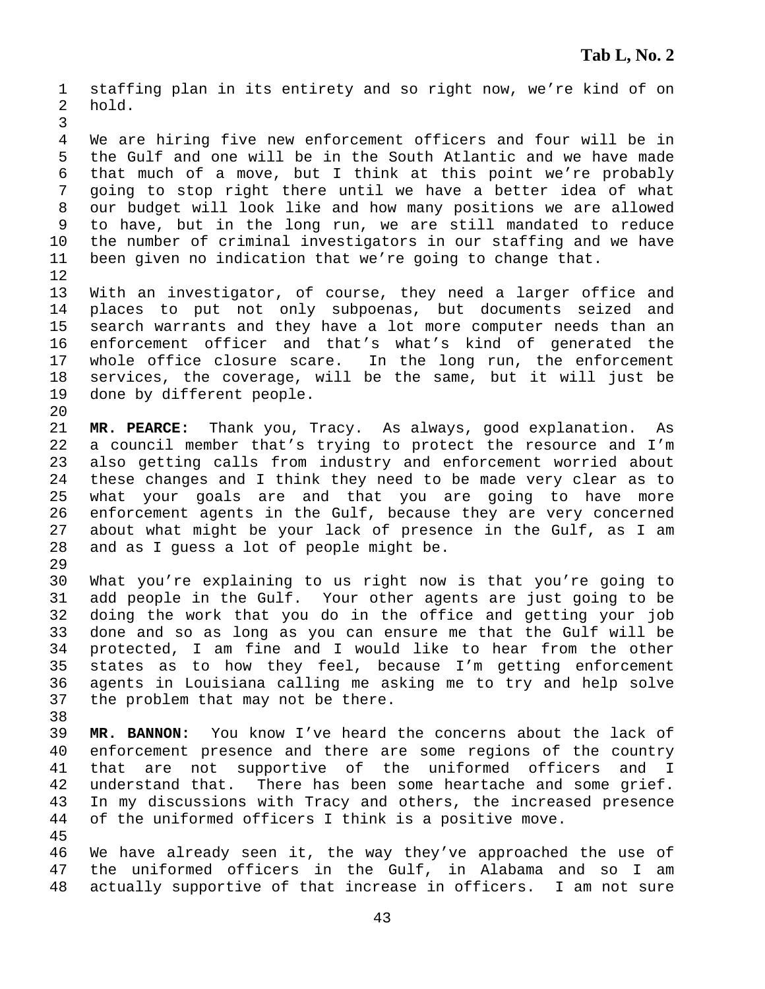1 staffing plan in its entirety and so right now, we're kind of on 2 hold. 3 4 We are hiring five new enforcement officers and four will be in 5 the Gulf and one will be in the South Atlantic and we have made 6 that much of a move, but I think at this point we're probably 7 going to stop right there until we have a better idea of what 8 our budget will look like and how many positions we are allowed 9 to have, but in the long run, we are still mandated to reduce 10 the number of criminal investigators in our staffing and we have 11 been given no indication that we're going to change that. 12 13 With an investigator, of course, they need a larger office and 14 places to put not only subpoenas, but documents seized and 15 search warrants and they have a lot more computer needs than an 16 enforcement officer and that's what's kind of generated the 17 whole office closure scare. In the long run, the enforcement 18 services, the coverage, will be the same, but it will just be 19 done by different people. 20 21 **MR. PEARCE:** Thank you, Tracy. As always, good explanation. As 22 a council member that's trying to protect the resource and I'm 23 also getting calls from industry and enforcement worried about 24 these changes and I think they need to be made very clear as to 25 what your goals are and that you are going to have more 26 enforcement agents in the Gulf, because they are very concerned 27 about what might be your lack of presence in the Gulf, as I am 28 and as I guess a lot of people might be. 29 30 What you're explaining to us right now is that you're going to 31 add people in the Gulf. Your other agents are just going to be 32 doing the work that you do in the office and getting your job 33 done and so as long as you can ensure me that the Gulf will be 34 protected, I am fine and I would like to hear from the other 35 states as to how they feel, because I'm getting enforcement 36 agents in Louisiana calling me asking me to try and help solve 37 the problem that may not be there. 38 39 **MR. BANNON:** You know I've heard the concerns about the lack of 40 enforcement presence and there are some regions of the country 41 that are not supportive of the uniformed officers and I 42 understand that. There has been some heartache and some grief. 43 In my discussions with Tracy and others, the increased presence 44 of the uniformed officers I think is a positive move. 45 46 We have already seen it, the way they've approached the use of 47 the uniformed officers in the Gulf, in Alabama and so I am 48 actually supportive of that increase in officers. I am not sure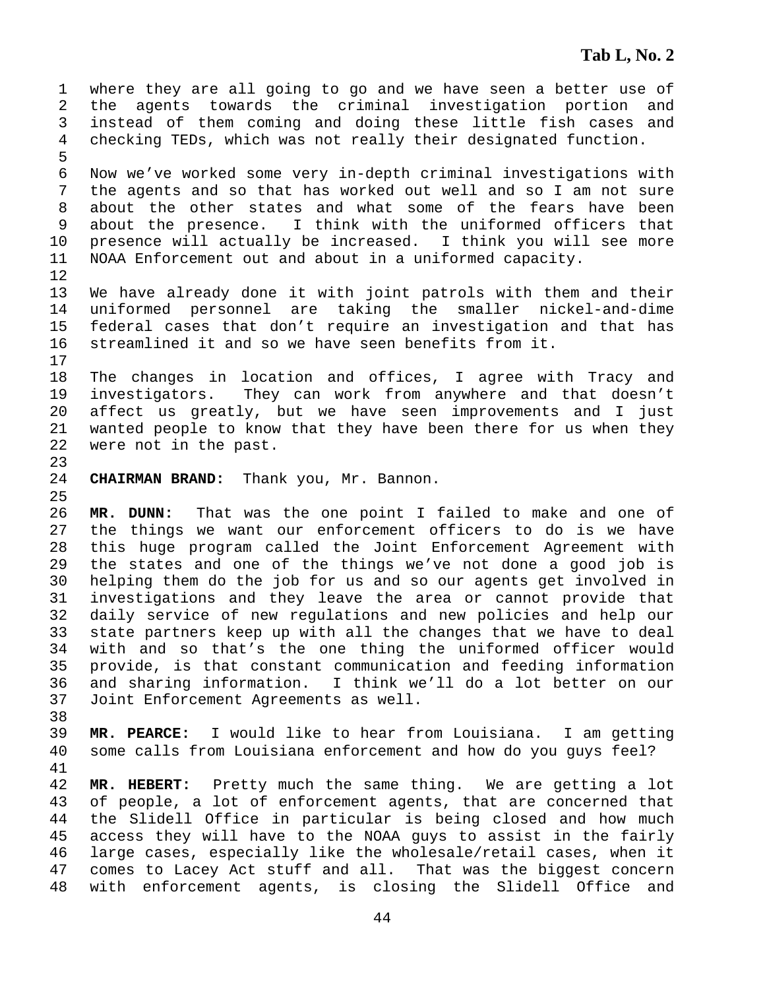1 where they are all going to go and we have seen a better use of 2 the agents towards the criminal investigation portion and 3 instead of them coming and doing these little fish cases and 4 checking TEDs, which was not really their designated function. 5 6 Now we've worked some very in-depth criminal investigations with 7 the agents and so that has worked out well and so I am not sure 8 about the other states and what some of the fears have been 9 about the presence. I think with the uniformed officers that 10 presence will actually be increased. I think you will see more 11 NOAA Enforcement out and about in a uniformed capacity. 12 13 We have already done it with joint patrols with them and their 14 uniformed personnel are taking the smaller nickel-and-dime 15 federal cases that don't require an investigation and that has 16 streamlined it and so we have seen benefits from it. 17 18 The changes in location and offices, I agree with Tracy and 19 investigators. They can work from anywhere and that doesn't 20 affect us greatly, but we have seen improvements and I just 21 wanted people to know that they have been there for us when they 22 were not in the past. 23 24 **CHAIRMAN BRAND:** Thank you, Mr. Bannon. 25 26 **MR. DUNN:** That was the one point I failed to make and one of 27 the things we want our enforcement officers to do is we have 28 this huge program called the Joint Enforcement Agreement with 29 the states and one of the things we've not done a good job is 30 helping them do the job for us and so our agents get involved in 31 investigations and they leave the area or cannot provide that 32 daily service of new regulations and new policies and help our 33 state partners keep up with all the changes that we have to deal 34 with and so that's the one thing the uniformed officer would 35 provide, is that constant communication and feeding information 36 and sharing information. I think we'll do a lot better on our 37 Joint Enforcement Agreements as well. 38 39 **MR. PEARCE:** I would like to hear from Louisiana. I am getting 40 some calls from Louisiana enforcement and how do you guys feel? 41 42 **MR. HEBERT:** Pretty much the same thing. We are getting a lot 43 of people, a lot of enforcement agents, that are concerned that 44 the Slidell Office in particular is being closed and how much 45 access they will have to the NOAA guys to assist in the fairly 46 large cases, especially like the wholesale/retail cases, when it 47 comes to Lacey Act stuff and all. That was the biggest concern 48 with enforcement agents, is closing the Slidell Office and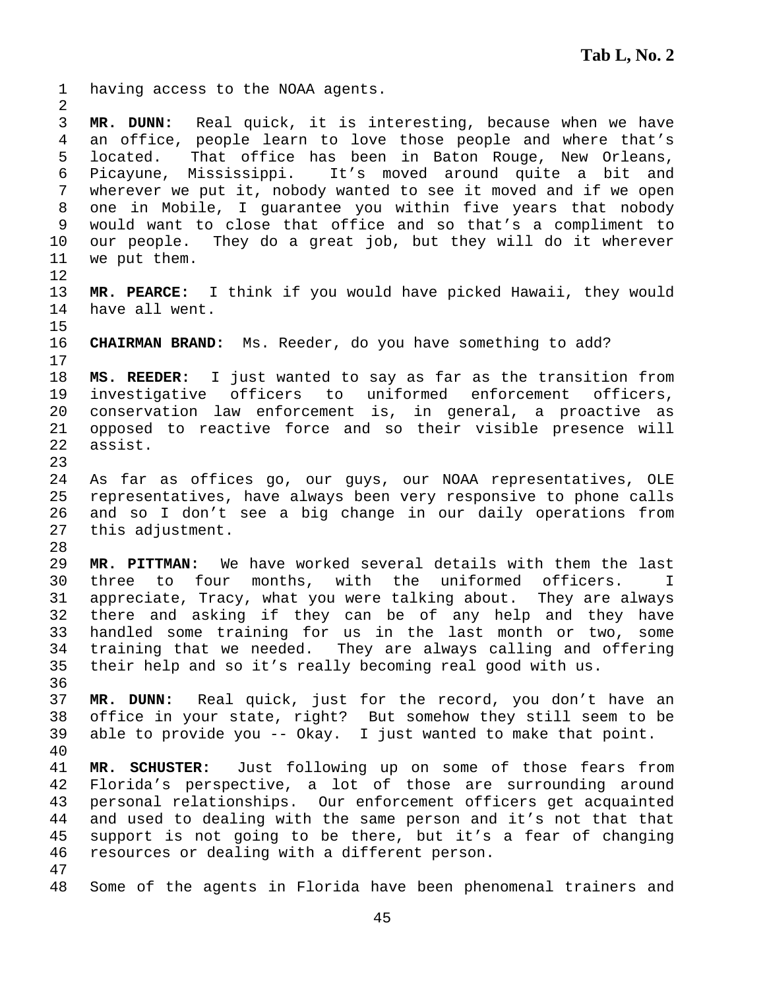1 having access to the NOAA agents. 2 3 **MR. DUNN:** Real quick, it is interesting, because when we have 4 an office, people learn to love those people and where that's 5 located. That office has been in Baton Rouge, New Orleans, 6 Picayune, Mississippi. It's moved around quite a bit and 7 wherever we put it, nobody wanted to see it moved and if we open 8 one in Mobile, I guarantee you within five years that nobody 9 would want to close that office and so that's a compliment to 10 our people. They do a great job, but they will do it wherever 11 we put them. 12 13 **MR. PEARCE:** I think if you would have picked Hawaii, they would 14 have all went. 15 16 **CHAIRMAN BRAND:** Ms. Reeder, do you have something to add? 17 18 **MS. REEDER:** I just wanted to say as far as the transition from 19 investigative officers to uniformed enforcement officers, 20 conservation law enforcement is, in general, a proactive as 21 opposed to reactive force and so their visible presence will 22 assist. 23 24 As far as offices go, our guys, our NOAA representatives, OLE 25 representatives, have always been very responsive to phone calls 26 and so I don't see a big change in our daily operations from 27 this adjustment. 28 29 **MR. PITTMAN:** We have worked several details with them the last 30 three to four months, with the uniformed officers. I 31 appreciate, Tracy, what you were talking about. They are always 32 there and asking if they can be of any help and they have 33 handled some training for us in the last month or two, some 34 training that we needed. They are always calling and offering 35 their help and so it's really becoming real good with us. 36 37 **MR. DUNN:** Real quick, just for the record, you don't have an 38 office in your state, right? But somehow they still seem to be 39 able to provide you -- Okay. I just wanted to make that point. 40 41 **MR. SCHUSTER:** Just following up on some of those fears from 42 Florida's perspective, a lot of those are surrounding around 43 personal relationships. Our enforcement officers get acquainted 44 and used to dealing with the same person and it's not that that 45 support is not going to be there, but it's a fear of changing 46 resources or dealing with a different person. 47 48 Some of the agents in Florida have been phenomenal trainers and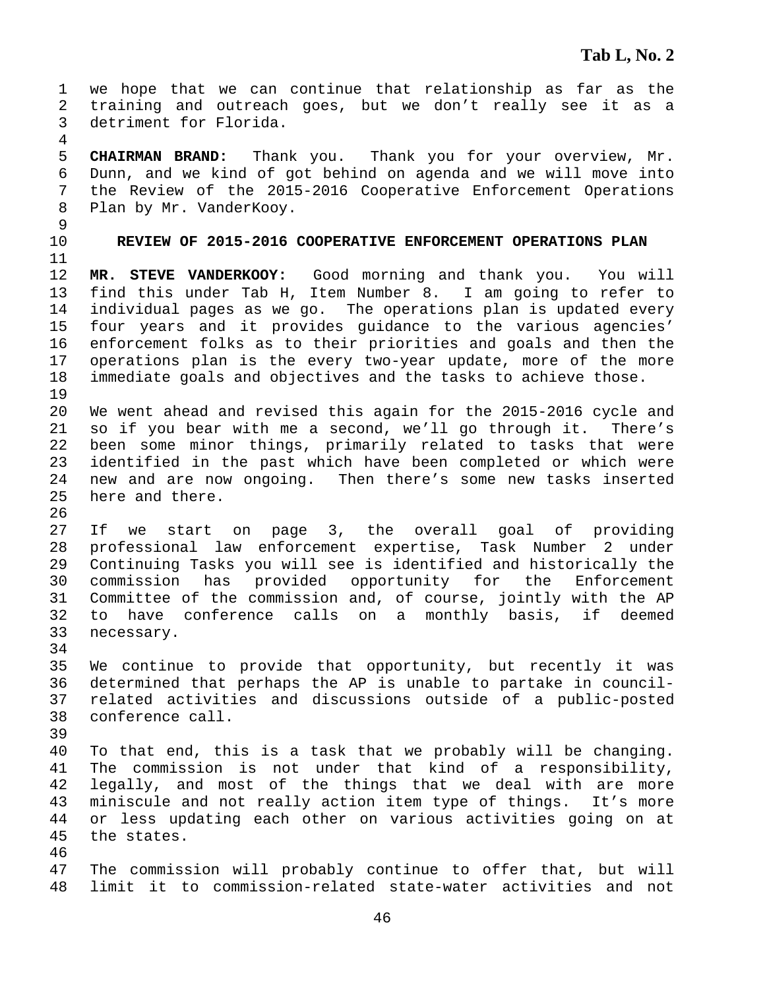1 we hope that we can continue that relationship as far as the 2 training and outreach goes, but we don't really see it as a 3 detriment for Florida. 4 5 **CHAIRMAN BRAND:** Thank you. Thank you for your overview, Mr. 6 Dunn, and we kind of got behind on agenda and we will move into 7 the Review of the 2015-2016 Cooperative Enforcement Operations 8 Plan by Mr. VanderKooy. 9 10 **REVIEW OF 2015-2016 COOPERATIVE ENFORCEMENT OPERATIONS PLAN**  11 12 **MR. STEVE VANDERKOOY:** Good morning and thank you. You will 13 find this under Tab H, Item Number 8. I am going to refer to 14 individual pages as we go. The operations plan is updated every 15 four years and it provides guidance to the various agencies' 16 enforcement folks as to their priorities and goals and then the 17 operations plan is the every two-year update, more of the more 18 immediate goals and objectives and the tasks to achieve those. 19 20 We went ahead and revised this again for the 2015-2016 cycle and 21 so if you bear with me a second, we'll go through it. There's 22 been some minor things, primarily related to tasks that were 23 identified in the past which have been completed or which were 24 new and are now ongoing. Then there's some new tasks inserted 25 here and there. 26 27 If we start on page 3, the overall goal of providing 28 professional law enforcement expertise, Task Number 2 under 29 Continuing Tasks you will see is identified and historically the 30 commission has provided opportunity for the Enforcement 31 Committee of the commission and, of course, jointly with the AP 32 to have conference calls on a monthly basis, if deemed 33 necessary. 34 35 We continue to provide that opportunity, but recently it was 36 determined that perhaps the AP is unable to partake in council-37 related activities and discussions outside of a public-posted 38 conference call. 39 40 To that end, this is a task that we probably will be changing. 41 The commission is not under that kind of a responsibility, 42 legally, and most of the things that we deal with are more 43 miniscule and not really action item type of things. It's more 44 or less updating each other on various activities going on at 45 the states. 46 47 The commission will probably continue to offer that, but will 48 limit it to commission-related state-water activities and not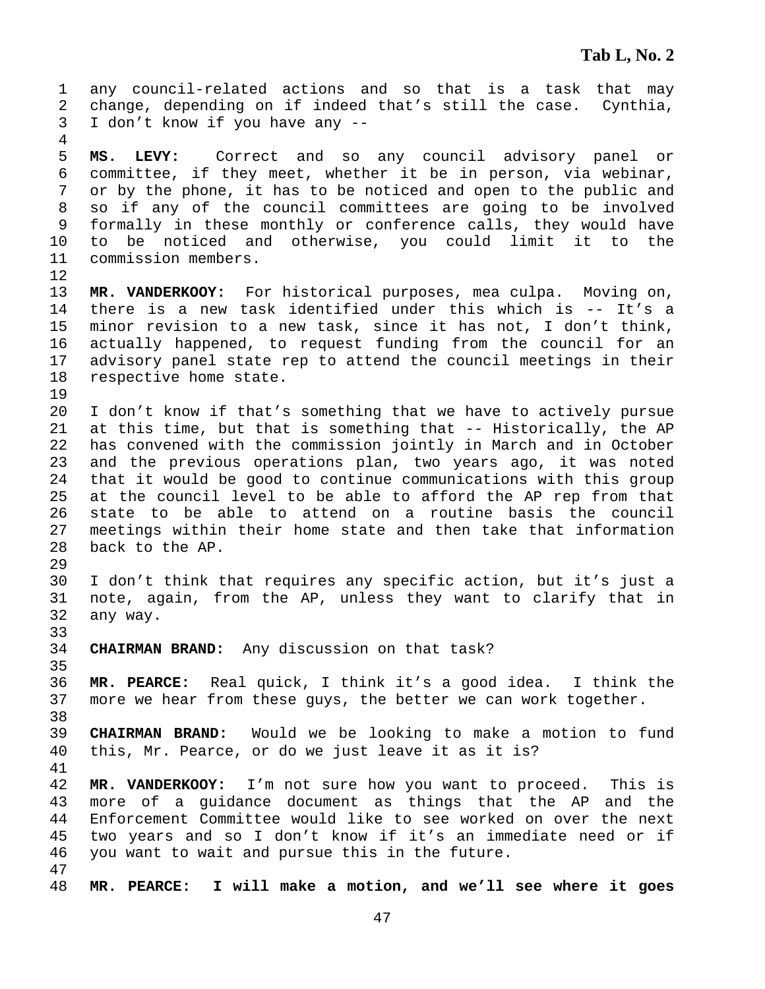1 any council-related actions and so that is a task that may 2 change, depending on if indeed that's still the case. Cynthia, 3 I don't know if you have any -- 4 5 **MS. LEVY:** Correct and so any council advisory panel or 6 committee, if they meet, whether it be in person, via webinar, 7 or by the phone, it has to be noticed and open to the public and 8 so if any of the council committees are going to be involved 9 formally in these monthly or conference calls, they would have 10 to be noticed and otherwise, you could limit it to the 11 commission members. 12 13 **MR. VANDERKOOY:** For historical purposes, mea culpa. Moving on, 14 there is a new task identified under this which is -- It's a 15 minor revision to a new task, since it has not, I don't think, 16 actually happened, to request funding from the council for an 17 advisory panel state rep to attend the council meetings in their 18 respective home state. 19 20 I don't know if that's something that we have to actively pursue 21 at this time, but that is something that -- Historically, the AP 22 has convened with the commission jointly in March and in October 23 and the previous operations plan, two years ago, it was noted 24 that it would be good to continue communications with this group 25 at the council level to be able to afford the AP rep from that 26 state to be able to attend on a routine basis the council 27 meetings within their home state and then take that information 28 back to the AP. 29 30 I don't think that requires any specific action, but it's just a 31 note, again, from the AP, unless they want to clarify that in 32 any way. 33 34 **CHAIRMAN BRAND:** Any discussion on that task? 35 36 **MR. PEARCE:** Real quick, I think it's a good idea. I think the 37 more we hear from these guys, the better we can work together. 38 39 **CHAIRMAN BRAND:** Would we be looking to make a motion to fund 40 this, Mr. Pearce, or do we just leave it as it is? 41 42 **MR. VANDERKOOY:** I'm not sure how you want to proceed. This is 43 more of a guidance document as things that the AP and the 44 Enforcement Committee would like to see worked on over the next 45 two years and so I don't know if it's an immediate need or if 46 you want to wait and pursue this in the future. 47 48 **MR. PEARCE: I will make a motion, and we'll see where it goes**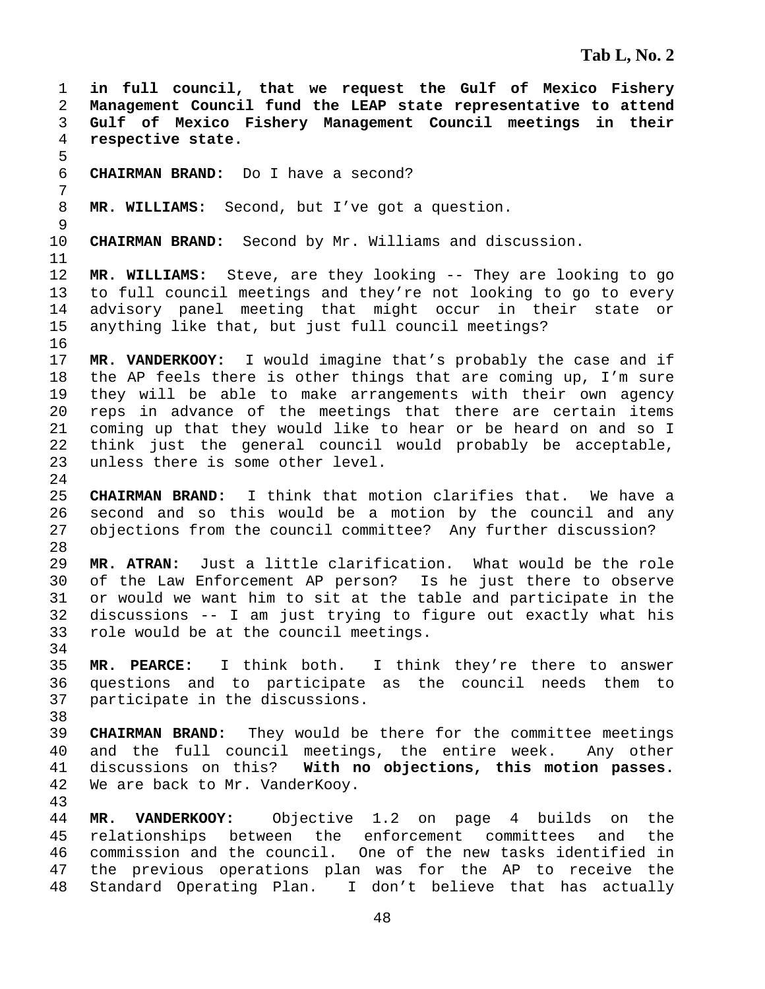1 **in full council, that we request the Gulf of Mexico Fishery**  2 **Management Council fund the LEAP state representative to attend**  3 **Gulf of Mexico Fishery Management Council meetings in their**  4 **respective state.**  5 6 **CHAIRMAN BRAND:** Do I have a second? 7 8 **MR. WILLIAMS:** Second, but I've got a question. 9 10 **CHAIRMAN BRAND:** Second by Mr. Williams and discussion. 11 12 **MR. WILLIAMS:** Steve, are they looking -- They are looking to go 13 to full council meetings and they're not looking to go to every 14 advisory panel meeting that might occur in their state or 15 anything like that, but just full council meetings? 16 17 **MR. VANDERKOOY:** I would imagine that's probably the case and if 18 the AP feels there is other things that are coming up, I'm sure 19 they will be able to make arrangements with their own agency 20 reps in advance of the meetings that there are certain items 21 coming up that they would like to hear or be heard on and so I 22 think just the general council would probably be acceptable, 23 unless there is some other level. 24 25 **CHAIRMAN BRAND:** I think that motion clarifies that. We have a 26 second and so this would be a motion by the council and any 27 objections from the council committee? Any further discussion? 28 29 **MR. ATRAN:** Just a little clarification. What would be the role 30 of the Law Enforcement AP person? Is he just there to observe 31 or would we want him to sit at the table and participate in the 32 discussions -- I am just trying to figure out exactly what his 33 role would be at the council meetings. 34 35 **MR. PEARCE:** I think both. I think they're there to answer 36 questions and to participate as the council needs them to 37 participate in the discussions. 38 39 **CHAIRMAN BRAND:** They would be there for the committee meetings 40 and the full council meetings, the entire week. Any other 41 discussions on this? **With no objections, this motion passes.**  42 We are back to Mr. VanderKooy. 43 44 **MR. VANDERKOOY:** Objective 1.2 on page 4 builds on the 45 relationships between the enforcement committees and the 46 commission and the council. One of the new tasks identified in 47 the previous operations plan was for the AP to receive the 48 Standard Operating Plan. I don't believe that has actually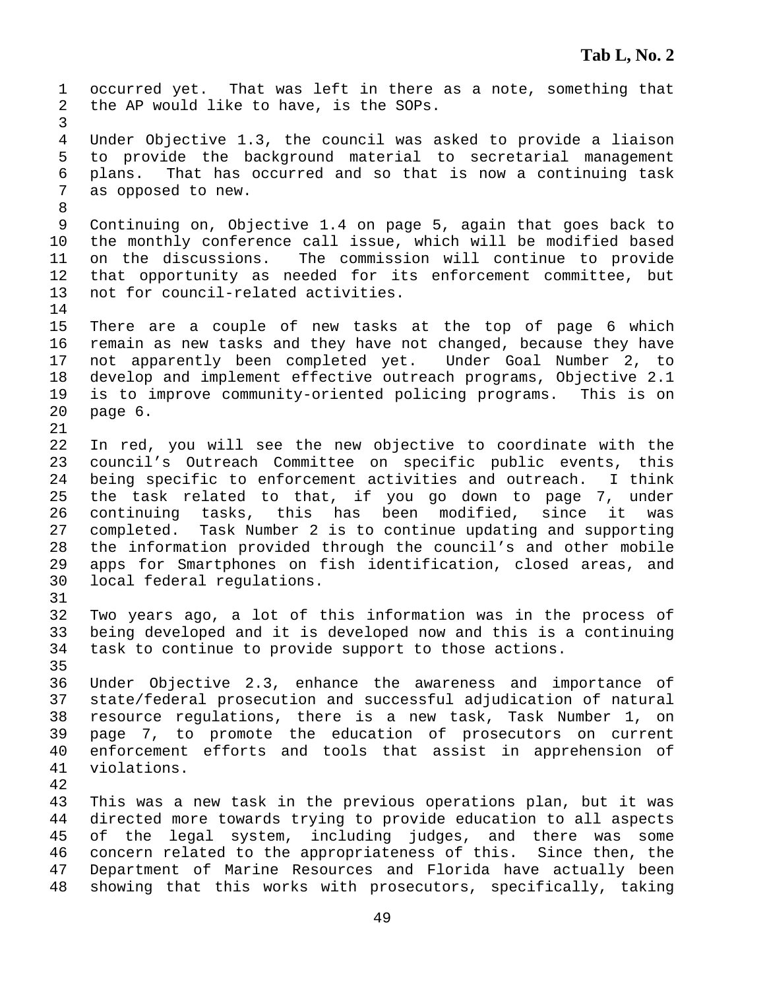1 occurred yet. That was left in there as a note, something that 2 the AP would like to have, is the SOPs. 3 4 Under Objective 1.3, the council was asked to provide a liaison 5 to provide the background material to secretarial management 6 plans. That has occurred and so that is now a continuing task 7 as opposed to new. 8 9 Continuing on, Objective 1.4 on page 5, again that goes back to 10 the monthly conference call issue, which will be modified based 11 on the discussions. The commission will continue to provide 12 that opportunity as needed for its enforcement committee, but 13 not for council-related activities. 14 15 There are a couple of new tasks at the top of page 6 which 16 remain as new tasks and they have not changed, because they have 17 not apparently been completed yet. Under Goal Number 2, to 18 develop and implement effective outreach programs, Objective 2.1 19 is to improve community-oriented policing programs. This is on 20 page 6. 21 22 In red, you will see the new objective to coordinate with the 23 council's Outreach Committee on specific public events, this 24 being specific to enforcement activities and outreach. I think 25 the task related to that, if you go down to page 7, under 26 continuing tasks, this has been modified, since it was 27 completed. Task Number 2 is to continue updating and supporting 28 the information provided through the council's and other mobile 29 apps for Smartphones on fish identification, closed areas, and 30 local federal regulations. 31 32 Two years ago, a lot of this information was in the process of 33 being developed and it is developed now and this is a continuing 34 task to continue to provide support to those actions. 35 36 Under Objective 2.3, enhance the awareness and importance of 37 state/federal prosecution and successful adjudication of natural 38 resource regulations, there is a new task, Task Number 1, on 39 page 7, to promote the education of prosecutors on current 40 enforcement efforts and tools that assist in apprehension of 41 violations. 42 43 This was a new task in the previous operations plan, but it was 44 directed more towards trying to provide education to all aspects 45 of the legal system, including judges, and there was some 46 concern related to the appropriateness of this. Since then, the 47 Department of Marine Resources and Florida have actually been 48 showing that this works with prosecutors, specifically, taking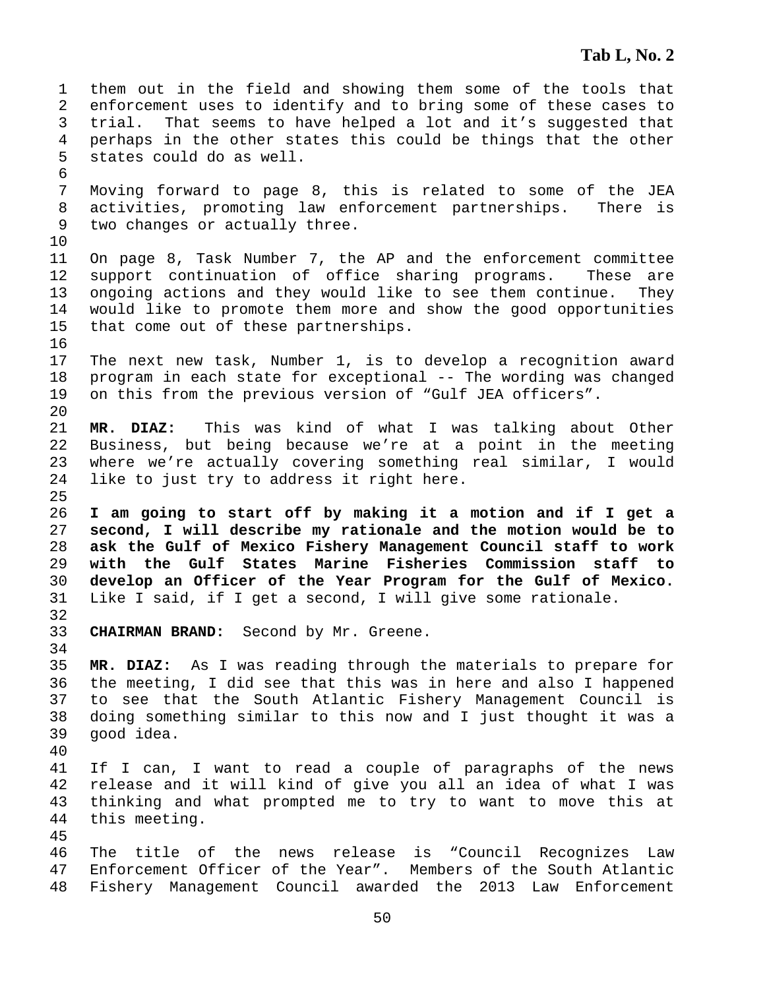1 them out in the field and showing them some of the tools that 2 enforcement uses to identify and to bring some of these cases to 3 trial. That seems to have helped a lot and it's suggested that 4 perhaps in the other states this could be things that the other 5 states could do as well. 6 7 Moving forward to page 8, this is related to some of the JEA 8 activities, promoting law enforcement partnerships. There is 9 two changes or actually three. 10 11 On page 8, Task Number 7, the AP and the enforcement committee 12 support continuation of office sharing programs. These are 13 ongoing actions and they would like to see them continue. They 14 would like to promote them more and show the good opportunities 15 that come out of these partnerships. 16 17 The next new task, Number 1, is to develop a recognition award 18 program in each state for exceptional -- The wording was changed 19 on this from the previous version of "Gulf JEA officers". 20 21 **MR. DIAZ:** This was kind of what I was talking about Other 22 Business, but being because we're at a point in the meeting 23 where we're actually covering something real similar, I would 24 like to just try to address it right here. 25 26 **I am going to start off by making it a motion and if I get a**  27 **second, I will describe my rationale and the motion would be to**  28 **ask the Gulf of Mexico Fishery Management Council staff to work**  29 **with the Gulf States Marine Fisheries Commission staff to**  30 **develop an Officer of the Year Program for the Gulf of Mexico.**  31 Like I said, if I get a second, I will give some rationale. 32 33 **CHAIRMAN BRAND:** Second by Mr. Greene. 34 35 **MR. DIAZ:** As I was reading through the materials to prepare for 36 the meeting, I did see that this was in here and also I happened 37 to see that the South Atlantic Fishery Management Council is 38 doing something similar to this now and I just thought it was a 39 good idea. 40 41 If I can, I want to read a couple of paragraphs of the news 42 release and it will kind of give you all an idea of what I was 43 thinking and what prompted me to try to want to move this at 44 this meeting. 45 46 The title of the news release is "Council Recognizes Law 47 Enforcement Officer of the Year". Members of the South Atlantic 48 Fishery Management Council awarded the 2013 Law Enforcement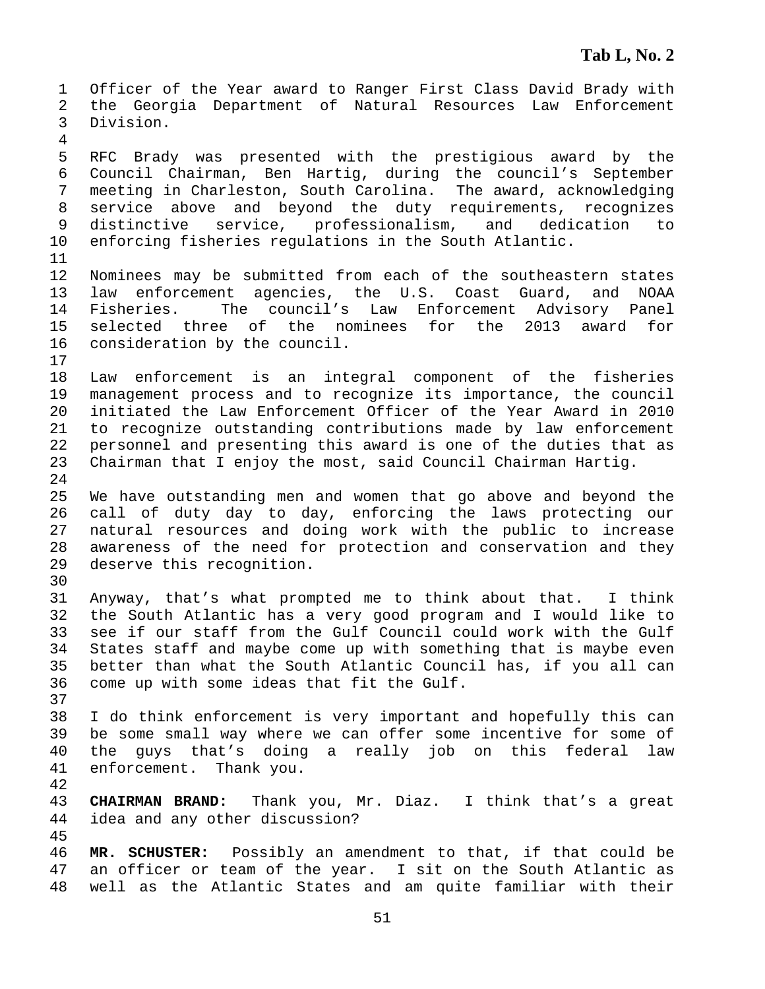1 Officer of the Year award to Ranger First Class David Brady with 2 the Georgia Department of Natural Resources Law Enforcement 3 Division. 4 5 RFC Brady was presented with the prestigious award by the 6 Council Chairman, Ben Hartig, during the council's September 7 meeting in Charleston, South Carolina. The award, acknowledging 8 service above and beyond the duty requirements, recognizes 9 distinctive service, professionalism, and dedication to 10 enforcing fisheries regulations in the South Atlantic. 11 12 Nominees may be submitted from each of the southeastern states 13 law enforcement agencies, the U.S. Coast Guard, and NOAA 14 Fisheries. The council's Law Enforcement Advisory Panel 15 selected three of the nominees for the 2013 award for 16 consideration by the council. 17 18 Law enforcement is an integral component of the fisheries 19 management process and to recognize its importance, the council 20 initiated the Law Enforcement Officer of the Year Award in 2010 21 to recognize outstanding contributions made by law enforcement 22 personnel and presenting this award is one of the duties that as 23 Chairman that I enjoy the most, said Council Chairman Hartig. 24 25 We have outstanding men and women that go above and beyond the 26 call of duty day to day, enforcing the laws protecting our 27 natural resources and doing work with the public to increase 28 awareness of the need for protection and conservation and they 29 deserve this recognition. 30 31 Anyway, that's what prompted me to think about that. I think 32 the South Atlantic has a very good program and I would like to 33 see if our staff from the Gulf Council could work with the Gulf 34 States staff and maybe come up with something that is maybe even 35 better than what the South Atlantic Council has, if you all can 36 come up with some ideas that fit the Gulf. 37 38 I do think enforcement is very important and hopefully this can 39 be some small way where we can offer some incentive for some of 40 the guys that's doing a really job on this federal law 41 enforcement. Thank you. 42 43 **CHAIRMAN BRAND:** Thank you, Mr. Diaz. I think that's a great 44 idea and any other discussion? 45 46 **MR. SCHUSTER:** Possibly an amendment to that, if that could be 47 an officer or team of the year. I sit on the South Atlantic as 48 well as the Atlantic States and am quite familiar with their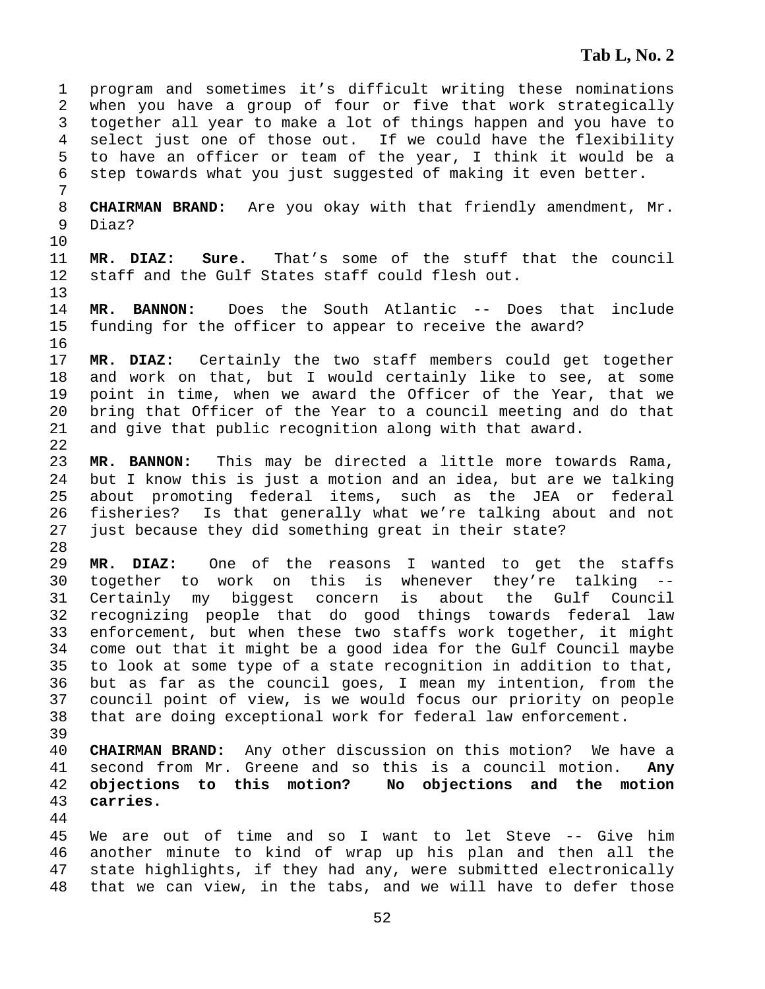1 program and sometimes it's difficult writing these nominations 2 when you have a group of four or five that work strategically 3 together all year to make a lot of things happen and you have to 4 select just one of those out. If we could have the flexibility 5 to have an officer or team of the year, I think it would be a 6 step towards what you just suggested of making it even better. 7 8 **CHAIRMAN BRAND:** Are you okay with that friendly amendment, Mr. 9 Diaz? 10 11 **MR. DIAZ: Sure.** That's some of the stuff that the council 12 staff and the Gulf States staff could flesh out. 13 14 **MR. BANNON:** Does the South Atlantic -- Does that include 15 funding for the officer to appear to receive the award? 16 17 **MR. DIAZ:** Certainly the two staff members could get together 18 and work on that, but I would certainly like to see, at some 19 point in time, when we award the Officer of the Year, that we 20 bring that Officer of the Year to a council meeting and do that 21 and give that public recognition along with that award. 22 23 **MR. BANNON:** This may be directed a little more towards Rama, 24 but I know this is just a motion and an idea, but are we talking 25 about promoting federal items, such as the JEA or federal 26 fisheries? Is that generally what we're talking about and not 27 just because they did something great in their state? 28 29 **MR. DIAZ:** One of the reasons I wanted to get the staffs 30 together to work on this is whenever they're talking 31 Certainly my biggest concern is about the Gulf Council 32 recognizing people that do good things towards federal law 33 enforcement, but when these two staffs work together, it might 34 come out that it might be a good idea for the Gulf Council maybe 35 to look at some type of a state recognition in addition to that, 36 but as far as the council goes, I mean my intention, from the 37 council point of view, is we would focus our priority on people 38 that are doing exceptional work for federal law enforcement. 39 40 **CHAIRMAN BRAND:** Any other discussion on this motion? We have a 41 second from Mr. Greene and so this is a council motion. **Any**  42 **objections to this motion? No objections and the motion**  43 **carries.**  44 45 We are out of time and so I want to let Steve -- Give him 46 another minute to kind of wrap up his plan and then all the 47 state highlights, if they had any, were submitted electronically 48 that we can view, in the tabs, and we will have to defer those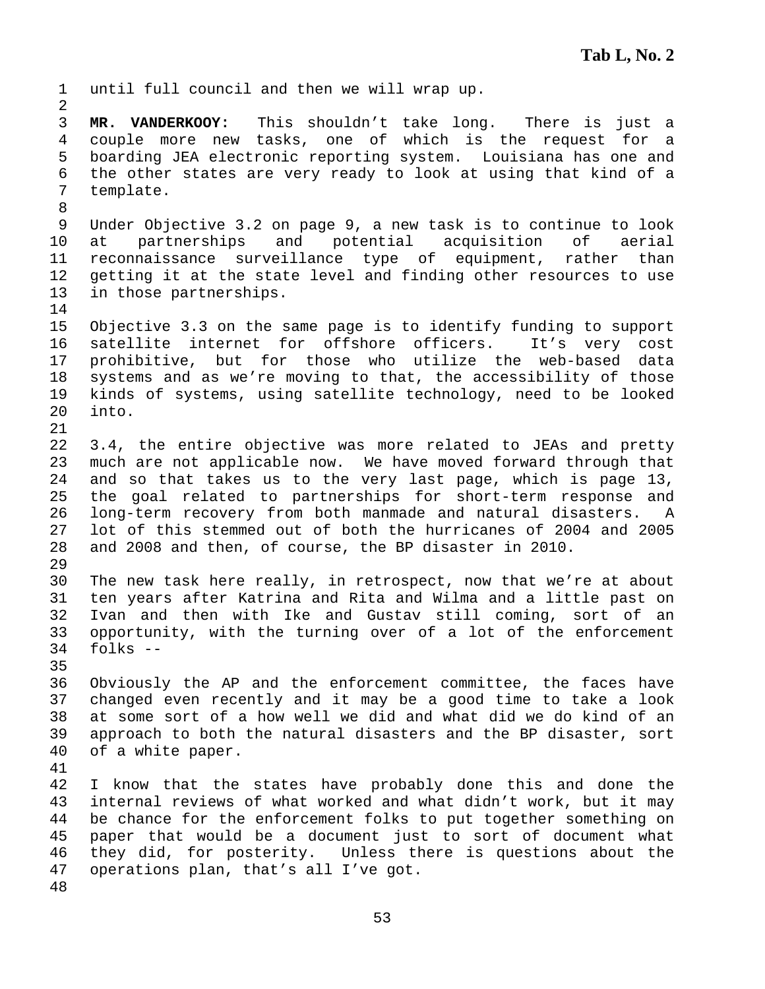1 until full council and then we will wrap up. 2 3 **MR. VANDERKOOY:** This shouldn't take long. There is just a 4 couple more new tasks, one of which is the request for a 5 boarding JEA electronic reporting system. Louisiana has one and 6 the other states are very ready to look at using that kind of a 7 template. 8 9 Under Objective 3.2 on page 9, a new task is to continue to look 10 at partnerships and potential acquisition of aerial 11 reconnaissance surveillance type of equipment, rather than 12 getting it at the state level and finding other resources to use 13 in those partnerships. 14 15 Objective 3.3 on the same page is to identify funding to support 16 satellite internet for offshore officers. It's very cost 17 prohibitive, but for those who utilize the web-based data 18 systems and as we're moving to that, the accessibility of those 19 kinds of systems, using satellite technology, need to be looked 20 into. 21 22 3.4, the entire objective was more related to JEAs and pretty 23 much are not applicable now. We have moved forward through that 24 and so that takes us to the very last page, which is page 13, 25 the goal related to partnerships for short-term response and 26 long-term recovery from both manmade and natural disasters. A 27 lot of this stemmed out of both the hurricanes of 2004 and 2005 28 and 2008 and then, of course, the BP disaster in 2010. 29 30 The new task here really, in retrospect, now that we're at about 31 ten years after Katrina and Rita and Wilma and a little past on 32 Ivan and then with Ike and Gustav still coming, sort of an 33 opportunity, with the turning over of a lot of the enforcement 34 folks -- 35 36 Obviously the AP and the enforcement committee, the faces have 37 changed even recently and it may be a good time to take a look 38 at some sort of a how well we did and what did we do kind of an 39 approach to both the natural disasters and the BP disaster, sort 40 of a white paper. 41 42 I know that the states have probably done this and done the 43 internal reviews of what worked and what didn't work, but it may 44 be chance for the enforcement folks to put together something on 45 paper that would be a document just to sort of document what 46 they did, for posterity. Unless there is questions about the 47 operations plan, that's all I've got. 48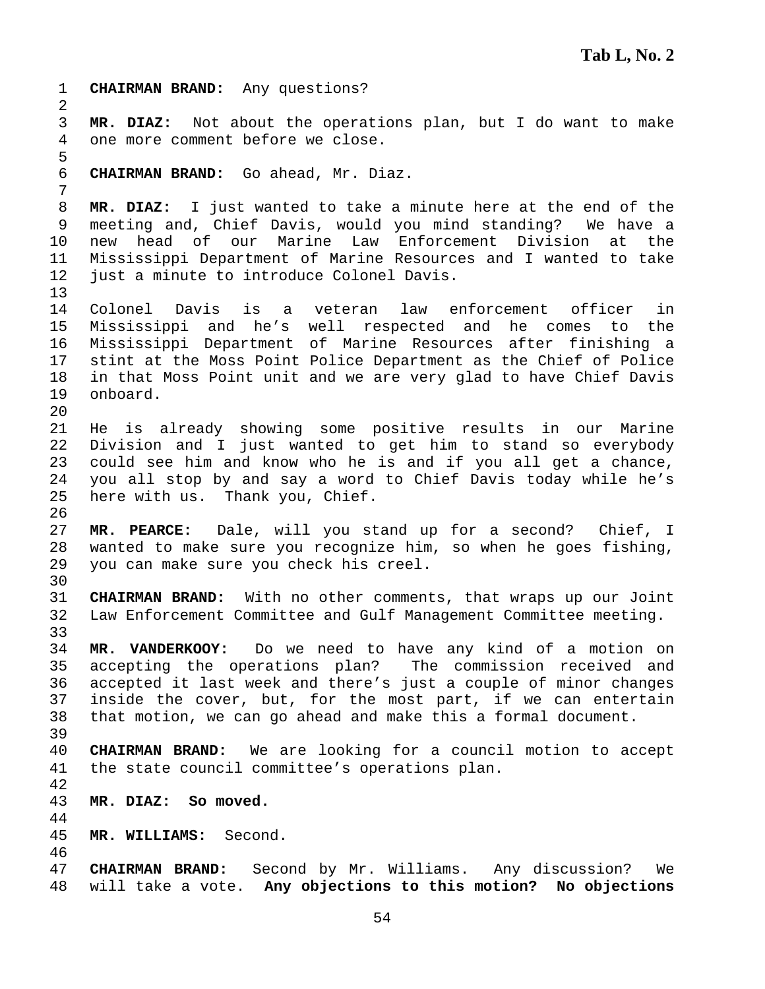1 **CHAIRMAN BRAND:** Any questions? 2 3 **MR. DIAZ:** Not about the operations plan, but I do want to make 4 one more comment before we close. 5 6 **CHAIRMAN BRAND:** Go ahead, Mr. Diaz. 7 8 **MR. DIAZ:** I just wanted to take a minute here at the end of the 9 meeting and, Chief Davis, would you mind standing? We have a 10 new head of our Marine Law Enforcement Division at the 11 Mississippi Department of Marine Resources and I wanted to take 12 just a minute to introduce Colonel Davis. 13 14 Colonel Davis is a veteran law enforcement officer in 15 Mississippi and he's well respected and he comes to the 16 Mississippi Department of Marine Resources after finishing a 17 stint at the Moss Point Police Department as the Chief of Police 18 in that Moss Point unit and we are very glad to have Chief Davis 19 onboard. 20 21 He is already showing some positive results in our Marine 22 Division and I just wanted to get him to stand so everybody 23 could see him and know who he is and if you all get a chance, 24 you all stop by and say a word to Chief Davis today while he's 25 here with us. Thank you, Chief. 26 27 **MR. PEARCE:** Dale, will you stand up for a second? Chief, I 28 wanted to make sure you recognize him, so when he goes fishing, 29 you can make sure you check his creel. 30 31 **CHAIRMAN BRAND:** With no other comments, that wraps up our Joint 32 Law Enforcement Committee and Gulf Management Committee meeting. 33 34 **MR. VANDERKOOY:** Do we need to have any kind of a motion on 35 accepting the operations plan? The commission received and 36 accepted it last week and there's just a couple of minor changes 37 inside the cover, but, for the most part, if we can entertain 38 that motion, we can go ahead and make this a formal document. 39 40 **CHAIRMAN BRAND:** We are looking for a council motion to accept 41 the state council committee's operations plan. 42 43 **MR. DIAZ: So moved.**  44 45 **MR. WILLIAMS:** Second. 46 47 **CHAIRMAN BRAND:** Second by Mr. Williams. Any discussion? We 48 will take a vote. **Any objections to this motion? No objections**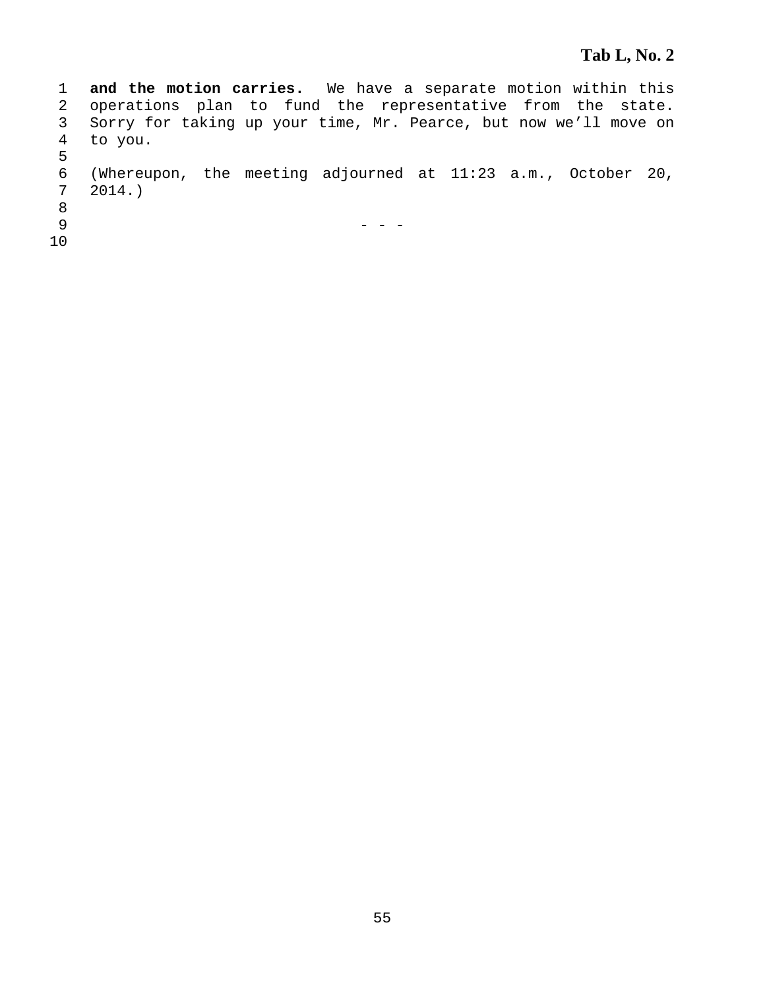1 **and the motion carries.** We have a separate motion within this 2 operations plan to fund the representative from the state. 3 Sorry for taking up your time, Mr. Pearce, but now we'll move on 4 to you. 5 6 (Whereupon, the meeting adjourned at 11:23 a.m., October 20,  $2014.$ ) 8  $9$  - - -10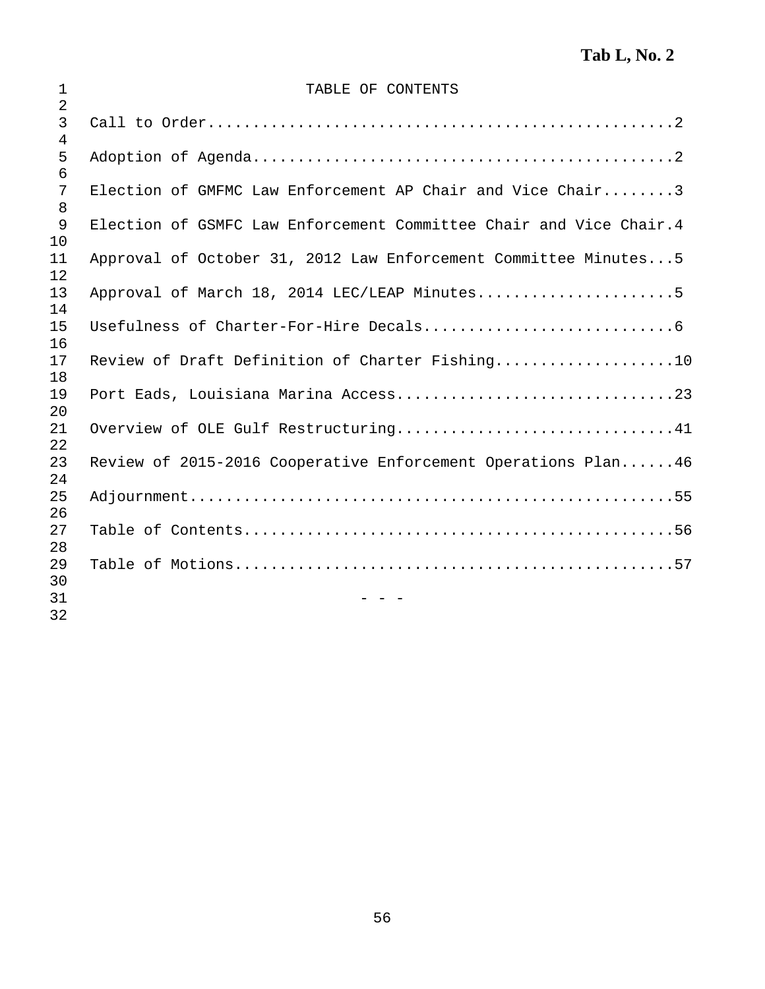| $\mathbf 1$                           | TABLE OF CONTENTS                                                  |
|---------------------------------------|--------------------------------------------------------------------|
| $\overline{2}$<br>3<br>$\overline{4}$ |                                                                    |
| 5<br>6                                |                                                                    |
| 7<br>8                                | Election of GMFMC Law Enforcement AP Chair and Vice Chair3         |
| 9<br>10                               | Election of GSMFC Law Enforcement Committee Chair and Vice Chair.4 |
| 11<br>12                              | Approval of October 31, 2012 Law Enforcement Committee Minutes5    |
| 13<br>14                              | Approval of March 18, 2014 LEC/LEAP Minutes5                       |
| 15<br>16                              |                                                                    |
| 17<br>18                              | Review of Draft Definition of Charter Fishing10                    |
| 19<br>20                              |                                                                    |
| 21<br>22                              | Overview of OLE Gulf Restructuring41                               |
| 23<br>24                              | Review of 2015-2016 Cooperative Enforcement Operations Plan46      |
| 25<br>26                              |                                                                    |
| 27<br>28                              |                                                                    |
| 29<br>30                              |                                                                    |
| 31<br>32                              |                                                                    |